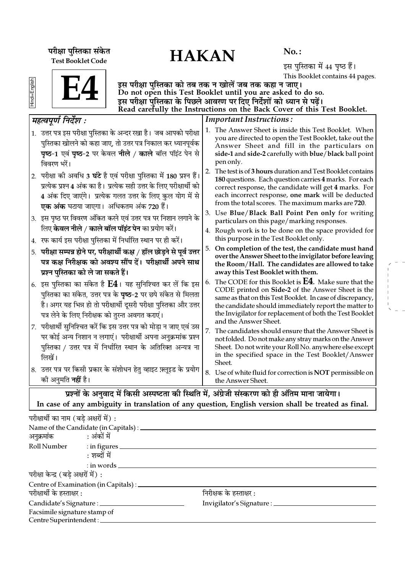# परीक्षा पुस्तिका संकेत $\overline{HAKAN}$ Test Booklet Code

No. :

इस पुस्तिका में 44 पृष्ठ हैं। This Booklet contains 44 pages.

| Ì |  |
|---|--|
|   |  |
|   |  |
| Ξ |  |



इस परीक्षा पुस्तिका को तब तक न खोलें जब तक कहा न जाए। Do not open this Test Booklet until you are asked to do so. इस परीक्षा पुस्तिका के पिछले आवरण पर दिए निर्देशों को ध्यान से पढ़ें। Read carefully the Instructions on the Back Cover of this Test Booklet.

| महत्वपूर्ण निर्देश :                                                                                                                                                                                                                                                            |    | <b>Important Instructions:</b>                                                                                                                                                                                                                                                                                               |  |  |  |  |
|---------------------------------------------------------------------------------------------------------------------------------------------------------------------------------------------------------------------------------------------------------------------------------|----|------------------------------------------------------------------------------------------------------------------------------------------------------------------------------------------------------------------------------------------------------------------------------------------------------------------------------|--|--|--|--|
| 1. उत्तर पत्र इस परीक्षा पुस्तिका के अन्दर रखा है। जब आपको परीक्षा<br>पुस्तिका खोलने को कहा जाए, तो उत्तर पत्र निकाल कर ध्यानपूर्वक<br><b>पृष्ठ-1</b> एवं <b>पृष्ठ-2</b> पर केवल <b>नीले / काले</b> बॉल पॉइंट पेन से<br>विवरण भरें।                                             |    | 1. The Answer Sheet is inside this Test Booklet. When<br>you are directed to open the Test Booklet, take out the<br>Answer Sheet and fill in the particulars on<br>side-1 and side-2 carefully with blue/black ball point<br>pen only.                                                                                       |  |  |  |  |
| 2.  परीक्षा की अवधि 3 <b>घंटे</b> है एवं परीक्षा पुस्तिका में 180 प्रश्न हैं।<br>प्रत्येक प्रश्न 4 अंक का है। प्रत्येक सही उत्तर के लिए परीक्षार्थी को<br>4 अंक दिए जाएंगे। प्रत्येक गलत उत्तर के लिए कुल योग में से<br><b>एक अंक</b> घटाया जाएगा।  अधिकतम अंक 720 हैं।         | 2. | The test is of 3 hours duration and Test Booklet contains<br>180 questions. Each question carries 4 marks. For each<br>correct response, the candidate will get 4 marks. For<br>each incorrect response, one mark will be deducted<br>from the total scores. The maximum marks are 720.                                      |  |  |  |  |
| $ 3$ .  इस पृष्ठ पर विवरण अंकित करने एवं उत्तर पत्र पर निशान लगाने के                                                                                                                                                                                                           |    | 3. Use Blue/Black Ball Point Pen only for writing<br>particulars on this page/marking responses.                                                                                                                                                                                                                             |  |  |  |  |
| लिए <b>केवल नीले / काले बॉल पॉइंट पेन</b> का प्रयोग करें।<br>$\left  \right. 4.$ रफ कार्य इस परीक्षा पुस्तिका में निर्धारित स्थान पर ही करें।                                                                                                                                   |    | 4. Rough work is to be done on the space provided for<br>this purpose in the Test Booklet only.                                                                                                                                                                                                                              |  |  |  |  |
| 5. परीक्षा सम्पन्न होने पर, परीक्षार्थी कक्ष / हॉल छोड़ने से पूर्व उत्तर<br>पत्र कक्ष निरीक्षक को अवश्य सौंप दें। परीक्षार्थी अपने साथ<br>प्रश्न पुस्तिका को ले जा सकते हैं।                                                                                                    |    | 5. On completion of the test, the candidate must hand<br>over the Answer Sheet to the invigilator before leaving<br>the Room/Hall. The candidates are allowed to take<br>away this Test Booklet with them.                                                                                                                   |  |  |  |  |
| $\vert$ 6. इस पुस्तिका का संकेत है $\mathbf{E4}$ । यह सुनिश्चित कर लें कि इस<br>पुस्तिका का संकेत, उत्तर पत्र के <b>पृष्ठ</b> -2 पर छपे संकेत से मिलता<br>है। अगर यह भिन्न हो तो परीक्षार्थी दूसरी परीक्षा पुस्तिका और उत्तर<br>पत्र लेने के लिए निरीक्षक को तुरन्त अवगत कराएं। | 6. | The CODE for this Booklet is <b>E4</b> . Make sure that the<br>CODE printed on Side-2 of the Answer Sheet is the<br>same as that on this Test Booklet. In case of discrepancy,<br>the candidate should immediately report the matter to<br>the Invigilator for replacement of both the Test Booklet<br>and the Answer Sheet. |  |  |  |  |
| 7.  परीक्षार्थी सुनिश्चित करें कि इस उत्तर पत्र को मोड़ा न जाए एवं उस<br>पर कोई अन्य निशान न लगाएं। परीक्षार्थी अपना अनुक्रमांक प्रश्न<br>पुस्तिका / उत्तर पत्र में निर्धारित स्थान के अतिरिक्त अन्यत्र ना<br>लिखें।                                                            |    | 7. The candidates should ensure that the Answer Sheet is<br>not folded. Do not make any stray marks on the Answer<br>Sheet. Do not write your Roll No. anywhere else except<br>in the specified space in the Test Booklet/Answer<br>Sheet.                                                                                   |  |  |  |  |
| 8. उत्तर पत्र पर किसी प्रकार के संशोधन हेतु व्हाइट फ़्लूइड के प्रयोग<br>को अनुमति <b>नहीं</b> है।                                                                                                                                                                               |    | 8. Use of white fluid for correction is NOT permissible on<br>the Answer Sheet.                                                                                                                                                                                                                                              |  |  |  |  |
| गर्यों के अनुवार में किसी आगलता की रिशति में "अंग्रेजी संस्करण को दी अंतिम माना जारोगा।                                                                                                                                                                                         |    |                                                                                                                                                                                                                                                                                                                              |  |  |  |  |

प्रश्ना के अनुवाद में किसा अस्पष्टता का स्थिति में, अंग्रेजा संस्करण का हो आतम माना जायगा। In case of any ambiguity in translation of any question, English version shall be treated as final.

| परीक्षार्थी का नाम (बडे अक्षरों में) : |                                                |                                      |  |  |
|----------------------------------------|------------------------------------------------|--------------------------------------|--|--|
|                                        | Name of the Candidate (in Capitals) : ________ |                                      |  |  |
| अनुक्रमांक : अंकों में                 |                                                |                                      |  |  |
|                                        | Roll Number : in figures                       |                                      |  |  |
|                                        | : शब्दों में                                   |                                      |  |  |
|                                        | $:$ in words $\_\_$                            |                                      |  |  |
| परीक्षा केन्द्र (बड़े अक्षरों में) :   |                                                |                                      |  |  |
|                                        | Centre of Examination (in Capitals) : ________ |                                      |  |  |
| परीक्षार्थी के हस्ताक्षर :             |                                                | निरीक्षक के हस्ताक्षर :              |  |  |
|                                        |                                                | Invigilator's Signature : __________ |  |  |
| Facsimile signature stamp of           |                                                |                                      |  |  |
| Centre Superintendent:                 |                                                |                                      |  |  |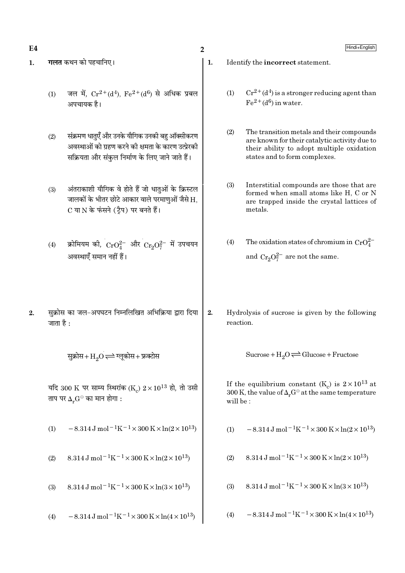$E4$ 

- गलत कथन को पहचानिए।  $\mathbf{1}$ .
	- जल में.  $Cr^{2+}(d^4)$ .  $Fe^{2+}(d^6)$  से अधिक प्रबल  $(1)$ अपचायक है।
	- संक्रमण धातएँ और उनके यौगिक उनकी बह ऑक्सीकरण  $(2)$ अवस्थाओं को ग्रहण करने की क्षमता के कारण उत्प्रेरकी सक्रियता और संकुल निर्माण के लिए जाने जाते हैं।
	- $(3)$ अंतराकाशी यौगिक वे होते हैं जो धातुओं के क्रिस्टल जालकों के भीतर छोटे आकार वाले परमाणुओं जैसे H, C या N के फंसने (टैप) पर बनते हैं।
	- क्रोमियम की,  $CrO_4^{2-}$  और  $Cr_2O_7^{2-}$  में उपचयन  $(4)$ अवस्थाएँ समान नहीं हैं।
- सुक्रोस का जल-अपघटन निम्नलिखित अभिक्रिया द्वारा दिया  $2.$ जाता है $\cdot$

सुक्रोस+ $\mathrm{H}_2\mathrm{O}$   $\rightleftharpoons$  ग्लूकोस+ फ्रक्टोस

यदि 300 K पर साम्य स्थिरांक (K)  $2 \times 10^{13}$  हो, तो उसी ताप पर  $\Delta_r G^\ominus$  का मान होगा :

 $-8.314 \text{ J} \text{ mol}^{-1} \text{K}^{-1} \times 300 \text{ K} \times \ln(2 \times 10^{13})$  $(1)$ 

- 8.314 J mol<sup>-1</sup>K<sup>-1</sup> × 300 K × ln(2 × 10<sup>13</sup>)  $(2)$
- 8.314 J mol<sup>-1</sup>K<sup>-1</sup> × 300 K × ln(3 × 10<sup>13</sup>)  $(3)$

 $-8.314 \,\mathrm{J} \,\mathrm{mol}^{-1} \mathrm{K}^{-1} \times 300 \,\mathrm{K} \times \ln(4 \times 10^{13})$  $(4)$ 

Identify the incorrect statement.

- $Cr^{2+}(d^4)$  is a stronger reducing agent than  $(1)$  $Fe<sup>2+</sup>(d<sup>6</sup>)$  in water.
- $(2)$ The transition metals and their compounds are known for their catalytic activity due to their ability to adopt multiple oxidation states and to form complexes.
- Interstitial compounds are those that are  $(3)$ formed when small atoms like H, C or N are trapped inside the crystal lattices of metals.
- The oxidation states of chromium in  $CrO_4^{2-}$  $(4)$ and  $Cr_2O_7^{2-}$  are not the same.
- 2. Hydrolysis of sucrose is given by the following reaction.

Sucrose +  $H_2O \rightleftharpoons Glucose + Fructose$ 

If the equilibrium constant (K<sub>c</sub>) is  $2 \times 10^{13}$  at 300 K, the value of  $\Delta_r G^\ominus$  at the same temperature will be:

- $-8.314 \,\mathrm{J}$  mol<sup>-1</sup>K<sup>-1</sup>×300 K×ln(2×10<sup>13</sup>)  $(1)$
- 8.314 J mol<sup>-1</sup>K<sup>-1</sup> × 300 K × ln(2 × 10<sup>13</sup>)  $(2)$
- 8.314 J mol<sup>-1</sup>K<sup>-1</sup> × 300 K × ln(3 × 10<sup>13</sup>)  $(3)$
- $-8.314 \,\mathrm{J}$  mol<sup>-1</sup>K<sup>-1</sup>×300 K×ln(4×10<sup>13</sup>)  $(4)$

 $\mathbf{1}$ .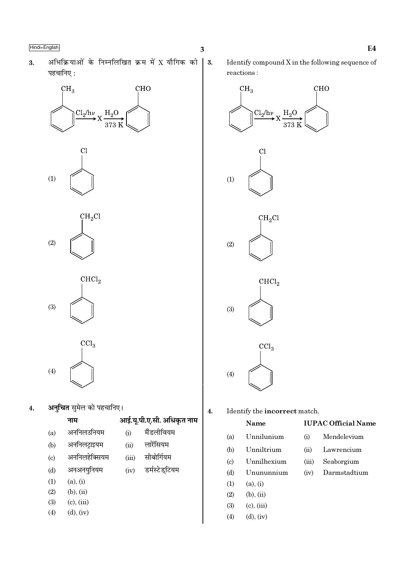अभिक्रियाओं के निम्नलिखित क्रम में X यौगिक को  $3.$ पहचानिए:





 $\mathrm{CHCl}_2$  $(3)$ 

 $\overline{\text{CCl}_3}$  $(4)$ 

अन्**चित** सुमेल को पहचानिए।  $\overline{\mathbf{4}}$ .

|                             | 71 H           |
|-----------------------------|----------------|
| (a)                         | अननिलउनियम     |
| (b)                         | अर्नानलट्राइयम |
| $\left( \mathrm{c} \right)$ | अननिलहेक्सियम  |
| (d)                         | अनअनयुनियम     |
| $\left(1\right)$            | (a), (i)       |
| $\Omega$                    | へい へぶ          |

- $(2)$  $(b)$ ,  $(ii)$
- $(3)$  $(c)$ ,  $(iii)$
- $(d)$ ,  $(iv)$  $(4)$

 $\vert$  3.

Identify compound X in the following sequence of reactions:



**IUPAC Official Name** 

Mendelevium

Lawrencium

Seaborgium

Darmstadtium

Unnilunium  $(a)$ 

 $\overline{4}$ .

आई.यू.पी.ए.सी. अधिकृत नाम

मैंडलीवियम

लारेंसियम

सीबोर्गियम

डर्मस्टेड्टियम

 $(i)$ 

 $(ii)$ 

 $(iii)$ 

 $(iv)$ 

Unniltrium  $(ii)$ 

 $(i)$ 

 $(iii)$ 

 $(iv)$ 

- Unnilhexium  $\left( \mathrm{c}\right)$
- $(d)$ Unununnium
- $(1)$  $(a), (i)$
- $(2)$  $(b), (ii)$

 $(b)$ 

- $(3)$  $(c)$ ,  $(iii)$
- $(4)$  $(d)$ ,  $(iv)$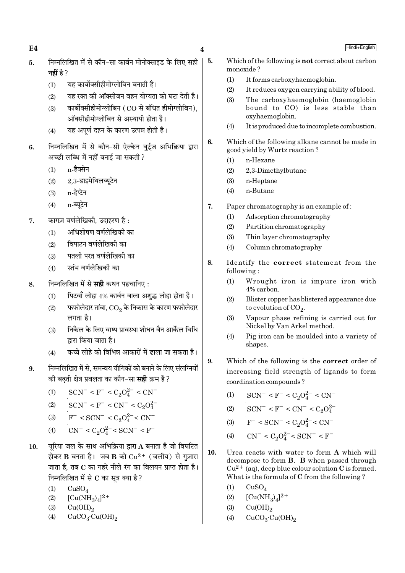$E4$ 

 $\overline{\mathbf{4}}$ 

5.

- निम्नलिखित में से कौन-सा कार्बन मोनोक्साइड के लिए सही  $\overline{5}$ . नहीं है ?
	- यह कार्बोक्सीहीमोग्लोबिन बनाती है।  $(1)$
	- यह रक्त की ऑक्सीजन वहन योग्यता को घटा देती है।  $(2)$
	- कार्बोक्सीहीमोग्लोबिन (CO से बंधित हीमोग्लोबिन).  $(3)$ ऑक्सीहीमोग्लोबिन से अस्थायी होता है।
	- यह अपूर्ण दहन के कारण उत्पन्न होती है।  $(4)$
- निम्नलिखित में से कौन-सी ऐल्केन वर्ट्ज़ अभिक्रिया द्वारा 6. अच्छी लब्धि में नहीं बनाई जा सकती ?
	- n-हैक्सेन  $(1)$
	- 2,3-डाइमेथिलब्यूटेन  $(2)$
	- n-हेप्टेन  $(3)$
	- $(4)$ n-ब्यटेन
- कागज़ वर्णलेखिकी. उदाहरण है: 7.
	- अधिशोषण वर्णलेखिकी का  $(1)$
	- विपाटन वर्णलेखिकी का  $(2)$
	- पतली परत वर्णलेखिकी का  $(3)$
	- स्तंभ वर्णलेखिकी का  $(4)$
- निम्नलिखित में से **सही** कथन पहचानिए : 8.
	- पिटवाँ लोहा 4% कार्बन वाला अशद्ध लोहा होता है।  $(1)$
	- फफोलेदार तांबा,  $\mathop{\rm CO}_2$  के निकास के कारण फफोलेदार  $(2)$ लगता है।
	- निकैल के लिए वाष्प प्रावस्था शोधन वैन आर्केल विधि  $(3)$ द्रारा किया जाता है।
	- कच्चे लोहे को विभिन्न आकारों में ढाला जा सकता है।  $(4)$
- निम्नलिखित में से. समन्वय यौगिकों को बनाने के लिए संलग्नियों  $9<sub>1</sub>$ की बढती क्षेत्र प्रबलता का कौन–सा **सही** क्रम है ?

$$
(1) \qquad {\rm SCN}^- < {\rm F}^- < {\rm C}_2{\rm O}_4^{2-} < {\rm CN}^-
$$

- $SCN^{-} < F^{-} < CN^{-} < C_2O_4^{2-}$  $(2)$
- $F^{-}$  < SCN<sup>-</sup> < C<sub>2</sub>O<sup>2</sup><sup>-</sup> < CN<sup>-</sup>  $(3)$
- $CN^{-} < C_2O_4^{2-} < SCN^{-} < F^{-}$  $(4)$
- यरिया जल के साथ अभिक्रिया द्वारा  $\bf A$  बनाता है जो विघटित 10. होकर B बनता है। जब B को  $Cu^{2+}$  (जलीय) से गुज़ारा जाता है. तब C का गहरे नीले रंग का विलयन प्राप्त होता है। निम्नलिखित में से  $\bf C$  का सत्र क्या है ?
	- $(1)$  $CuSO<sub>4</sub>$
	- $[Cu(NH_3)_4]^2$ <sup>+</sup>  $(2)$
	- $Cu(OH)<sub>2</sub>$  $(3)$
	- $(4)$  $CuCO<sub>3</sub>·Cu(OH)<sub>2</sub>$
- Which of the following is **not** correct about carbon monoxide?
	- $(1)$ It forms carboxyhaemoglobin.
	- It reduces oxygen carrying ability of blood.  $(2)$
	- $(3)$ The carboxyhaemoglobin (haemoglobin bound to CO) is less stable than oxyhaemoglobin.
	- $(4)$ It is produced due to incomplete combustion.
- 6. Which of the following alkane cannot be made in good yield by Wurtz reaction?
	- n-Hexane  $(1)$
	- 2,3-Dimethylbutane  $(2)$
	- $(3)$ n-Heptane
	- n-Butane  $(4)$
- $\overline{7}$ . Paper chromatography is an example of:
	- $(1)$ Adsorption chromatography
	- $(2)$ Partition chromatography
	- $(3)$ Thin layer chromatography
	- $(4)$ Column chromatography
- 8. Identify the correct statement from the following:
	- $(1)$ Wrought iron is impure iron with  $4\%$  carbon
	- Blister copper has blistered appearance due  $(2)$ to evolution of  $CO<sub>2</sub>$ .
	- Vapour phase refining is carried out for  $(3)$ Nickel by Van Arkel method.
	- $(4)$ Pig iron can be moulded into a variety of shapes.
- Which of the following is the correct order of 9. increasing field strength of ligands to form coordination compounds?
	- $SCN^- < F^- < C_2O_4^{2-} < CN^ (1)$
	- $SCN^- < F^- < CN^- < C_2O_4^{2-}$  $(2)$
	- $F^-$  < SCN<sup>-</sup> < C<sub>2</sub>O<sup>2-</sup> < CN<sup>-</sup>  $(3)$
	- $CN^{-} < C_2O_4^{2-} < SCN^{-} < F^{-}$  $(4)$
- $10.$ Urea reacts with water to form A which will decompose to form **B**. **B** when passed through  $Cu^{2+}$  (aq), deep blue colour solution C is formed. What is the formula of C from the following?
	- $(1)$  $CuSO<sub>4</sub>$
	- $[Cu(NH_3)_4]^{2+}$  $(2)$
	- $(3)$  $Cu(OH)_{2}$
	- $CuCO<sub>3</sub>·Cu(OH)<sub>2</sub>$  $(4)$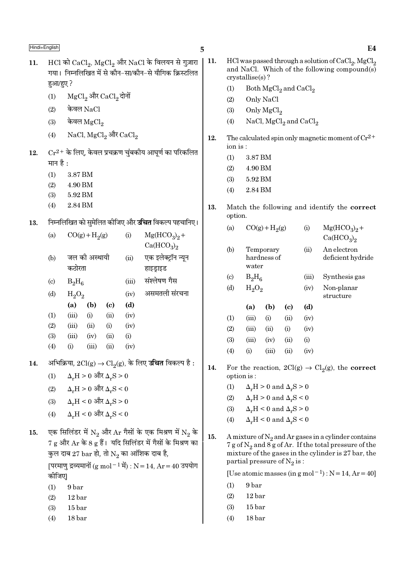|     |                            |                                                       |                   |                                              |       | Э                                                                                          |  |  |  |
|-----|----------------------------|-------------------------------------------------------|-------------------|----------------------------------------------|-------|--------------------------------------------------------------------------------------------|--|--|--|
| 11. |                            |                                                       |                   |                                              |       | $HCl$ को $CaCl2$ , $MgCl2$ और NaCl के विलयन से गुज़ारा                                     |  |  |  |
|     |                            | गया। निम्नलिखित में से कौन-सा/कौन-से यौगिक क्रिस्टलित |                   |                                              |       |                                                                                            |  |  |  |
|     |                            | हुआ/हुए ?                                             |                   |                                              |       |                                                                                            |  |  |  |
|     | (1)                        |                                                       |                   | MgCl <sub>2</sub> और CaCl <sub>2</sub> दोनों |       |                                                                                            |  |  |  |
|     | (2)                        |                                                       | केवल NaCl         |                                              |       |                                                                                            |  |  |  |
|     | (3)                        |                                                       | केवल $\rm MgCl_2$ |                                              |       |                                                                                            |  |  |  |
|     | (4)                        |                                                       |                   | $NaCl, MgCl2$ और $CaCl2$                     |       |                                                                                            |  |  |  |
| 12. |                            |                                                       |                   |                                              |       | $Cr^{2+}$ के लिए, केवल प्रचक्रण चुंबकीय आघूर्ण का परिकलित                                  |  |  |  |
|     | मान है :                   |                                                       |                   |                                              |       |                                                                                            |  |  |  |
|     | (1)                        | 3.87 BM                                               |                   |                                              |       |                                                                                            |  |  |  |
|     |                            | $(2)$ 4.90 BM                                         |                   |                                              |       |                                                                                            |  |  |  |
|     |                            | $(3) 5.92$ BM                                         |                   |                                              |       |                                                                                            |  |  |  |
|     | (4)                        | 2.84 BM                                               |                   |                                              |       |                                                                                            |  |  |  |
| 13. |                            |                                                       |                   |                                              |       | निम्नलिखित को सुमेलित कीजिए और <b>उचित</b> विकल्प पहचानिए।                                 |  |  |  |
|     | (a)                        |                                                       | $CO(g) + H2(g)$   |                                              | (i)   | $Mg(HCO3)2 +$                                                                              |  |  |  |
|     |                            |                                                       |                   |                                              |       | Ca(HCO <sub>3</sub> ) <sub>2</sub>                                                         |  |  |  |
|     | (b)                        |                                                       | जल की अस्थायी     |                                              | (ii)  | एक इलेक्ट्रॉन न्यून                                                                        |  |  |  |
|     |                            | कठोरता                                                |                   |                                              |       | हाइड्राइड                                                                                  |  |  |  |
|     | $\left( \mathrm{c}\right)$ | $B_2H_6$                                              |                   |                                              | (iii) | संश्लेषण गैस                                                                               |  |  |  |
|     | (d)                        | $H_2O_2$                                              |                   |                                              | (iv)  | असमतली संरचना                                                                              |  |  |  |
|     |                            | (a)                                                   | (b)               | (c)                                          | (d)   |                                                                                            |  |  |  |
|     | (1)                        | $(iii)$ $(i)$                                         |                   | (ii)                                         | (iv)  |                                                                                            |  |  |  |
|     | (2)                        |                                                       | $(iii)$ $(ii)$    | (i)                                          | (iv)  |                                                                                            |  |  |  |
|     | (3)                        | (iii)                                                 | (iv)              | (ii)                                         | (i)   |                                                                                            |  |  |  |
|     | (4)                        | (i)                                                   | (iii)             | (ii)                                         | (iv)  |                                                                                            |  |  |  |
| 14. |                            |                                                       |                   |                                              |       | अभिक्रिया, $2\mathrm{Cl(g)} \rightarrow \mathrm{Cl}_2(g)$ , के लिए <b>उचित</b> विकल्प है : |  |  |  |
|     | (1)                        |                                                       |                   | $\Delta_r H > 0$ और $\Delta_r S > 0$         |       |                                                                                            |  |  |  |
|     | (2)                        |                                                       |                   | $\Delta_r H > 0$ और $\Delta_r S < 0$         |       |                                                                                            |  |  |  |
|     |                            | (3) $\Delta_{\rm r} H < 0$ और $\Delta_{\rm r} S > 0$  |                   |                                              |       |                                                                                            |  |  |  |
|     | (4)                        |                                                       |                   | $\Delta_r H < 0$ और $\Delta_r S < 0$         |       |                                                                                            |  |  |  |
| 15. |                            |                                                       |                   |                                              |       | एक सिलिंडर में $N_2$ और Ar गैसों के एक मिश्रण में $N_2$ के                                 |  |  |  |
|     |                            |                                                       |                   |                                              |       | 7 g और Ar के 8 g हैं। यदि सिलिंडर में गैसों के मिश्रण का                                   |  |  |  |
|     |                            |                                                       |                   |                                              |       | कुल दाब 27 bar हो, तो $\mathrm{N}_2$ का आंशिक दाब है,                                      |  |  |  |
|     |                            |                                                       |                   |                                              |       | [परमाणु द्रव्यमानों (g mol <sup>-1</sup> में) : N = 14, Ar = 40 उपयोग                      |  |  |  |
|     | कीजिए                      |                                                       |                   |                                              |       |                                                                                            |  |  |  |
|     | (1)                        | 9 bar                                                 |                   |                                              |       |                                                                                            |  |  |  |

- $12<sub>bar</sub>$  $(2)$
- $15<sub>bar</sub>$  $(3)$
- $(4)$  $18<sub>bar</sub>$
- 11. HCl was passed through a solution of  $CaCl<sub>2</sub>$ , MgCl<sub>2</sub> and NaCl. Which of the following compound(s) crystallise(s)?
	- $(1)$ Both  $MgCl<sub>2</sub>$  and  $CaCl<sub>2</sub>$
	- $(2)$ Only NaCl
	- $(3)$ Only  $MgCl<sub>2</sub>$
	- NaCl, MgCl<sub>2</sub> and CaCl<sub>2</sub>  $(4)$
- 12. The calculated spin only magnetic moment of  $Cr^{2+}$ ion is:
	- $(1)$ 3.87 BM
	- $(2)$ 4.90 BM
	- $(3)$ 5.92 BM
	- 2.84 BM  $(4)$
- Match the following and identify the correct 13. option.

| (a)                         |                             | $CO(g) + H2(g)$          |                             |                                     | $Mg(HCO3)2 +$                      |
|-----------------------------|-----------------------------|--------------------------|-----------------------------|-------------------------------------|------------------------------------|
|                             |                             |                          |                             |                                     | Ca(HCO <sub>3</sub> ) <sub>2</sub> |
| (b)                         | water                       | Temporary<br>hardness of |                             | (ii)                                | An electron<br>deficient hydride   |
| $\left( \mathrm{c} \right)$ | $B_2H_6$                    |                          |                             | (iii)                               | Synthesis gas                      |
| (d)                         | $H_2O_2$                    |                          |                             | (iv)                                | Non-planar<br>structure            |
|                             | (a)                         | (b)                      | $\left( \mathrm{c} \right)$ | (d)                                 |                                    |
| (1)                         | (iii)                       | (i)                      | (ii)                        | (iv)                                |                                    |
| (2)                         | (iii)                       | (ii)                     | (i)                         | (iv)                                |                                    |
| (3)                         | (iii)                       | (iv)                     | (ii)                        | (i)                                 |                                    |
| (4)                         | (i)                         | (iii)                    | (ii)                        | (iv)                                |                                    |
| $\mathbf{L}$                | $\mathbf{1}$ , $\mathbf{1}$ |                          |                             | $\Omega$ $\Omega$ $\Omega$ $\Omega$ | $\cap$ $\cup$ $\cup$ $\cup$        |

- 14. For the reaction,  $2Cl(g) \rightarrow Cl_2(g)$ , the **correct** option is:
	- $\Delta_r H > 0$  and  $\Delta_r S > 0$  $(1)$
	- $(2)$  $\Delta_r H > 0$  and  $\Delta_r S < 0$
	- $\Delta_r H < 0$  and  $\Delta_r S > 0$  $(3)$
	- $(4)$  $\Delta_r H < 0$  and  $\Delta_r S < 0$
- $15.$ A mixture of  $N_2$  and Ar gases in a cylinder contains 7 g of  $N_2$  and  $8g$  of Ar. If the total pressure of the mixture of the gases in the cylinder is 27 bar, the partial pressure of  $N_2$  is:

[Use atomic masses (in  $g$  mol<sup>-1</sup>):  $N = 14$ ,  $Ar = 40$ ]

- 9 bar  $(1)$
- $(2)$  $12<sub>bar</sub>$
- $(3)$  $15<sub>bar</sub>$
- $(4)$ 18 bar

 $E4$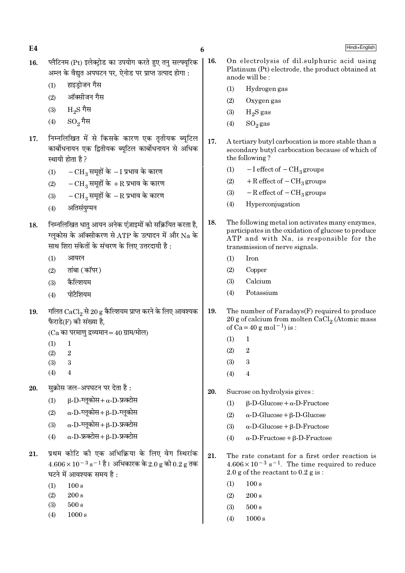| E4  |                                                                                                                                                                  | 6   |                                                                                                                                                                 | Hindi+English                                                                                                                                                                       |  |
|-----|------------------------------------------------------------------------------------------------------------------------------------------------------------------|-----|-----------------------------------------------------------------------------------------------------------------------------------------------------------------|-------------------------------------------------------------------------------------------------------------------------------------------------------------------------------------|--|
| 16. | प्लैटिनम (Pt) इलेक्ट्रोड का उपयोग करते हुए तनु सल्फ्यूरिक<br>अम्ल के वैद्युत अपघटन पर, ऐनोड पर प्राप्त उत्पाद होगा :<br>हाइडोजन गैस                              | 16. |                                                                                                                                                                 | On electrolysis of dil.sulphuric acid using<br>Platinum (Pt) electrode, the product obtained at<br>anode will be:                                                                   |  |
|     | (1)<br>ऑक्सीजन गैस                                                                                                                                               |     | (1)                                                                                                                                                             | Hydrogen gas                                                                                                                                                                        |  |
|     | (2)                                                                                                                                                              |     | (2)                                                                                                                                                             | Oxygen gas                                                                                                                                                                          |  |
|     | $_{\rm H_2}$ $\rm S$ गैस<br>(3)                                                                                                                                  |     | (3)                                                                                                                                                             | $H_2S$ gas                                                                                                                                                                          |  |
|     | $\mathrm{SO}_2$ गैस<br>(4)                                                                                                                                       |     | (4)                                                                                                                                                             | $SO_2$ gas                                                                                                                                                                          |  |
| 17. | निम्नलिखित में से किसके कारण एक तृतीयक ब्यूटिल<br>कार्बोधनायन एक द्वितीयक ब्यूटिल कार्बोधनायन से अधिक<br>स्थायी होता है?                                         | 17. |                                                                                                                                                                 | A tertiary butyl carbocation is more stable than a<br>secondary butyl carbocation because of which of<br>the following?                                                             |  |
|     | $-CH_3$ समूहों के $-I$ प्रभाव के कारण<br>(1)                                                                                                                     |     | (1)                                                                                                                                                             | $-I$ effect of $-CH_3$ groups                                                                                                                                                       |  |
|     | $-CH_3$ समूहों के +R प्रभाव के कारण<br>(2)                                                                                                                       |     | (2)                                                                                                                                                             | $+$ R effect of $-$ CH <sub>3</sub> groups                                                                                                                                          |  |
|     | $-CH_3$ समूहों के $-R$ प्रभाव के कारण<br>(3)                                                                                                                     |     | (3)                                                                                                                                                             | $-R$ effect of $-CH_3$ groups                                                                                                                                                       |  |
|     | अतिसंयुग्मन<br>(4)                                                                                                                                               |     | (4)                                                                                                                                                             | Hyperconjugation                                                                                                                                                                    |  |
| 18. | निम्नलिखित धातु आयन अनेक एंज़ाइमों को सक्रियित करता है,<br>ग्लूकोस के ऑक्सीकरण से ATP के उत्पादन में और Na के<br>साथ शिरा संकेतों के संचरण के लिए उत्तरदायी है : | 18. |                                                                                                                                                                 | The following metal ion activates many enzymes,<br>participates in the oxidation of glucose to produce<br>ATP and with Na, is responsible for the<br>transmission of nerve signals. |  |
|     | (1)<br>आयरन                                                                                                                                                      |     | (1)                                                                                                                                                             | Iron                                                                                                                                                                                |  |
|     | तांबा (कॉपर)<br>(2)                                                                                                                                              |     | (2)                                                                                                                                                             | Copper                                                                                                                                                                              |  |
|     | कैल्शियम<br>(3)                                                                                                                                                  |     | (3)                                                                                                                                                             | Calcium                                                                                                                                                                             |  |
|     | पोटैशियम<br>(4)                                                                                                                                                  |     | (4)                                                                                                                                                             | Potassium                                                                                                                                                                           |  |
| 19. | गलित $\mathrm{CaCl}_{2}$ से 20 g कैल्शियम प्राप्त करने के लिए आवश्यक<br>फैराडे(F) की संख्या है,                                                                  | 19. | The number of Faradays(F) required to produce<br>20 g of calcium from molten $CaCl2$ (Atomic mass<br>of Ca = 40 g mol <sup>-1</sup> ) is :                      |                                                                                                                                                                                     |  |
|     | $(Ca$ का परमाणु द्रव्यमान = 40 ग्राम/मोल)<br>(1)<br>1                                                                                                            |     | (1)                                                                                                                                                             | 1                                                                                                                                                                                   |  |
|     | (2)<br>$\boldsymbol{2}$                                                                                                                                          |     | (2)                                                                                                                                                             | $\boldsymbol{2}$                                                                                                                                                                    |  |
|     | $\boldsymbol{3}$<br>(3)                                                                                                                                          |     | (3)                                                                                                                                                             | $\sqrt{3}$                                                                                                                                                                          |  |
|     | (4)<br>4                                                                                                                                                         |     | (4)                                                                                                                                                             | 4                                                                                                                                                                                   |  |
| 20. | सुक्रोस जल-अपघटन पर देता है :                                                                                                                                    | 20. |                                                                                                                                                                 | Sucrose on hydrolysis gives:                                                                                                                                                        |  |
|     | $\beta$ -D-ग्लूकोस+ $\alpha$ -D-फ्रक्टोस<br>(1)                                                                                                                  |     | (1)                                                                                                                                                             | $\beta$ -D-Glucose + $\alpha$ -D-Fructose                                                                                                                                           |  |
|     | $\alpha$ -D-ग्लूकोस+ $\beta$ -D-ग्लूकोस<br>(2)                                                                                                                   |     | (2)                                                                                                                                                             | $\alpha$ -D-Glucose + $\beta$ -D-Glucose                                                                                                                                            |  |
|     | $\alpha$ -D-ग्लूकोस+ $\beta$ -D-फ्रक्टोस<br>(3)                                                                                                                  |     | (3)                                                                                                                                                             | $\alpha$ -D-Glucose + $\beta$ -D-Fructose                                                                                                                                           |  |
|     | $\alpha$ -D-फ्रक्टोस+ $\beta$ -D-फ्रक्टोस<br>(4)                                                                                                                 |     | (4)                                                                                                                                                             | $\alpha$ -D-Fructose + $\beta$ -D-Fructose                                                                                                                                          |  |
| 21. | प्रथम कोटि की एक अभिक्रिया के लिए वेग स्थिरांक<br>$4.606 \times 10^{-3}$ s <sup>-1</sup> है। अभिकारक के 2.0 g को 0.2 g तक<br>घटने में आवश्यक समय है :            | 21. | The rate constant for a first order reaction is<br>$4.606 \times 10^{-3}$ s <sup>-1</sup> . The time required to reduce<br>2.0 g of the reactant to $0.2$ g is: |                                                                                                                                                                                     |  |
|     | (1)<br>100 s                                                                                                                                                     |     | (1)                                                                                                                                                             | 100 s                                                                                                                                                                               |  |
|     | 200 s<br>(2)                                                                                                                                                     |     | (2)                                                                                                                                                             | 200 s                                                                                                                                                                               |  |
|     | $500\,\mathrm{s}$<br>(3)                                                                                                                                         |     | (3)                                                                                                                                                             | 500 s                                                                                                                                                                               |  |
|     | 1000 s<br>(4)                                                                                                                                                    |     | (4)                                                                                                                                                             | 1000 s                                                                                                                                                                              |  |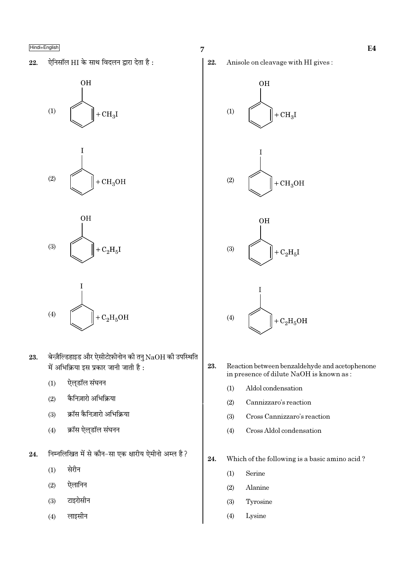ऐनिसॉल HI के साथ विदलन द्वारा देता है: 22.







$$
(4) \qquad \qquad \overline{ \bigcup_{\mathbf{a}} \mathbf{a} + \mathbf{C}_2 \mathbf{H}_5 \mathbf{O} \mathbf{H}}
$$

- बेन्ज़ैल्डिहाइड और ऐसीटोफ़ीनोन की तनु  $NaOH$  की उपस्थिति 23. में अभिक्रिया इस प्रकार जानी जाती है:
	- $(1)$ ऐल्डॉल संघनन
	- कैनिज़ारो अभिक्रिया  $(2)$
	- क्रॉस कैनिज़ारो अभिक्रिया  $(3)$
	- क्रॉस ऐल्डॉल संघनन  $(4)$
- निम्नलिखित में से कौन-सा एक क्षारीय ऐमीनो अम्ल है? 24.
	- सेरीन  $(1)$
	- ऐलानिन  $(2)$
	- टाइरोसीन  $(3)$
	- लाइसीन  $(4)$

![](_page_6_Figure_17.jpeg)

![](_page_6_Figure_18.jpeg)

![](_page_6_Figure_19.jpeg)

![](_page_6_Picture_20.jpeg)

- 23. Reaction between benzaldehyde and acetophenone in presence of dilute NaOH is known as:
	- Aldol condensation  $(1)$
	- $(2)$ Cannizzaro's reaction
	- Cross Cannizzaro's reaction  $(3)$
	- Cross Aldol condensation  $(4)$
- $24.$ Which of the following is a basic amino acid?
	- $(1)$ Serine
	- $(2)$ Alanine
	- $(3)$ Tyrosine
	- $(4)$ Lysine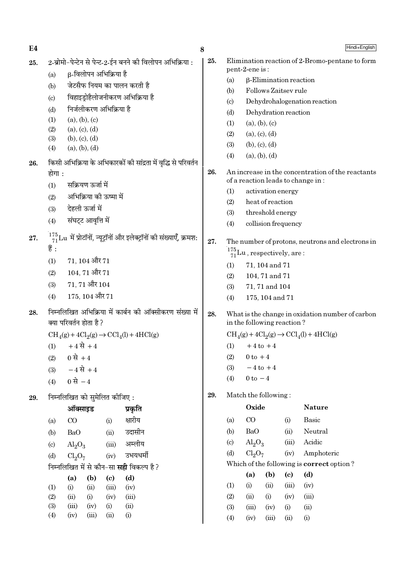8 2-ब्रोमो-पेन्टेन से पेन्ट-2-ईन बनने की विलोपन अभिक्रिया : 25. Elimination reaction of 2-Bromo-pentane to form  $25.$ pent-2-ene is: ß-विलोपन अभिक्रिया है  $(a)$  $(a)$ **B-Elimination reaction** जेटसैफ नियम का पालन करती है  $(b)$ Follows Zaitsev rule  $(b)$ विहाइडोहैलोजनीकरण अभिक्रिया है  $(c)$ Dehydrohalogenation reaction  $(c)$ निर्जलीकरण अभिक्रिया है  $(d)$ Dehydration reaction  $(d)$  $(a)$ ,  $(b)$ ,  $(c)$  $(1)$  $(a), (b), (c)$  $(1)$  $(2)$  $(a), (c), (d)$  $(2)$  $(a), (c), (d)$  $(b), (c), (d)$  $(3)$  $(3)$  $(b), (c), (d)$  $(4)$  $(a)$ ,  $(b)$ ,  $(d)$  $(a), (b), (d)$  $(4)$ किसी अभिक्रिया के अभिकारकों की सांद्रता में वद्भि से परिवर्तन 26. 26. An increase in the concentration of the reactants होगा : of a reaction leads to change in: सक्रियण ऊर्जा में  $(1)$  $(1)$ activation energy  $(2)$ अभिक्रिया की ऊष्मा में  $(2)$ heat of reaction देहली ऊर्जा में  $(3)$  $(3)$ threshold energy संघट्ट आवृत्ति में  $(4)$  $(4)$ collision frequency  $\frac{175}{71}$ Lu में प्रोटॉनों, न्यूट्रॉनों और इलेक्ट्रॉनों की संख्याएँ, क्रमश: 27. 27. The number of protons, neutrons and electrons in हैं :  $\frac{175}{71}$ Lu, respectively, are:  $(1)$  $71.104$  और  $71$ 71, 104 and 71  $(1)$  $104.71$  और  $71$  $(2)$  $(2)$ 104, 71 and 71 71, 71 और 104  $(3)$ 71, 71 and 104  $(3)$ 175, 104 और 71  $(4)$ 175, 104 and 71  $(4)$ निम्नलिखित अभिक्रिया में कार्बन की ऑक्सीकरण संख्या में 28. 28 What is the change in oxidation number of carbon क्या परिवर्तन होता है ? in the following reaction?  $\text{CH}_4(g) + 4\text{Cl}_2(g) \rightarrow \text{CCl}_4(l) + 4\text{HCl}(g)$  $\text{CH}_4(g) + 4\text{Cl}_2(g) \rightarrow \text{CCl}_4(l) + 4\text{HCl}(g)$  $+4 \vec{R} + 4$  $(1)$  $+4$  to  $+4$  $(1)$  $0 \text{ to } +4$ 0 से +4  $(2)$  $(2)$  $(3)$  $-4$  to  $+4$  $-4 \vec{R} + 4$  $(3)$  $0 \text{ to } -4$  $(4)$ 0 से  $-4$  $(4)$ 29. Match the following: निम्नलिखित को सुमेलित कीजिए: 29. Oxide **Nature** ऑक्साइड प्रकृति क्षारीय  $CO$ Basic  $CQ$  $(a)$  $(i)$  $(a)$  $(i)$  $(b)$ B<sub>a</sub>O  $(ii)$ Neutral **BaO** उदासीन  $(b)$  $(ii)$  $(c)$  $\text{Al}_2\text{O}_3$  $(iii)$ Acidic अम्लीय  $(c)$  $\text{Al}_2\text{O}_3$  $(iii)$ Amphoteric  $Cl<sub>2</sub>O<sub>7</sub>$  $(iv)$  $(d)$ उभयधर्मी  $Cl<sub>2</sub>O<sub>7</sub>$  $(d)$  $(iv)$ Which of the following is correct option? निम्नलिखित में से कौन–सा **सद्दी** विकल्प है ?  $(d)$  $(a)$ (b)  $\left( \mathrm{e}\right)$  $(a)$  $(b)$  $(d)$  $(c)$  $(1)$  $(i)$  $(ii)$  $(iii)$  $(iv)$  $(1)$  $(i)$  $(ii)$  $(iii)$  $(iv)$  $(2)$  $(iii)$  $(2)$  $(iii)$  $(ii)$  $(i)$  $(iv)$  $(ii)$  $(i)$  $(iv)$  $(3)$  $(iii)$  $(iv)$  $(i)$  $(ii)$  $(3)$  $(iii)$  $(ii)$  $(iv)$  $(i)$  $(iii)$  $(i)$ 

 $(4)$ 

 $(iv)$ 

 $(iii)$ 

 $(ii)$ 

 $(i)$ 

Hindi+English

 $E4$ 

 $(4)$ 

 $(iv)$ 

 $(ii)$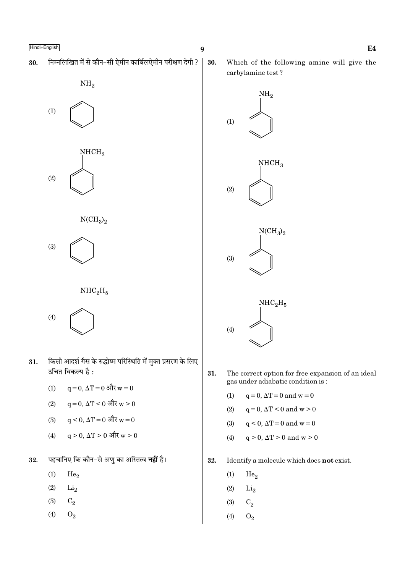निम्नलिखित में से कौन-सी ऐमीन कार्बिलऐमीन परीक्षण देगी ? 30.

![](_page_8_Figure_2.jpeg)

![](_page_8_Figure_3.jpeg)

![](_page_8_Figure_4.jpeg)

 $NHC<sub>2</sub>H<sub>5</sub>$  $(4)$ 

- किसी आदर्श गैस के रुद्धोष्म परिस्थिति में मुक्त प्रसरण के लिए 31. उचित विकल्प है:
	- $q = 0$ ,  $\Delta T = 0$  और  $w = 0$  $(1)$
	- $q = 0$ ,  $\Delta T < 0$  और  $w > 0$  $(2)$
	- $q \le 0$ ,  $\Delta T = 0$  और  $w = 0$  $(3)$
	- $q > 0$ ,  $\Delta T > 0$  और  $w > 0$  $(4)$
- पहचानिए कि कौन-से अणु का अस्तित्व **नहीं** है। 32.
	- $(1)$  $He<sub>2</sub>$
	- $(2)$  $Li<sub>2</sub>$
	- $(3)$  $C_2$
	- $(4)$  $O_2$

30.

Which of the following amine will give the carbylamine test?

![](_page_8_Figure_18.jpeg)

- 31. The correct option for free expansion of an ideal gas under adiabatic condition is:
	- $(1)$  $q = 0$ ,  $\Delta T = 0$  and  $w = 0$
	- $(2)$  $q=0, \Delta T < 0$  and  $w > 0$
	- $(3)$  $q \leq 0$ ,  $\Delta T = 0$  and  $w = 0$
	- $q > 0$ ,  $\Delta T > 0$  and  $w > 0$  $(4)$
- 32. Identify a molecule which does not exist.
	- $(1)$  $He<sub>2</sub>$
	- $(2)$  $Li<sub>2</sub>$
	- $\mathrm{C}_2$  $(3)$
	- $(4)$  $O_2$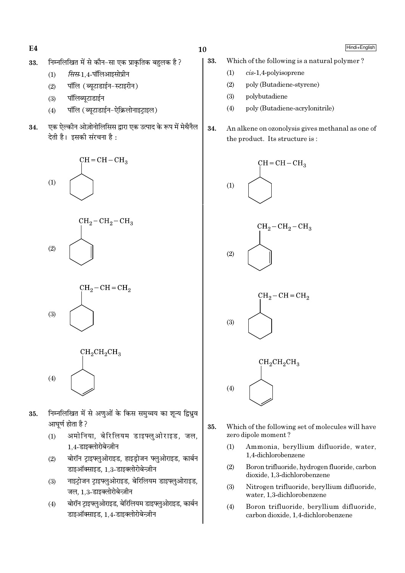$E4$ 

#### निम्नलिखित में से कौन-सा एक प्राकतिक बहलक है? 33.

- सिस-1.4-पॉलिआइसोप्रीन  $(1)$
- पॉलि (ब्यटाडाईन-स्टाइरीन)  $(2)$
- पॉलिब्युटाडाईन  $(3)$
- पॉलि (ब्युटाडाईन-ऐक्रिलोनाइटाइल)  $(4)$
- एक ऐल्कीन ओज़ोनोलिसिस द्वारा एक उत्पाद के रूप में मेथैनैल 34. देती है। इसकी संरचना है :

![](_page_9_Figure_7.jpeg)

- निम्नलिखित में से अणओं के किस समच्चय का शन्य द्विध्रव 35. आघर्ण होता है ?
	- अमोनिया, बेरिलियम डाइफ्लुओराइड, जल,  $(1)$ 1.4-डाइक्लोरोबेन्ज़ीन
	- बोरॉन ट्राइफ्लुओराइड, हाइड़ोजन फ्लुओराइड, कार्बन  $(2)$ डाइऑक्साइड, 1,3-डाइक्लोरोबेन्ज़ीन
	- नाइटोजन टाइफ्लओराइड, बेरिलियम डाइफ्लओराइड,  $(3)$ जल, 1.3-डाइक्लोरोबेन्ज़ीन
	- बोरॉन ट्राइफ्लुओराइड, बेरिलियम डाइफ्लुओराइड, कार्बन  $(4)$ डाइऑक्साइड, 1.4-डाइक्लोरोबेन्ज़ीन

 $10$ 

- 33. Which of the following is a natural polymer?
	- $cis-1.4$ -polvisoprene  $(1)$
	- $(2)$ poly (Butadiene-styrene)
	- $(3)$ polybutadiene
	- poly (Butadiene-acrylonitrile)  $(4)$
- 34. An alkene on ozonolysis gives methanal as one of the product. Its structure is:

![](_page_9_Figure_21.jpeg)

- 35. Which of the following set of molecules will have zero dipole moment?
	- Ammonia, bervllium difluoride, water.  $(1)$ 1.4-dichlorobenzene
	- $(2)$ Boron trifluoride, hydrogen fluoride, carbon dioxide, 1,3-dichlorobenzene
	- $(3)$ Nitrogen trifluoride, beryllium difluoride, water, 1,3-dichlorobenzene
	- $(4)$ Boron trifluoride, beryllium difluoride, carbon dioxide, 1,4-dichlorobenzene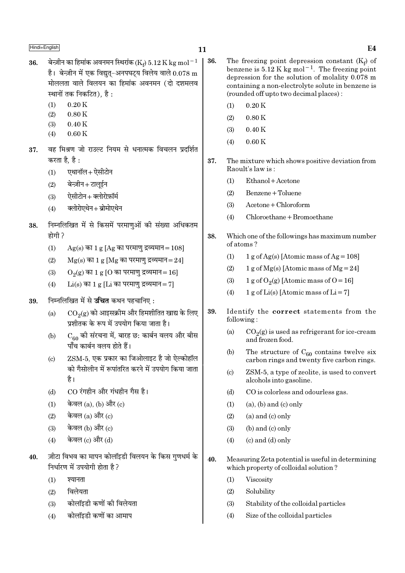- बेन्ज़ीन का हिमांक अवनमन स्थिरांक (Ke)  $5.12$  K kg mol $^{-1}$ 36. है। बेन्ज़ीन में एक विद्यत-अनपघटय विलेय वाले  $0.078 \text{ m}$ मोललता वाले विलयन का हिमांक अवनमन (दो दशमलव स्थानों तक निकटित). है :
	- $0.20K$  $(1)$
	- $(2)$  $0.80K$
	- $(3)$  $0.40K$  $(4)$  $0.60K$

करता है. है :

- वह मिश्रण जो राउल्ट नियम से धनात्मक विचलन प्रदर्शित 37.
	- एथानॉल+ ऐसीटोन  $(1)$
	- बेन्ज़ीन+टालुईन  $(2)$
	- ऐसीटोन + क्लोरोफ़ॉर्म  $(3)$
	- क्लोरोएथेन + ब्रोमोएथेन  $(4)$
- निम्नलिखित में से किसमें परमाणुओं की संख्या अधिकतम 38. होगी ?
	- $(1)$  $Ag(s)$  का 1 g [Ag का परमाणु द्रव्यमान = 108]
	- $(2)$  $Mg(s)$  का 1  $g$  [Mg का परमाणु द्रव्यमान=24]
	- $O<sub>9</sub>(g)$  का 1 g [O का परमाणु द्रव्यमान = 16]  $(3)$
	- $Li(s)$  का 1 g [Li का परमाणु द्रव्यमान = 7]  $(4)$
- निम्नलिखित में से **उचित** कथन पहचानिए: 39.
	- $CO<sub>9</sub>(g)$  को आइसक्रीम और हिमशीतित खाद्य के लिए  $(a)$ प्रशीतक के रूप में उपयोग किया जाता है।
	- $\mathrm{C}_{60}$  की संरचना में, बारह छ: कार्बन वलय और बीस  $(b)$ पाँच कार्बन वलय होते हैं।
	- ZSM-5, एक प्रकार का जिओलाइट है जो ऐल्कोहॉल  $(c)$ को गैसोलीन में रूपांतरित करने में उपयोग किया जाता है।
	- CO रंगहीन और गंधहीन गैस है।  $(d)$
	- केवल (a), (b) और (c)  $(1)$
	- केवल (a) और (c)  $(2)$
	- केवल (b) और (c)  $(3)$
	- केवल (c) और (d)  $(4)$
- ज़ीटा विभव का मापन कोलॉइडी विलयन के किस गुणधर्म के 40. निर्धारण में उपयोगी होता है ?
	- $(1)$ श्यानता
	- विलेयता  $(2)$
	- कोलॉइडी कणों की विलेयता  $(3)$
	- कोलॉइडी कणों का आमाप  $(4)$
- 36. The freezing point depression constant  $(K_f)$  of benzene is 5.12 K kg mol<sup>-1</sup>. The freezing point depression for the solution of molality 0.078 m containing a non-electrolyte solute in benzene is (rounded off up to two decimal places):
	- $0.20K$  $(1)$
	- $(2)$  $0.80K$
	- $(3)$  $0.40K$
	- $0.60K$  $(4)$
- 37. The mixture which shows positive deviation from Raoult's law is:
	- $(1)$ Ethanol + Acetone
	- $(2)$ Benzene + Toluene
	- $A$ cetone + Chloroform  $(3)$
	- Chloroethane + Bromoethane  $(4)$
- 38. Which one of the followings has maximum number of atoms?
	- $(1)$ 1 g of Ag(s) [Atomic mass of Ag =  $108$ ]
	- 1 g of Mg(s) [Atomic mass of Mg = 24]  $(2)$
	- $(3)$ 1 g of  $O_2(g)$  [Atomic mass of  $O = 16$ ]
	- 1 g of Li(s) [Atomic mass of Li = 7]  $(4)$
- 39. Identify the correct statements from the following:
	- $(a)$  $CO<sub>2</sub>(g)$  is used as refrigerant for ice-cream and frozen food.
	- $(b)$ The structure of  $C_{60}$  contains twelve six carbon rings and twenty five carbon rings.
	- $(c)$ ZSM-5, a type of zeolite, is used to convert alcohols into gasoline.
	- $(d)$ CO is colorless and odourless gas.
	- $(1)$  $(a)$ ,  $(b)$  and  $(c)$  only
	- $(2)$  $(a)$  and  $(c)$  only
	- $(b)$  and  $(c)$  only  $(3)$
	- $(c)$  and  $(d)$  only  $(4)$
- $40.$ Measuring Zeta potential is useful in determining which property of colloidal solution?
	- $(1)$ Viscosity
	- $(2)$ Solubility
	- $(3)$ Stability of the colloidal particles
	- $(4)$ Size of the colloidal particles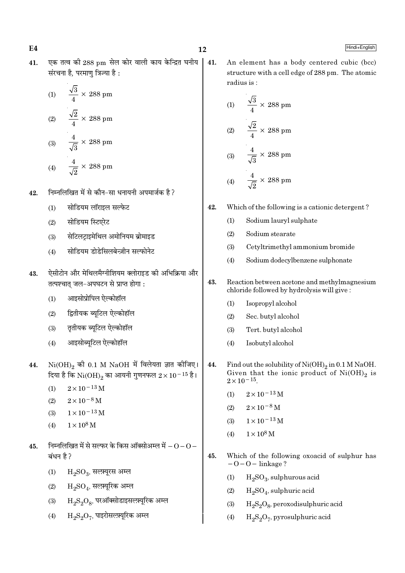एक तत्व की 288 pm सेल कोर वाली काय केन्द्रित घनीय 41. संरचना है. परमाण त्रिज्या है :

(1) 
$$
\frac{\sqrt{3}}{4} \times 288 \text{ pm}
$$
  
(2) 
$$
\frac{\sqrt{2}}{4} \times 288 \text{ pm}
$$
  
(3) 
$$
\frac{4}{\sqrt{3}} \times 288 \text{ pm}
$$
  
(4) 
$$
\frac{4}{\sqrt{2}} \times 288 \text{ pm}
$$

- निम्नलिखित में से कौन-सा धनायनी अपमार्जक है ? 42.
	- सोडियम लॉराइल सल्फेट  $(1)$
	- सोडियम स्टिएरेट  $(2)$
	- सेटिलटाइमेथिल अमोनियम ब्रोमाइड  $(3)$
	- सोडियम डोडेसिलबेन्ज़ीन सल्फोनेट  $(4)$
- ऐसीटोन और मेथिलमैग्नीशियम क्लोराइड की अभिक्रिया और 43. तत्पश्चात् जल-अपघटन से प्राप्त होगा:
	- आइसोप्रोपिल ऐल्कोहॉल  $(1)$
	- द्वितीयक ब्यूटिल ऐल्कोहॉल  $(2)$
	- तृतीयक ब्यूटिल ऐल्कोहॉल  $(3)$
	- आइसोब्युटिल ऐल्कोहॉल  $(4)$
- $\mathrm{Ni(OH)}_{2}$  की 0.1 M  $\mathrm{NaOH}$  में विलेयता ज्ञात कीजिए। 44. दिया है कि  $\rm Ni(OH)_2$  का आयनी गुणनफल  $2\times 10^{-15}$  है।
	- $2 \times 10^{-13}$  M  $(1)$
	- $(2)$  $2 \times 10^{-8}$  M
	- $1 \times 10^{-13}$  M  $(3)$
	- $1 \times 10^8$  M  $(4)$
- निम्नलिखित में से सल्फर के किस ऑक्सोअम्ल में  $\rm O$   $\rm O$   $-$ 45. बंधन है ?
	- $(1)$  $H_2SO_3$ , सलम्यूरस अम्ल
	- $\mathrm{H_{2}SO_{4}}$ , सल्फ़्यूरिक अम्ल  $(2)$
	- $\mathrm{H_{2}S_{2}O_{8}}$ , परऑक्सोडाइसल्फ़्यूरिक अम्ल  $(3)$
	- $H_2S_2O_7$ , पाइरोसल्फ़्यूरिक अम्ल  $(4)$

41. An element has a body centered cubic (bcc) structure with a cell edge of 288 pm. The atomic radius is:

(1) 
$$
\frac{\sqrt{3}}{4} \times 288 \text{ pm}
$$
  
(2) 
$$
\frac{\sqrt{2}}{4} \times 288 \text{ pm}
$$
  
(3) 
$$
\frac{4}{\sqrt{3}} \times 288 \text{ pm}
$$
  
(4) 
$$
\frac{4}{\sqrt{2}} \times 288 \text{ pm}
$$

- Which of the following is a cationic detergent? 42.
	- Sodium lauryl sulphate  $(1)$
	- $(2)$ Sodium stearate
	- $(3)$ Cetyltrimethyl ammonium bromide
	- Sodium dodecylbenzene sulphonate  $(4)$
- 43. Reaction between acetone and methylmagnesium chloride followed by hydrolysis will give:
	- $(1)$ Isopropyl alcohol
	- $(2)$ Sec. butyl alcohol
	- $(3)$ Tert. butyl alcohol
	- Isobutyl alcohol  $(4)$
- 44. Find out the solubility of  $Ni(OH)_2$  in 0.1 M NaOH. Given that the ionic product of  $Ni(OH)_2$  is  $2 \times 10^{-15}$ .
	- $2 \times 10^{-13}$  M  $(1)$
	- $2 \times 10^{-8}$  M  $(2)$
	- $1 \times 10^{-13}$  M  $(3)$
	- $1 \times 10^8$  M  $(4)$
- 45. Which of the following oxoacid of sulphur has  $-0-0$  – linkage?
	- $H_2SO_3$ , sulphurous acid  $(1)$
	- $H_2SO_4$ , sulphuric acid  $(2)$
	- $H_2S_2O_8$ , peroxodisulphuric acid  $(3)$
	- $H_2S_2O_7$ , pyrosulphuric acid  $(4)$

# $E4$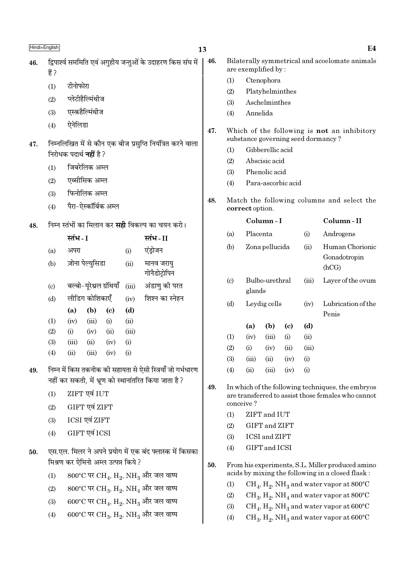- टीनोफोरा  $(1)$
- प्लेटीहैल्मिंथीज  $(2)$
- एस्कहैल्मिंथीज  $(3)$
- ऐनेलिडा  $(4)$
- निम्नलिखित में से कौन एक बीज प्रसुप्ति नियंत्रित करने वाला 47. निरोधक पदार्थ **नहीं** है ?
	- $(1)$ जिबरेलिक अम्ल
	- एब्सीसिक अम्ल  $(2)$
	- फिनोलिक अम्ल  $(3)$
	- पैरा-ऐस्कॉर्बिक अम्ल  $(4)$
- निम्न स्तंभों का मिलान कर **सही** विकल्प का चयन करो। 48.

|                           | स्तंभ - I |                          |      |          | स्तंभ - II                  |
|---------------------------|-----------|--------------------------|------|----------|-----------------------------|
| (a)                       | अपरा      |                          |      | (i)      | एंड्रोजन                    |
| (b)                       |           | ज़ोना पेल्युसिडा         |      | (ii)     | मानव जरायु<br>गोनैडोट्रोपिन |
| $\left( \text{c} \right)$ |           | बल्बो-यूरेथ्रल ग्रंथियाँ |      | (iii)    | अंडाणु की परत               |
| (d)                       |           | लीडिग कोशिकाएँ           |      | (iv)     | शिश्न का स्नेहन             |
|                           | (a)       | (b)                      | (c)  | (d)      |                             |
| (1)                       | (iv)      | (iii)                    | (i)  | (ii)     |                             |
| (2)                       | (i)       | (iv)                     | (ii) | (iii)    |                             |
| (3)                       | (iii)     | (ii)                     | (iv) | (i)      |                             |
| (4)                       | (ii)      | (iii)                    | (iv) | $\rm(i)$ |                             |

- निम्न में किस तकनीक की सहायता से ऐसी स्त्रियाँ जो गर्भधारण 49. नहीं कर सकती. में भ्रण को स्थानांतरित किया जाता है ?
	- ZIFT एवं IUT  $(1)$
	- GIFT एवं ZIFT  $(2)$
	- ICSI एवं ZIFT  $(3)$
	- GIFT एवं ICSI  $(4)$
- एस.एल. मिलर ने अपने प्रयोग में एक बंद फ्लास्क में किसका 50 मिश्रण कर ऐमिनो अम्ल उत्पन्न किये ?
	- $800^{\circ}$ C पर CH<sub>4</sub>, H<sub>2</sub>, NH<sub>3</sub> और जल वाष्प  $(1)$
	- $800^{\circ}$ C पर CH<sub>3</sub>, H<sub>2</sub>, NH<sub>4</sub> और जल वाष्प  $(2)$
	- $600^{\circ}$ C पर CH<sub>4</sub>, H<sub>2</sub>, NH<sub>3</sub> और जल वाष्प  $(3)$
	- $600^{\circ}$ C पर CH<sub>3</sub>, H<sub>2</sub>, NH<sub>3</sub> और जल वाष्प  $(4)$

46. Bilaterally symmetrical and acoelomate animals are exemplified by:

- Ctenophora  $(1)$
- $(2)$ Platyhelminthes
- $(3)$ Aschelminthes
- Annelida  $(4)$
- 47. Which of the following is not an inhibitory substance governing seed dormancy?
	- Gibberellic acid  $(1)$
	- Abscisic acid  $(2)$
	- Phenolic acid  $(3)$
	- Para-ascorbic acid  $(4)$
- 48. Match the following columns and select the correct option.

|                             |          | Column - I     |      |       | Column - II                              |
|-----------------------------|----------|----------------|------|-------|------------------------------------------|
| (a)                         | Placenta |                |      | (i)   | Androgens                                |
| (b)                         |          | Zona pellucida |      | (ii)  | Human Chorionic<br>Gonadotropin<br>(hCG) |
| $\left( \mathrm{c} \right)$ | glands   | Bulbo-urethral |      | (iii) | Layer of the ovum                        |
| (d)                         |          | Leydig cells   |      |       | Lubrication of the<br>Penis              |
|                             | (a)      | (b)            | (c)  | (d)   |                                          |
| (1)                         | (iv)     | (iii)          | (i)  | (ii)  |                                          |
| (2)                         | (i)      | (iv)           | (ii) | (iii) |                                          |
| (3)                         | (iii)    | (ii)           | (iv) | (i)   |                                          |
| (4)                         | $\sin$   | (iii)          | (iv) | (i)   |                                          |

- 49. In which of the following techniques, the embryos are transferred to assist those females who cannot conceive?
	- ZIFT and IUT  $(1)$
	- $(2)$ GIFT and ZIFT
	- **ICSI** and **ZIFT**  $(3)$
	- GIFT and ICSI  $(4)$
- 50. From his experiments, S.L. Miller produced amino acids by mixing the following in a closed flask:
	- $(1)$  $CH_4$ ,  $H_2$ , NH<sub>3</sub> and water vapor at 800°C
	- $(2)$  $CH_3$ ,  $H_2$ , NH<sub>4</sub> and water vapor at 800°C
	- $CH_4$ ,  $H_2$ , NH<sub>3</sub> and water vapor at 600°C  $(3)$
	- $\rm CH_{3}, \rm H_{2}, \rm NH_{3}$  and water vapor at  $600^{\circ}\rm C$  $(4)$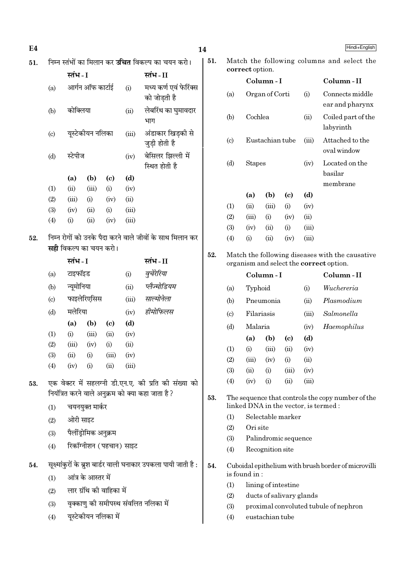| E4  |                           |                                                          |                          |                                   |             |                                                                 | 14                                              |                                                   |                                            |                                          |                            |            | Hindi+English                                       |
|-----|---------------------------|----------------------------------------------------------|--------------------------|-----------------------------------|-------------|-----------------------------------------------------------------|-------------------------------------------------|---------------------------------------------------|--------------------------------------------|------------------------------------------|----------------------------|------------|-----------------------------------------------------|
| 51. |                           | निम्न स्तंभों का मिलान कर <b>उचित</b> विकल्प का चयन करो। |                          |                                   |             |                                                                 |                                                 |                                                   | Match the following columns and select the |                                          |                            |            |                                                     |
|     |                           | स्तंभ - I                                                |                          |                                   |             | स्तंभ-II                                                        |                                                 |                                                   |                                            | correct option.                          |                            |            |                                                     |
|     | (a)                       |                                                          | आर्गन ऑफ कार्टाई         |                                   | (i)         | मध्य कर्ण एवं फेरिंक्स                                          |                                                 |                                                   |                                            | Column-I                                 |                            |            | Column-II                                           |
|     |                           |                                                          |                          |                                   |             | को जोड़ती है                                                    |                                                 | (a)                                               |                                            | Organ of Corti                           |                            | (i)        | Connects middle<br>ear and pharynx                  |
|     | (b)                       | कोक्लिया                                                 |                          |                                   | (ii)        | लेबरिंथ का घुमावदार<br>भाग                                      |                                                 | (b)                                               | Cochlea                                    |                                          |                            | (ii)       | Coiled part of the                                  |
|     | $\left( \text{c} \right)$ |                                                          | यूस्टेकीयन नलिका         |                                   | (iii)       | अंडाकार खिड़की से                                               |                                                 |                                                   |                                            |                                          |                            |            | labyrinth                                           |
|     |                           |                                                          |                          |                                   |             | जुड़ी होती है                                                   |                                                 | $\left( \mathrm{c}\right)$                        |                                            | Eustachian tube                          |                            | (iii)      | Attached to the<br>oval window                      |
|     | (d)                       | स्टेपीज                                                  |                          |                                   | (iv)        | बेसिलर झिल्ली में                                               |                                                 | (d)<br><b>Stapes</b><br>(iv)                      |                                            |                                          | Located on the             |            |                                                     |
|     |                           |                                                          |                          |                                   |             | स्थित होती है                                                   |                                                 |                                                   |                                            |                                          |                            |            | basilar                                             |
|     | (1)                       | (a)<br>(ii)                                              | (b)<br>(iii)             | $\left( \mathrm{c}\right)$<br>(i) | (d)<br>(iv) |                                                                 |                                                 |                                                   |                                            |                                          |                            |            | membrane                                            |
|     | (2)                       | (iii)                                                    | (i)                      | (iv)                              | (ii)        |                                                                 |                                                 |                                                   | (a)                                        | (b)                                      | $\left( \mathrm{c}\right)$ | (d)        |                                                     |
|     | (3)                       | (iv)                                                     | (ii)                     | (i)                               | (iii)       |                                                                 |                                                 | (1)                                               | (ii)                                       | (iii)                                    | (i)                        | (iv)       |                                                     |
|     | (4)                       | (i)                                                      | (ii)                     | (iv)                              | (iii)       |                                                                 |                                                 | (2)                                               | (iii)                                      | (i)                                      | (iv)                       | (ii)       |                                                     |
|     |                           |                                                          |                          |                                   |             |                                                                 |                                                 | (3)                                               | (iv)                                       | (ii)                                     | (i)                        | (iii)      |                                                     |
| 52. |                           |                                                          |                          |                                   |             | निम्न रोगों को उनके पैदा करने वाले जीवों के साथ मिलान कर        |                                                 | (4)                                               | (i)                                        | (ii)                                     | (iv)                       | (iii)      |                                                     |
|     |                           | <b>सही</b> विकल्प का चयन करो।                            |                          |                                   |             | 52.                                                             | Match the following diseases with the causative |                                                   |                                            |                                          |                            |            |                                                     |
|     |                           | स्तंभ - I                                                |                          | स्तंभ-II                          |             | organism and select the correct option.                         |                                                 |                                                   |                                            |                                          |                            |            |                                                     |
|     | (a)                       | टाइफॉइड<br>(i)                                           |                          |                                   | वुचेरेरिया  |                                                                 |                                                 |                                                   | Column-I                                   |                                          |                            | Column-II  |                                                     |
|     | (b)                       | न्यूमोनिया                                               |                          |                                   | (ii)        | प्लैज्मोडियम                                                    |                                                 | (a)                                               | Typhoid                                    |                                          |                            | (i)        | Wuchereria                                          |
|     | (c)                       |                                                          | फाइलेरिएसिस              |                                   | (iii)       | साल्मोनेला                                                      |                                                 | (b)                                               |                                            | Pneumonia                                |                            | (ii)       | Plasmodium                                          |
|     | (d)                       | मलेरिया                                                  |                          |                                   | (iv)        | हीमोफिलस                                                        |                                                 | $\left( \mathrm{c}\right)$                        | Filariasis<br>(iii)                        |                                          |                            | Salmonella |                                                     |
|     |                           | (a)                                                      | (b)                      | $\left( \mathrm{c}\right)$        | (d)         |                                                                 |                                                 | (d)                                               | Malaria                                    |                                          |                            | (iv)       | Haemophilus                                         |
|     | (1)                       | (i)                                                      | (iii)                    | (ii)                              | (iv)        |                                                                 |                                                 |                                                   | (a)                                        | (b)                                      | $\left( \mathrm{c}\right)$ | (d)        |                                                     |
|     | (2)                       | (iii)                                                    | (iv)                     | (i)                               | (ii)        |                                                                 |                                                 | (1)                                               | (i)                                        | (iii)                                    | (ii)                       | (iv)       |                                                     |
|     | (3)                       | (ii)                                                     | (i)                      | (iii)                             | (iv)        |                                                                 |                                                 | (2)                                               | (iii)                                      | (iv)                                     | (i)                        | (ii)       |                                                     |
|     | (4)                       | (iv)                                                     | (i)                      | (ii)                              | (iii)       |                                                                 |                                                 | (3)                                               | (ii)                                       | (i)                                      | (iii)                      | (iv)       |                                                     |
| 53. |                           |                                                          |                          |                                   |             | एक वेक्टर में सहलग्नी डी.एन.ए. की प्रति की संख्या को            |                                                 | (4)                                               | (iv)                                       | (i)                                      | (ii)                       | (iii)      |                                                     |
|     |                           |                                                          |                          |                                   |             | नियंत्रित करने वाले अनुक्रम को क्या कहा जाता है ?               | 53.                                             | The sequence that controls the copy number of the |                                            |                                          |                            |            |                                                     |
|     | (1)                       |                                                          | चयनयुक्त मार्कर          |                                   |             |                                                                 |                                                 | linked DNA in the vector, is termed :             |                                            |                                          |                            |            |                                                     |
|     | (2)                       | ओरी साइट                                                 |                          |                                   |             |                                                                 |                                                 | (1)                                               |                                            | Selectable marker                        |                            |            |                                                     |
|     | (3)                       |                                                          | पैलींड्रोमिक अनुक्रम     |                                   |             |                                                                 |                                                 | (2)                                               | Ori site                                   |                                          |                            |            |                                                     |
|     | (4)                       |                                                          | रिकॉग्नीशन (पहचान) साइट  |                                   |             |                                                                 |                                                 | (3)<br>(4)                                        |                                            | Palindromic sequence<br>Recognition site |                            |            |                                                     |
| 54. |                           |                                                          |                          |                                   |             | सूक्ष्मांकुरों के ब्रुश बार्डर वाली घनाकार उपकला पायी जाती है : | 54.                                             |                                                   |                                            |                                          |                            |            | Cuboidal epithelium with brush border of microvilli |
|     | (1)                       |                                                          | आंत्र के आस्तर में       |                                   |             |                                                                 |                                                 |                                                   | is found in:                               |                                          |                            |            |                                                     |
|     | (2)                       |                                                          | लार ग्रंथि की वाहिका में |                                   |             |                                                                 |                                                 | (1)                                               |                                            | lining of intestine                      |                            |            |                                                     |
|     | (3)                       |                                                          |                          |                                   |             | वृक्काणु को समीपस्थ संवलित नलिका में                            |                                                 | (2)                                               |                                            | ducts of salivary glands                 |                            |            |                                                     |
|     |                           |                                                          |                          |                                   |             |                                                                 |                                                 | (3)                                               |                                            |                                          |                            |            | proximal convoluted tubule of nephron               |
|     | (4)                       | यूस्टेकीयन नलिका में                                     |                          |                                   |             |                                                                 |                                                 | (4)                                               |                                            | eustachian tube                          |                            |            |                                                     |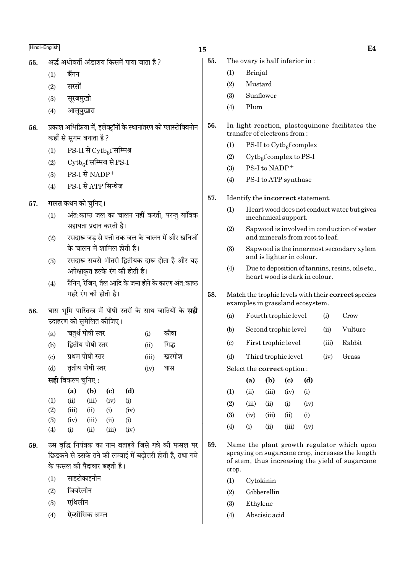# $\blacksquare$ Hindi+English  $\blacksquare$

- 55. अर्द्ध अधोवर्ती अंडाशय किसमें पाया जाता है ?
	- $(1)$  बैंगन
	- $(2)$  सरसों
	- (3) सुरजमुखी
	- $(4)$  आलबखारा
- 56. प्रकाश अभिक्रिया में, इलेक्ट्रॉनों के स्थानांतरण को प्लास्टोक्विनोन कहाँ से सुगम बनाता है ?
	- (1) PS-II से Cytb<sub>6</sub>f सम्मिश्र
	- (2)  $\quad$  Cytb<sub>6</sub>f सम्मिश्र से PS-I
	- $(3)$  PS-I से NADP<sup>+</sup>
	- $(4)$  PS-I से ATP सिन्थेज
- 57. **गलत** कथन को चुनिए।
	- $(1)$  अंत:काष्ठ जल का चालन नहीं करती, परन्तु यांत्रिक सहायता प्रदान करती है।
	- (2) रसदारू जड से पत्ती तक जल के चालन में और खनिजों के चालन में शामिल होती है।
	- (3) ⁄ रसदारू सबसे भीतरी द्वितीयक दारू होता है और यह अपेक्षाकृत हल्के रंग की होती है।
	- $(4)$  टैनिन, रेजिन, तैल आदि के जमा होने के कारण अंत:काष्ठ  $\overline{v}$ गहरे रंग की होती है।
- 58. घास भमि पारितन्त्र में पोषी स्तरों के साथ जातियों के सही उदाहरण को सुमेलित कीजिए।
	- (a) चतर्थ पोषी स्तर (i) कौवा
	- (b) द्वितीय पोषी स्तर (ii) गिद्ध
	- (c) प्रथम पोषी स्तर (iii) खरगोश
	- $(d)$  वतीय पोषी स्तर  $(iv)$  घास

**सही** विकल्प चनिए :

|                   | (a)   | (b)   | (c)   | (d)      |
|-------------------|-------|-------|-------|----------|
| $\rm(1)$          | (ii)  | (iii) | (iv)  | $\rm(i)$ |
| (2)               | (iii) | (ii)  | (i)   | (iv)     |
| (3)               | (iv)  | (iii) | (ii)  | $\rm(i)$ |
| $\left( 4\right)$ | (i)   | (ii)  | (iii) | (iv)     |

- 59. उस वृद्धि नियंत्रक का नाम बताइये जिसे गन्ने की फसल पर िछिडकने से उसके तने की लम्बाई में बढोत्तरी होती है. तथा गन्ने के फसल की पैदावार बढती है।
	- $(1)$  साइटोकाइनीन
	- $(2)$  जिबरेलीन
	- $(3)$  एथिलीन
	- (4) ऐब्सीसिक अम्ल
- 55. The ovary is half inferior in :
	- (1) Brinjal
	- (2) Mustard
	- (3) Sunflower
	- (4) Plum
- 56. In light reaction, plastoquinone facilitates the transfer of electrons from :
	- (1) PS-II to  $\text{Cytb}_6\text{f}$  complex
	- (2) Cytb<sub>6</sub>f complex to PS-I
	- (3) PS-I to  $NADP<sup>+</sup>$
	- (4) PS-I to ATP synthase
- 57. Identify the incorrect statement.
	- (1) Heart wood does not conduct water but gives mechanical support.
	- (2) Sapwood is involved in conduction of water and minerals from root to leaf.
	- (3) Sapwood is the innermost secondary xylem and is lighter in colour.
	- (4) Due to deposition of tannins, resins, oils etc., heart wood is dark in colour.

### 58. Match the trophic levels with their correct species examples in grassland ecosystem.

- (a) Fourth trophic level (i) Crow
- (b) Second trophic level (ii) Vulture
- (c) First trophic level (iii) Rabbit
- (d) Third trophic level (iv) Grass
- Select the correct option :

|     | (a)   | (b)    | (c)   | (d)       |
|-----|-------|--------|-------|-----------|
| (1) | (ii)  | (iii)  | (iv)  | $\rm(i)$  |
| (2) | (iii) | (ii)   | (i)   | (iv)      |
| (3) | (iv)  | (iii)  | (ii)  | $\rm (i)$ |
| (4) | (i)   | $\sin$ | (iii) | (iv)      |

- 59. Name the plant growth regulator which upon spraying on sugarcane crop, increases the length of stem, thus increasing the yield of sugarcane crop.
	- (1) Cytokinin
	- (2) Gibberellin
	- (3) Ethylene
	- (4) Abscisic acid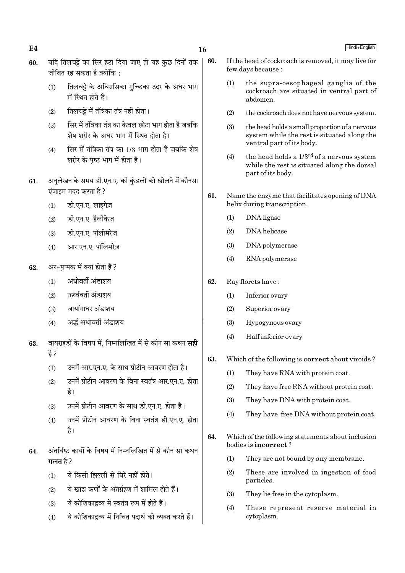16

60.

- यदि तिलचट्टे का सिर हटा दिया जाए तो यह कछ दिनों तक 60. जीवित रह सकता है क्योंकि $\cdot$ 
	- तिलचट्टे के अधिग्रसिका गच्छिका उदर के अधर भाग  $(1)$ में स्थित होते हैं।
	- तिलचट्टे में तंत्रिका तंत्र नहीं होता।  $(2)$
	- सिर में तंत्रिका तंत्र का केवल छोटा भाग होता है जबकि  $(3)$ शेष शरीर के अधर भाग में स्थित होता है।
	- सिर में तंत्रिका तंत्र का 1/3 भाग होता है जबकि शेष  $(4)$ शरीर के पष्ठ भाग में होता है।
- अनुलेखन के समय डी.एन.ए. की कुंडली को खोलने में कौनसा 61. एंजाइम मदद करता है २
	- डी.एन.ए. लाइगेज़  $(1)$
	- डी.एन.ए. हैलीकेज़  $(2)$
	- डी.एन.ए. पॉलीमरेज़  $(3)$
	- आर.एन.ए. पॉलिमरेज़  $(4)$
- अर-पुष्पक में क्या होता है ? 62.
	- अधोवर्ती अंडाशय  $(1)$
	- रुर्ध्ववर्ती अंडाशय  $(2)$
	- जायांगाधर अंडाशय  $(3)$
	- अर्द्ध अधोवर्ती अंडाशय  $(4)$
- वायराइडों के विषय में, निम्नलिखित में से कौन सा कथन **सही** 63. है ?
	- $(1)$ उनमें आर.एन.ए. के साथ प्रोटीन आवरण होता है।
	- उनमें प्रोटीन आवरण के बिना स्वतंत्र आर.एन.ए. होता  $(2)$ है।
	- उनमें प्रोटीन आवरण के साथ डी.एन.ए. होता है।  $(3)$
	- उनमें प्रोटीन आवरण के बिना स्वतंत्र डी.एन.ए. होता  $(4)$ है।
- अंतर्विष्ट कायों के विषय में निम्नलिखित में से कौन सा कथन 64. गलत $\frac{3}{6}$ ?
	- ये किसी झिल्ली से घिरे नहीं होते।  $(1)$
	- ये खाद्य कणों के अंतर्ग्रहण में शामिल होते हैं।  $(2)$
	- ये कोशिकाद्रव्य में स्वतंत्र रूप में होते हैं।  $(3)$
	- ये कोशिकाद्रव्य में निचित पदार्थ को व्यक्त करते हैं।  $(4)$
- If the head of cockroach is removed, it may live for few days because :
	- the supra-oesophageal ganglia of the  $(1)$ cockroach are situated in ventral part of abdomen.
	- the cockroach does not have nervous system.  $(2)$
- $(3)$ the head holds a small proportion of a nervous system while the rest is situated along the ventral part of its body.
- the head holds a 1/3<sup>rd</sup> of a nervous system  $(4)$ while the rest is situated along the dorsal part of its body.
- 61. Name the enzyme that facilitates opening of DNA helix during transcription.
	- $(1)$ DNA ligase
	- DNA helicase  $(2)$
	- $(3)$ DNA polymerase
	- $(4)$ RNA polymerase
- Ray florets have: 62.
	- $(1)$ Inferior ovary
	- $(2)$ Superior ovary
	- $(3)$ Hypogynous ovary
	- $(4)$ Half inferior ovary
- Which of the following is **correct** about viroids? 63.
	- $(1)$ They have RNA with protein coat.
	- $(2)$ They have free RNA without protein coat.
	- $(3)$ They have DNA with protein coat.
	- They have free DNA without protein coat.  $(4)$
- 64. Which of the following statements about inclusion bodies is **incorrect**?
	- $(1)$ They are not bound by any membrane.
	- $(2)$ These are involved in ingestion of food particles.
	- $(3)$ They lie free in the cytoplasm.
	- $(4)$ These represent reserve material in cytoplasm.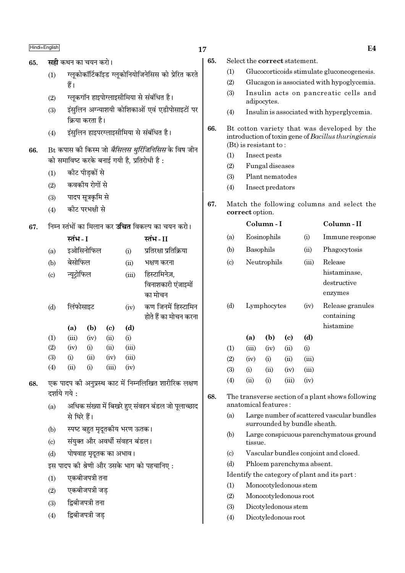- सही कथन का चयन करो। 65.
	- ग्लकोकॉर्टिकॉइड ग्लकोनियोजिनेसिस को प्रेरित करते  $(1)$ हैं।
	- ग्लुकगॉन हाइपोग्लाइसीमिया से संबंधित है।  $(2)$
	- इंसुलिन अग्न्याशयी कोशिकाओं एवं एडीपोसाइटों पर  $(3)$ क्रिया करता है।
	- इंसुलिन हाइपरग्लाइसीमिया से संबंधित है।  $(4)$
- Bt कपास की किस्म जो *बैसिलस थूरिंजिनिसिस* के विष जीन 66. को समाविष्ट करके बनाई गयी है. प्रतिरोधी है:
	- कीट पीडकों से  $(1)$
	- कवकीय रोगों से  $(2)$
	- पादप सूत्रकृमि से  $(3)$
	- कीट परभक्षी से  $(4)$
- निम्न स्तंभों का मिलान कर **उचित** विकल्प का चयन करो। 67.

|                            | स्तंभ - I   |           |       |       | स्तंभ - II             |
|----------------------------|-------------|-----------|-------|-------|------------------------|
| (a)                        |             | इओसिनोफिल |       | (i)   | प्रतिरक्षा प्रतिक्रिया |
| (b)                        | बेसोफिल     |           |       | (ii)  | भक्षण करना             |
| $\left( \mathrm{c}\right)$ | न्यूट्रोफिल |           |       | (iii) | हिस्टामिनेज़,          |
|                            |             |           |       |       | विनाशकारी एंजाइमों     |
|                            |             |           |       |       | का मोचन                |
| (d)                        | लिंफोसाइट   |           |       | (iv)  | कण जिनमें हिस्टामिन    |
|                            |             |           |       |       | होते हैं का मोचन करना  |
|                            | (a)         | (b)       | (c)   | (d)   |                        |
| (1)                        | (iii)       | (iv)      | (ii)  | (i)   |                        |
| (2)                        | (iv)        | (i)       | (ii)  | (iii) |                        |
| (3)                        | (i)         | (ii)      | (iv)  | (iii) |                        |
| (4)                        | (ii)        | (i)       | (iii) | (iv)  |                        |

- 68. एक पादप को अनप्रस्थ काट में निम्नलिखित शारीरिक लक्षण दर्शाये गये:
	- अधिक संख्या में बिखरे हुए संवहन बंडल जो पुलाच्छाद  $(a)$ से घिरे हैं।
	- स्पष्ट बहुत मृदूतकीय भरण ऊतक।  $(h)$
	- संयुक्त और अवर्धी संवहन बंडल।  $\left( \mathrm{c}\right)$
	- पोषवाह मृदुतक का अभाव।  $(d)$
	- इस पादप की श्रेणी और उसके भाग को पहचानिए :
	- एकबीजपत्री तना  $(1)$
	- एकबीजपत्री जड  $(2)$
	- द्विबीजपत्री तना  $(3)$
	- द्विबीजपत्री जड  $(4)$
- 17
	- 65. Select the correct statement.
		- $(1)$ Glucocorticoids stimulate gluconeogenesis.
		- $(2)$ Glucagon is associated with hypoglycemia.
		- Insulin acts on pancreatic cells and  $(3)$ adipocytes.
		- $(4)$ Insulin is associated with hyperglycemia.
	- 66. Bt cotton variety that was developed by the introduction of toxin gene of Bacillus thuringiensis  $(Bt)$  is resistant to:
		- $(1)$ Insect pests
		- Fungal diseases  $(2)$
		- $(3)$ Plant nematodes
		- Insect predators  $(4)$
	- 67. Match the following columns and select the correct option.

|                            |       | Column - I  |                             |       | Column - II                                            |
|----------------------------|-------|-------------|-----------------------------|-------|--------------------------------------------------------|
| (a)                        |       | Eosinophils |                             | (i)   | Immune response                                        |
| (b)                        |       | Basophils   |                             | (ii)  | Phagocytosis                                           |
| $\left( \mathrm{c}\right)$ |       | Neutrophils |                             | (iii) | Release<br>histaminase,<br>destructive                 |
| (d)                        |       | Lymphocytes |                             | (iv)  | enzymes<br>Release granules<br>containing<br>histamine |
|                            | (a)   | (b)         | $\left( \mathrm{c} \right)$ | (d)   |                                                        |
| (1)                        | (iii) | (iv)        | (ii)                        | (i)   |                                                        |
| (2)                        | (iv)  | (i)         | (ii)                        | (iii) |                                                        |
| (3)                        | (i)   | (ii)        | (iv)                        | (iii) |                                                        |
| (4)                        | (ii)  | (i)         | (iii)                       | (iv)  |                                                        |
|                            |       |             |                             |       |                                                        |

- 68. The transverse section of a plant shows following anatomical features:
	- Large number of scattered vascular bundles  $(a)$ surrounded by bundle sheath.
	- $(b)$ Large conspicuous parenchymatous ground tissue.
	- $\left( \mathrm{c}\right)$ Vascular bundles conjoint and closed.
	- $(d)$ Phloem parenchyma absent.
	- Identify the category of plant and its part:
	- Monocotyledonous stem  $(1)$
	- $(2)$ Monocotyledonous root
	- $(3)$ Dicotyledonous stem
	- Dicotyledonous root  $(4)$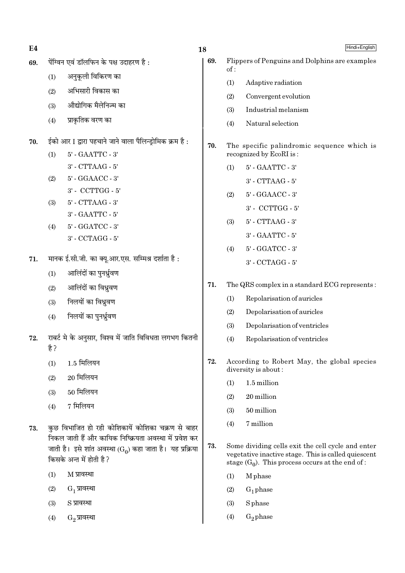$E<sub>4</sub>$ 

- पेंग्विन एवं डॉलफिन के पक्ष उदाहरण है: 69.
	- अनुकूली विकिरण का  $(1)$
	- अभिसारी विकास का  $(2)$
	- औद्योगिक मैलेनिज्म का  $(3)$
	- प्राकतिक वरण का  $(4)$
- ईको आर I द्वारा पहचाने जाने वाला पैलिन्ड्रोमिक क्रम है : 70.
	- 5' GAATTC 3'  $(1)$  $3'$  - CTTAAG -  $5'$
	- $(2)$ 5' - GGAACC - 3' 3' - CCTTGG - 5'
	- 5' CTTAAG 3'  $(3)$
	- 3' GAATTC 5'
	- 5' GGATCC 3'  $(4)$  $3'$  - CCTAGG -  $5'$
- मानक ई.सी.जी. का क्यू.आर.एस. सम्मिश्र दर्शाता है: 71.
	- आलिंदों का पनर्ध्रवण  $(1)$
	- आलिंदों का विध्रुवण  $(2)$
	- निलयों का विध्रवण  $(3)$
	- निलयों का पुनर्ध्रुवण  $(4)$
- राबर्ट मे के अनुसार, विश्व में जाति विविधता लगभग कितनी 72. है ?
	- 1.5 मिलियन  $(1)$
	- 20 मिलियन  $(2)$
	- 50 मिलियन  $(3)$
	- 7 मिलियन  $(4)$
- कुछ विभाजित हो रही कोशिकायें कोशिका चक्रण से बाहर 73. निकल जाती हैं और कायिक निष्क्रियता अवस्था में प्रवेश कर जाती है। इसे शांत अवस्था ( $G_0$ ) कहा जाता है। यह प्रक्रिया किसके अन्त में होती है?
	- $(1)$ M प्रावस्था
	- $(2)$  $G_1$  प्रावस्था
	- S प्रावस्था  $(3)$
	- G<sub>2</sub> प्रावस्था  $(4)$
- Hindi+English
- 69. Flippers of Penguins and Dolphins are examples  $of:$ 
	- $(1)$ Adaptive radiation
	- $(2)$ Convergent evolution
	- $(3)$ Industrial melanism
	- Natural selection  $(4)$
- 70. The specific palindromic sequence which is recognized by EcoRI is:
	- 5' GAATTC 3'  $(1)$ 
		- $3'$  CTTAAG  $5'$
	- 5' GGAACC 3'  $(2)$ 
		- 3' CCTTGG 5'
	- 5' CTTAAG 3'  $(3)$ 
		- 3' GAATTC 5'
	- 5' GGATCC 3'  $(4)$ 3' - CCTAGG - 5'
- 71. The QRS complex in a standard ECG represents:
	- $(1)$ Repolarisation of auricles
	- $(2)$ Depolarisation of auricles
	- Depolarisation of ventricles  $(3)$
	- Repolarisation of ventricles  $(4)$
- 72. According to Robert May, the global species diversity is about:
	- $(1)$ 1.5 million
	- $(2)$ 20 million
	- $(3)$ 50 million
	- 7 million  $(4)$
- 73. Some dividing cells exit the cell cycle and enter vegetative inactive stage. This is called quiescent stage  $(G_0)$ . This process occurs at the end of:
	- M<sub>phase</sub>  $(1)$
	- $G_1$  phase  $(2)$
	- S<sub>phase</sub>  $(3)$
	- $(4)$  $G_2$ phase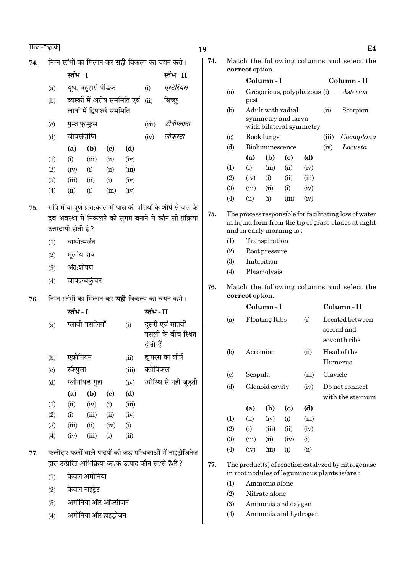75.

76.

74.

#### $E4$

| निम्न स्तंभों का मिलान कर <b>सही</b> विकल्प का चयन करो।                                                                                                 |                       |                                        |                               |                              |            | 74.                                                         | Match the following columns and select the                                                                                                 |                                                                                                     |            |                             |                            |                         |            |                                               |
|---------------------------------------------------------------------------------------------------------------------------------------------------------|-----------------------|----------------------------------------|-------------------------------|------------------------------|------------|-------------------------------------------------------------|--------------------------------------------------------------------------------------------------------------------------------------------|-----------------------------------------------------------------------------------------------------|------------|-----------------------------|----------------------------|-------------------------|------------|-----------------------------------------------|
|                                                                                                                                                         | स्तंभ - I<br>स्तंभ-II |                                        |                               |                              |            |                                                             | correct option.<br>Column-I                                                                                                                |                                                                                                     |            |                             |                            | Column - II             |            |                                               |
| (a)                                                                                                                                                     |                       | यूथ, बहुहारी पीडक                      |                               |                              | (i)        | एस्टेरियस                                                   |                                                                                                                                            | (a)                                                                                                 |            |                             |                            |                         |            | Asterias                                      |
| (b)                                                                                                                                                     |                       |                                        |                               | व्यस्कों में अरीय सममिति एवं | (ii)       | बिच्छ                                                       |                                                                                                                                            |                                                                                                     | pest       | Gregarious, polyphagous (i) |                            |                         |            |                                               |
|                                                                                                                                                         |                       |                                        | लार्वा में द्विपार्श्व सममिति |                              |            |                                                             |                                                                                                                                            | (b)                                                                                                 |            | Adult with radial           |                            |                         | (ii)       | Scorpion                                      |
| $\left( \mathrm{c} \right)$                                                                                                                             |                       | पुस्त फुप्फुस                          |                               |                              | (iii)      | टीनोप्लाना                                                  |                                                                                                                                            |                                                                                                     |            | symmetry and larva          |                            | with bilateral symmetry |            |                                               |
| (d)                                                                                                                                                     | जीवसंदीप्ति           |                                        |                               |                              | (iv)       | लोकस्टा                                                     | $\left( \circ \right)$                                                                                                                     |                                                                                                     | Book lungs |                             |                            | (iii)                   | Ctenoplana |                                               |
|                                                                                                                                                         | (a)                   | (b)                                    | $\left( \mathrm{c}\right)$    | (d)                          |            |                                                             |                                                                                                                                            | (d)                                                                                                 |            | Bioluminescence             |                            |                         | (iv)       | Locusta                                       |
| (1)                                                                                                                                                     | (i)                   | (iii)                                  | (ii)                          | (iv)                         |            |                                                             |                                                                                                                                            |                                                                                                     | (a)        | (b)                         | $\left( \mathrm{c}\right)$ | (d)                     |            |                                               |
| (2)                                                                                                                                                     | (iv)                  | (i)                                    | (ii)                          | (iii)                        |            |                                                             |                                                                                                                                            | (1)                                                                                                 | (i)        | (iii)                       | (ii)                       | (iv)                    |            |                                               |
| (3)                                                                                                                                                     | (iii)                 | (ii)                                   | (i)                           | (iv)                         |            |                                                             |                                                                                                                                            | (2)                                                                                                 | (iv)       | (i)                         | (ii)                       | (iii)                   |            |                                               |
| (4)                                                                                                                                                     | (ii)                  | (i)                                    | (iii)                         | (iv)                         |            |                                                             |                                                                                                                                            | (3)                                                                                                 | (iii)      | (ii)                        | (i)                        | (iv)                    |            |                                               |
|                                                                                                                                                         |                       |                                        |                               |                              |            |                                                             |                                                                                                                                            | (4)                                                                                                 | (ii)       | (i)                         | (iii)                      | (iv)                    |            |                                               |
| रात्रि में या पूर्ण प्रात:काल में घास की पत्तियों के शीर्ष से जल के<br>द्रव अवस्था में निकलने को सुगम बनाने में कौन सी प्रक्रिया<br>उत्तरदायी होती है ? |                       |                                        |                               |                              |            | 75.                                                         | The process responsible for facilitating loss of water<br>in liquid form from the tip of grass blades at night<br>and in early morning is: |                                                                                                     |            |                             |                            |                         |            |                                               |
| (1)                                                                                                                                                     | वाष्पोत्सर्जन         |                                        |                               |                              |            |                                                             |                                                                                                                                            | (1)                                                                                                 |            | Transpiration               |                            |                         |            |                                               |
| (2)                                                                                                                                                     | मूलीय दाब             |                                        |                               |                              |            |                                                             |                                                                                                                                            | (2)                                                                                                 |            | Root pressure               |                            |                         |            |                                               |
| (3)                                                                                                                                                     | अंत:शोषण              |                                        |                               |                              |            |                                                             |                                                                                                                                            | (3)                                                                                                 | Imbibition |                             |                            |                         |            |                                               |
| (4)                                                                                                                                                     | जीवद्रव्यकुंचन        |                                        |                               |                              |            |                                                             |                                                                                                                                            | (4)                                                                                                 |            | Plasmolysis                 |                            |                         |            |                                               |
|                                                                                                                                                         |                       |                                        |                               |                              |            |                                                             | 76.                                                                                                                                        |                                                                                                     |            |                             |                            |                         |            | Match the following columns and select the    |
|                                                                                                                                                         |                       |                                        |                               |                              |            | निम्न स्तंभों का मिलान कर <b>सही</b> विकल्प का चयन करो।     |                                                                                                                                            | correct option.                                                                                     |            |                             |                            |                         |            |                                               |
|                                                                                                                                                         | स्तंभ - I             |                                        |                               |                              | स्तंभ - II |                                                             |                                                                                                                                            |                                                                                                     |            | Column - I                  |                            |                         |            | Column-II                                     |
| (a)                                                                                                                                                     |                       | प्लावी पसलियाँ                         |                               | (i)                          | होती हैं   | दूसरी एवं सातवीं<br>पसली के बीच स्थित                       |                                                                                                                                            | (a)                                                                                                 |            | <b>Floating Ribs</b><br>(i) |                            |                         |            | Located between<br>second and<br>seventh ribs |
| (b)                                                                                                                                                     | एक्रोमियन             |                                        |                               | (ii)                         |            | ह्यूमरस का शीर्ष                                            |                                                                                                                                            | (b)                                                                                                 |            | Acromion                    |                            | (ii)                    |            | Head of the                                   |
| $\left( \mathrm{c}\right)$                                                                                                                              | स्कैपुला              |                                        |                               | (iii)                        | क्लेविकल   |                                                             |                                                                                                                                            |                                                                                                     |            |                             |                            |                         | Humerus    |                                               |
| (d)                                                                                                                                                     |                       | ग्लीनॉयड गुहा                          |                               | (iv)                         |            | उरोस्थि से नहीं जुड़ती                                      |                                                                                                                                            | $\left( \circ \right)$                                                                              | Scapula    |                             |                            | (iii)                   | Clavicle   |                                               |
|                                                                                                                                                         | (a)                   | (b)                                    | $\left( \mathbf{c} \right)$   | (d)                          |            |                                                             |                                                                                                                                            | (d)                                                                                                 |            | Glenoid cavity              |                            | (iv)                    |            | Do not connect<br>with the sternum            |
| (1)                                                                                                                                                     | (ii)                  | (iv)                                   | (i)                           | (iii)                        |            |                                                             |                                                                                                                                            |                                                                                                     | (a)        | (b)                         | (c)                        | (d)                     |            |                                               |
| (2)                                                                                                                                                     | (i)                   | (iii)                                  | (ii)                          | (iv)                         |            |                                                             |                                                                                                                                            | (1)                                                                                                 | (ii)       | (iv)                        | (i)                        | (iii)                   |            |                                               |
| (3)                                                                                                                                                     | (iii)                 | (ii)                                   | (iv)                          | (i)                          |            |                                                             |                                                                                                                                            | (2)                                                                                                 | (i)        | (iii)                       | (ii)                       | (iv)                    |            |                                               |
| (4)                                                                                                                                                     | (iv)                  | (iii)                                  | (i)                           | (ii)                         |            |                                                             |                                                                                                                                            | (3)                                                                                                 | (iii)      | (ii)                        | (iv)                       | (i)                     |            |                                               |
|                                                                                                                                                         |                       |                                        |                               |                              |            | फलीदार फलों वाले पादपों की जड़ ग्रन्थिकाओं में नाइट्रोजिनेज |                                                                                                                                            | (4)                                                                                                 | (iv)       | (iii)                       | (i)                        | (ii)                    |            |                                               |
|                                                                                                                                                         |                       |                                        |                               |                              |            | द्वारा उत्प्रेरित अभिक्रिया का/के उत्पाद कौन सा/से है/हैं ? | 77.                                                                                                                                        |                                                                                                     |            |                             |                            |                         |            |                                               |
| (1)                                                                                                                                                     |                       | $\frac{\lambda}{\lambda}$ ਕਕ ਪਾਸੇਤਿਸ਼ਾ |                               |                              |            |                                                             |                                                                                                                                            | The product(s) of reaction catalyzed by nitrogenase<br>in root nodules of leguminous plants is/are: |            |                             |                            |                         |            |                                               |

- $(1)$ 
	- $(2)$ Nitrate alone
	- $(3)$ Ammonia and oxygen

Ammonia alone

 $(4)$ Ammonia and hydrogen

- 
- एक्रोमियन
- स्कैपुला  $\left( \mathrm{c}\right)$
- ग्लीनॉयड गु  $(d)$  $(a)$  $(b)$  $(1)$  $(ii)$  $(iv)$  $(2)$  $(i)$  $(iii)$
- $(3)$  $(iii)$  $(ii)$  $(4)$  $(iv)$  $(iii)$
- फलीदार फलों वाले 77. द्वारा उत्प्रेरित अभिक्रि
	- केवल अमोनिया  $(1)$
	- केवल नाइट्रेट  $(2)$
	- अमोनिया और ऑक्सीजन  $(3)$
	- अमोनिया और हाइड़ोजन  $(4)$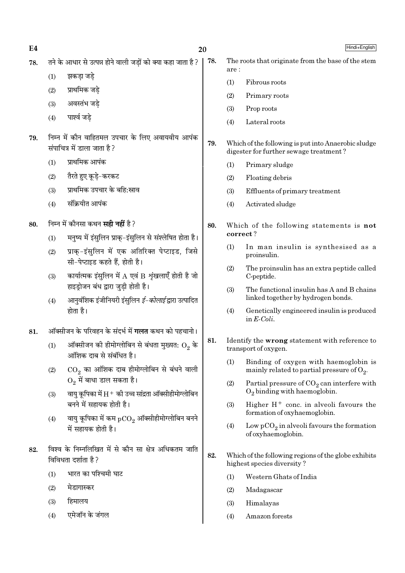$E4$ 

78.

- तने के आधार से उत्पन्न होने वाली जड़ों को क्या कहा जाता है ? 78.
	- झकडा जडे  $(1)$
	- प्राथमिक जडे  $(2)$
	- अवस्तंभ जडे  $(3)$
	- पार्श्व जडे  $(4)$
- निम्न में कौन वाहितमल उपचार के लिए अवायवीय आपंक 79. संपाचित्र में डाला जाता है ?
	- प्राथमिक आपंक  $(1)$
	- तैरते हुए कडे-करकट  $(2)$
	- प्राथमिक उपचार के बहि:स्राव  $(3)$
	- संकियीत आपंक  $(4)$
- निम्न में कौनसा कथन **सद्गी नहीं** है ? 80.
	- मनष्य में इंसलिन प्राक-इंसलिन से संश्लेषित होता है।  $(1)$
	- प्राक-इंसलिन में एक अतिरिक्त पेप्टाइड, जिसे  $(2)$ सी-पेप्टाइड कहते हैं. होती है।
	- कार्यात्मक इंसुलिन में  $A$  एवं  $B$  शृंखलाएँ होती है जो  $(3)$ हाइड़ोजन बंध द्वारा जुडी होती है।
	- आनुवंशिक इंजीनियरी इंसुलिन *ई–कोलाई* द्वारा उत्पादित  $(4)$ होता है।
- ऑक्सीजन के परिवहन के संदर्भ में **गलत** कथन को पहचानो। 81.
	- ऑक्सीजन की हीमोग्लोबिन से बंधता मुख्यत:  $\mathrm{O}_2$  के  $(1)$ आंशिक दाब से संबंधित है।
	- $\mathrm{CO}_2$  का आंशिक दाब हीमोग्लोबिन से बंधने वाली  $(2)$  $O_2$  में बाधा डाल सकता है।
	- वायु कूपिका में  $H^+$  की उच्च सांद्रता ऑक्सीहीमोग्लोबिन  $(3)$ बनने में सहायक होती है।
	- वायु कूपिका में कम  $pCO<sub>2</sub>$  ऑक्सीहीमोग्लोबिन बनने  $(4)$ में सहायक होती है।
- विश्व के निम्नलिखित में से कौन सा क्षेत्र अधिकतम जाति 82. विविधता दर्शाता है ?
	- भारत का पश्चिमी घाट  $(1)$
	- $(2)$ मेडागास्कर
	- हिमालय  $(3)$
	- एमेजॉन के जंगल  $(4)$
- The roots that originate from the base of the stem  $are '$  $(1)$ Fibrous roots
- $(2)$ Primary roots
- $(3)$ Prop roots
- $(4)$ Lateral roots
- 79. Which of the following is put into Anaerobic sludge digester for further sewage treatment?
	- Primary sludge  $(1)$
	- $(2)$ Floating debris
	- $(3)$ Effluents of primary treatment
	- $(4)$ Activated sludge
- 80. Which of the following statements is not correct?
	- $(1)$ In man insulin is synthesised as a proinsulin.
	- The proinsulin has an extra peptide called  $(2)$ C-peptide.
	- The functional insulin has A and B chains  $(3)$ linked together by hydrogen bonds.
	- $(4)$ Genetically engineered insulin is produced in  $E\text{-}Coli$ .
- 81. Identify the wrong statement with reference to transport of oxygen.
	- $(1)$ Binding of oxygen with haemoglobin is mainly related to partial pressure of  $O_2$ .
	- $(2)$ Partial pressure of  $CO<sub>2</sub>$  can interfere with  $O<sub>2</sub>$  binding with haemoglobin.
	- Higher  $H^+$  conc. in alveoli favours the  $(3)$ formation of oxyhaemoglobin.
	- $(4)$ Low  $pCO<sub>2</sub>$  in alveoli favours the formation of oxyhaemoglobin.
- 82. Which of the following regions of the globe exhibits highest species diversity?
	- $(1)$ Western Ghats of India
	- $(2)$ Madagascar
	- $(3)$ Himalayas
	- Amazon forests  $(4)$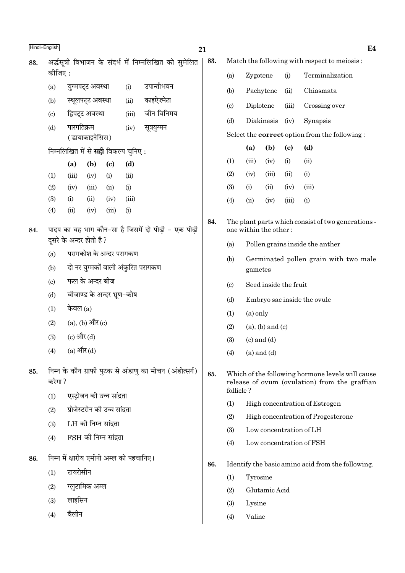| Hindi+English |                           |              |                               |                            |                                             |                                                         | 21  |                                                                                                                |                                                                             |                       |                                 | E <sub>4</sub>                                    |  |
|---------------|---------------------------|--------------|-------------------------------|----------------------------|---------------------------------------------|---------------------------------------------------------|-----|----------------------------------------------------------------------------------------------------------------|-----------------------------------------------------------------------------|-----------------------|---------------------------------|---------------------------------------------------|--|
| 83.           |                           |              |                               |                            |                                             | अर्द्धसूत्री विभाजन के संदर्भ में निम्नलिखित को सुमेलित | 83. |                                                                                                                | Match the following with respect to meiosis:                                |                       |                                 |                                                   |  |
|               | कीजिए :                   |              |                               |                            |                                             |                                                         |     | (a)                                                                                                            |                                                                             | Zygotene              |                                 | Terminalization                                   |  |
|               | (a)                       |              | युग्मपट्ट अवस्था              |                            | (i)                                         | उपान्तीभवन                                              |     | (b)                                                                                                            |                                                                             | Pachytene             | (ii)                            | Chiasmata                                         |  |
|               | (b)                       |              | स्थूलपट्ट अवस्था              |                            | (ii)                                        | काइऐज़्मेटा                                             |     | $\left( \circ \right)$                                                                                         |                                                                             | Diplotene             | (iii)                           | Crossing over                                     |  |
|               | $\left( \text{c} \right)$ |              | द्विपट्ट अवस्था               |                            | (iii)                                       | जीन विनिमय                                              |     | (d)                                                                                                            |                                                                             | Diakinesis            | (iv)                            | Synapsis                                          |  |
|               | (d)                       | पारगतिक्रम   | (डायाकाइनेसिस)                |                            | (iv)                                        | सूत्रयुग्मन                                             |     | Select the <b>correct</b> option from the following:                                                           |                                                                             |                       |                                 |                                                   |  |
|               |                           |              |                               |                            | निम्नलिखित में से <b>सही</b> विकल्प चुनिए : |                                                         |     |                                                                                                                | (a)                                                                         | (b)                   | $\left( \mathbf{c} \right)$     | (d)                                               |  |
|               |                           | (a)          | (b)                           | $\left( \mathrm{e}\right)$ | (d)                                         |                                                         |     | (1)                                                                                                            | (iii)                                                                       | (iv)                  | (i)                             | (ii)                                              |  |
|               | (1)                       | (iii)        | (iv)                          | (i)                        | (ii)                                        |                                                         |     | (2)                                                                                                            | (iv)                                                                        | (iii)                 | (ii)                            | (i)                                               |  |
|               | (2)                       | (iv)         | (iii)                         | (ii)                       | (i)                                         |                                                         |     | (3)                                                                                                            | (i)                                                                         | (ii)                  | (iv)                            | (iii)                                             |  |
|               | (3)                       | (i)          | (ii)                          | (iv)                       | (iii)                                       |                                                         |     | (4)                                                                                                            | (ii)                                                                        | (iv)                  | (iii)                           | (i)                                               |  |
| 84.           | (4)                       | (ii)         | (iv)                          | (iii)                      | (i)                                         | पादप का वह भाग कौन-सा है जिसमें दो पीढ़ी - एक पीढ़ी     | 84. |                                                                                                                | The plant parts which consist of two generations -<br>one within the other: |                       |                                 |                                                   |  |
|               | दूसरे के अन्दर होती है ?  |              |                               |                            |                                             |                                                         | (a) |                                                                                                                |                                                                             |                       | Pollen grains inside the anther |                                                   |  |
|               | (a)                       |              | परागकोश के अन्दर परागकण       |                            |                                             |                                                         |     | (b)                                                                                                            |                                                                             |                       |                                 | Germinated pollen grain with two male             |  |
|               | (b)                       |              |                               |                            |                                             | दो नर युग्मकों वाली अंकुरित परागकण                      |     |                                                                                                                | gametes                                                                     |                       |                                 |                                                   |  |
|               | (c)                       |              | फल के अन्दर बीज               |                            |                                             |                                                         |     | $\left( \circ \right)$                                                                                         |                                                                             | Seed inside the fruit |                                 |                                                   |  |
|               | (d)                       |              | बीजाण्ड के अन्दर भ्रूण-कोष    |                            |                                             |                                                         |     | (d)                                                                                                            |                                                                             |                       |                                 | Embryo sac inside the ovule                       |  |
|               | (1)                       | केवल $(a)$   |                               |                            |                                             |                                                         |     | (1)                                                                                                            | $(a)$ only                                                                  |                       |                                 |                                                   |  |
|               | (2)                       |              | $(a)$ , $(b)$ और $(c)$        |                            |                                             |                                                         |     | (2)                                                                                                            | $(a)$ , $(b)$ and $(c)$                                                     |                       |                                 |                                                   |  |
|               | (3)                       | (c) और $(d)$ |                               |                            |                                             |                                                         |     | (3)                                                                                                            |                                                                             | $(c)$ and $(d)$       |                                 |                                                   |  |
|               | (4)                       | (a) और (d)   |                               |                            |                                             |                                                         |     | (4)                                                                                                            |                                                                             | $(a)$ and $(d)$       |                                 |                                                   |  |
| 85.           | करेगा ?                   |              |                               |                            |                                             | निम्न के कौन ग्राफी पुटक से अंडाणु का मोचन (अंडोत्सर्ग) | 85. | Which of the following hormone levels will cause<br>release of ovum (ovulation) from the graffian<br>follicle? |                                                                             |                       |                                 |                                                   |  |
|               | (1)                       |              | एस्ट्रोजन की उच्च सांद्रता    |                            |                                             |                                                         |     | (1)                                                                                                            |                                                                             |                       |                                 | High concentration of Estrogen                    |  |
|               | (2)                       |              | प्रोजेस्टरोन की उच्च सांद्रता |                            |                                             |                                                         |     | (2)                                                                                                            |                                                                             |                       |                                 | High concentration of Progesterone                |  |
|               | (3)                       |              | LH की निम्न सांद्रता          |                            |                                             |                                                         |     | (3)                                                                                                            |                                                                             |                       |                                 | Low concentration of LH                           |  |
|               | (4)                       |              | $FSH$ की निम्न सांद्रता       |                            |                                             |                                                         |     | (4)                                                                                                            |                                                                             |                       |                                 | Low concentration of FSH                          |  |
| 86.           |                           |              |                               |                            | निम्न में क्षारीय एमीनो अम्ल को पहचानिए।    |                                                         | 86. |                                                                                                                |                                                                             |                       |                                 | Identify the basic amino acid from the following. |  |
|               | (1)                       | टायरोसीन     |                               |                            |                                             |                                                         |     | (1)                                                                                                            | Tyrosine                                                                    |                       |                                 |                                                   |  |
|               | (2)                       |              | ग्लुटामिक अम्ल                |                            |                                             |                                                         |     | (2)                                                                                                            |                                                                             | Glutamic Acid         |                                 |                                                   |  |
|               | (3)                       | लाइसिन       |                               |                            |                                             |                                                         |     | (3)                                                                                                            | Lysine                                                                      |                       |                                 |                                                   |  |
|               | (4)                       | वैलीन        |                               |                            |                                             |                                                         |     | (4)                                                                                                            | Valine                                                                      |                       |                                 |                                                   |  |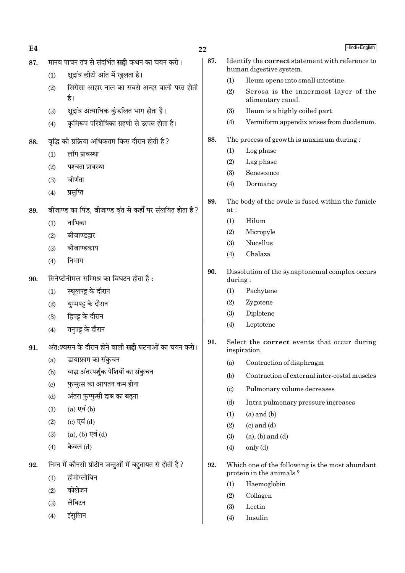| E4  |     |                                                           | 22  |
|-----|-----|-----------------------------------------------------------|-----|
| 87. |     | मानव पाचन तंत्र से संदर्भित <b>सही</b> कथन का चयन करो।    | 87. |
|     | (1) | क्षुद्रांत्र छोटी आंत में खुलता है।                       |     |
|     | (2) | सिरोसा आहार नाल का सबसे अन्दर वाली परत होती<br>है।        |     |
|     | (3) | क्षुद्रांत्र अत्याधिक कुंडलित भाग होता है।                |     |
|     | (4) | कृमिरूप परिशेषिका ग्रहणी से उत्पन्न होता है।              |     |
| 88. |     | वृद्धि की प्रक्रिया अधिकतम किस दौरान होती है ?            | 88. |
|     | (1) | लॉग प्रावस्था                                             |     |
|     | (2) | पश्चता प्रावस्था                                          |     |
|     | (3) | जीर्णता                                                   |     |
|     | (4) | प्रसुप्ति                                                 |     |
| 89. |     | बीजाण्ड का पिंड, बीजाण्ड वृंत से कहाँ पर संलयित होता है ? | 89. |
|     | (1) | नाभिका                                                    |     |
|     |     | $(2)$ बीजाण्डद्वार                                        |     |
|     |     | (3) बीजाण्डकाय                                            |     |
|     | (4) | निभाग                                                     |     |
| 90. |     | सिनेप्टोनीमल सम्मिश्र का विघटन होता है:                   | 90. |
|     | (1) | स्थूलपट्ट के दौरान                                        |     |
|     | (2) | युग्मपट्ट के दौरान                                        |     |
|     |     | (3) द्विपट्ट के दौरान                                     |     |
|     | (4) | तनुपट्ट के दौरान                                          |     |
| 91. |     | अंत:श्वसन के दौरान होने वाली <b>सही</b> घटनाओं का चयन करो | 91. |
|     | (a) | डायाफ्राम का संकुचन                                       |     |
|     | (b) | बाह्य अंतरपर्शुक पेशियों का संकुचन                        |     |
|     | (c) | फुप्फुस का आयतन कम होना                                   |     |
|     | (d) | अंतरा फुप्फुसी दाब का बढ़ना                               |     |
|     | (1) | $(a)$ एवं $(b)$                                           |     |
|     | (2) | (c) एवं $(d)$                                             |     |
|     | (3) | $(a)$ , $(b)$ एवं $(d)$                                   |     |
|     | (4) | केवल (d)                                                  |     |
| 92. |     | निम्न में कौनसी प्रोटीन जन्तुओं में बहुतायत से होती है ?  | 92. |
|     | (1) | हीमोग्लोबिन                                               |     |
|     | (2) | कोलेजन                                                    |     |
|     | (3) | लैक्टिन                                                   |     |
|     | (4) | इंसुलिन                                                   |     |

|     |                            | Hindi+English                                                                      |
|-----|----------------------------|------------------------------------------------------------------------------------|
| 37. |                            | Identify the <b>correct</b> statement with reference to<br>human digestive system. |
|     | (1)                        | I leum opens into small intestine.                                                 |
|     | (2)                        | Serosa is the innermost layer of the<br>alimentary canal.                          |
|     | (3)                        | Ileum is a highly coiled part.                                                     |
|     | (4)                        | Vermiform appendix arises from duodenum.                                           |
| 88. |                            | The process of growth is maximum during:                                           |
|     | (1)                        | Log phase                                                                          |
|     | (2)                        | Lag phase                                                                          |
|     | (3)                        | Senescence                                                                         |
|     | (4)                        | Dormancy                                                                           |
| 89. | at :                       | The body of the ovule is fused within the funicle                                  |
|     | (1)                        | Hilum                                                                              |
|     | (2)                        | Micropyle                                                                          |
|     | (3)                        | Nucellus                                                                           |
|     | (4)                        | Chalaza                                                                            |
| 0.  | during:                    | Dissolution of the synaptonemal complex occurs                                     |
|     | (1)                        | Pachytene                                                                          |
|     | (2)                        | Zygotene                                                                           |
|     | (3)                        | Diplotene                                                                          |
|     | (4)                        | Leptotene                                                                          |
| 1.  |                            | Select the <b>correct</b> events that occur during<br>inspiration.                 |
|     | (a)                        | Contraction of diaphragm                                                           |
|     | (b)                        | Contraction of external inter-costal muscles                                       |
|     | $\left( \mathrm{c}\right)$ | Pulmonary volume decreases                                                         |
|     | (d)                        | Intra pulmonary pressure increases                                                 |
|     | (1)                        | $(a)$ and $(b)$                                                                    |
|     | (2)                        | $(c)$ and $(d)$                                                                    |
|     | (3)                        | $(a)$ , $(b)$ and $(d)$                                                            |
|     | (4)                        | only (d)                                                                           |
| 12. |                            | Which one of the following is the most abundant<br>protein in the animals?         |

- $(1)$ Haemoglobin
- $(2)$ Collagen
- $(3)$  $\rm Let in$
- Insulin  $(4)$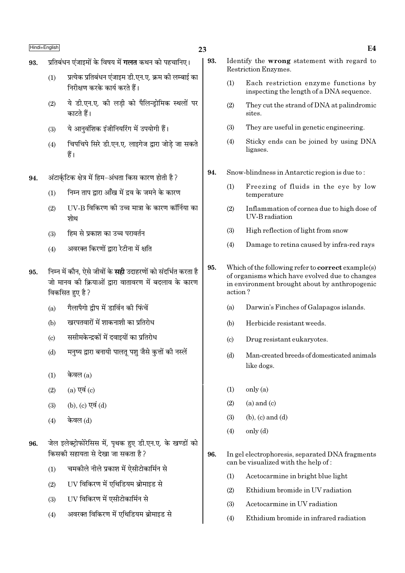- 23
- प्रतिबंधन एंजाइमों के विषय में **गलत** कथन को पहचानिए। 93.
	- प्रत्येक प्रतिबंधन एंजाइम डी.एन.ए. क्रम की लम्बाई का  $(1)$ निरीक्षण करके कार्य करते हैं।
	- ये डी.एन.ए. की लडी को पैलिन्डोमिक स्थलों पर  $(2)$ काटते हैं।
	- ये आनवंशिक इंजीनियरिंग में उपयोगी हैं।  $(3)$
	- चिपचिपे सिरे डी.एन.ए. लाइगेज द्वारा जोड़े जा सकते  $(4)$ हैं।
- अंटार्कटिक क्षेत्र में हिम-अंधता किस कारण होती है ? 94.
	- निम्न ताप द्वारा आँख में दव के जमने के कारण  $(1)$
	- IIV-B विकिरण की उच्च मात्रा के कारण कॉर्निया का  $(2)$ शोथ
	- हिम से प्रकाश का उच्च परावर्तन  $(3)$
	- अवरक्त किरणों द्वारा रेटीना में क्षति  $(4)$
- निम्न में कौन. ऐसे जीवों के **सही** उदाहरणों को संदर्भित करता है 95. जो मानव की क्रियाओं द्रारा वातावरण में बदलाव के कारण विकसित हुए है ?
	- गैलापैगो द्वीप में डार्विन की फिंचें  $(a)$
	- खरपतवारों में शाकनाशी का प्रतिरोध  $(b)$
	- ससीमकेन्द्रकों में दवाइयों का प्रतिरोध  $(c)$
	- मनृष्य द्वारा बनायी पालत पशु जैसे कृत्तों की नस्लें  $(d)$
	- केवल $(a)$  $(1)$
	- $(2)$  $(a)$  एवं  $(c)$
	- (b), (c) एवं (d)  $(3)$
	- केवल (d)  $(4)$
- जेल इलेक्ट्रोफोरेसिस में, पृथक हुए डी.एन.ए. के खण्डों को 96. किसकी सहायता से देखा जा सकता है ?
	- चमकीले नीले प्रकाश में ऐसीटोकार्मिन से  $(1)$
	- UV विकिरण में एथिडियम ब्रोमाइड से  $(2)$
	- UV विकिरण में एसीटोकार्मिन से  $(3)$
	- अवरक्त विकिरण में एथिडियम ब्रोमाइड से  $(4)$
- 93. Identify the wrong statement with regard to **Restriction Enzymes.** 
	- $(1)$ Each restriction enzyme functions by inspecting the length of a DNA sequence.
	- $(2)$ They cut the strand of DNA at palindromic sites.
	- $(3)$ They are useful in genetic engineering.
	- $(4)$ Sticky ends can be joined by using DNA ligases.
- 94. Snow-blindness in Antarctic region is due to:
	- Freezing of fluids in the eye by low  $(1)$ temperature
	- $(2)$ Inflammation of cornea due to high dose of **IIV-B** radiation
	- High reflection of light from snow  $(3)$
	- $(4)$ Damage to retina caused by infra-red rays
- 95. Which of the following refer to **correct** example(s) of organisms which have evolved due to changes in environment brought about by anthropogenic action?
	- $(a)$ Darwin's Finches of Galapagos islands.
	- $(h)$ Herbicide resistant weeds.
	- Drug resistant eukaryotes.  $(c)$
	- Man-created breeds of domesticated animals  $(d)$ like dogs.
	- $(1)$  $onlv(a)$
	- $(a)$  and  $(c)$  $(2)$
	- $(3)$  $(b)$ ,  $(c)$  and  $(d)$
	- only (d)  $(4)$
- 96. In gel electrophoresis, separated DNA fragments can be visualized with the help of:
	- Acetocarmine in bright blue light  $(1)$
	- $(2)$ Ethidium bromide in UV radiation
	- Acetocarmine in UV radiation  $(3)$
	- $(4)$ Ethidium bromide in infrared radiation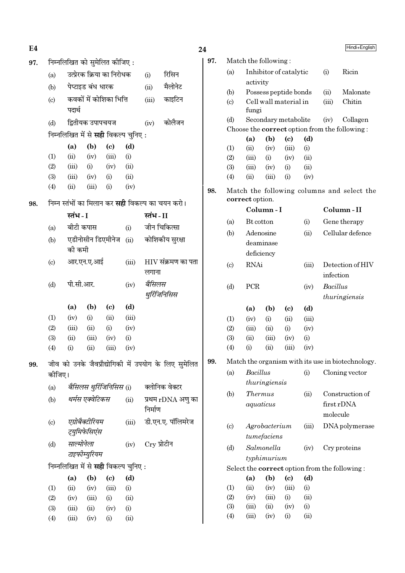| E4  |                                                         |                   |                   |                                            |                 |               |                                                      | 24              |                       |                      |               |                             |                                            |                 | Hindi+English                                     |
|-----|---------------------------------------------------------|-------------------|-------------------|--------------------------------------------|-----------------|---------------|------------------------------------------------------|-----------------|-----------------------|----------------------|---------------|-----------------------------|--------------------------------------------|-----------------|---------------------------------------------------|
| 97. |                                                         |                   |                   | निम्नलिखित को सुमेलित कीजिए:               |                 |               |                                                      | 97.             |                       | Match the following: |               |                             |                                            |                 |                                                   |
|     | (a)                                                     |                   |                   | उत्प्रेरक क्रिया का निरोधक                 |                 | (i)           | रिसिन                                                |                 | (a)                   |                      |               | Inhibitor of catalytic      |                                            | (i)             | Ricin                                             |
|     | (b)                                                     |                   | पेप्टाइड बंध धारक |                                            |                 | (ii)          | मैलोनेट                                              |                 |                       | activity             |               |                             |                                            |                 |                                                   |
|     |                                                         |                   |                   |                                            |                 |               | काइटिन                                               |                 | (b)                   |                      |               | Possess peptide bonds       |                                            | (ii)            | Malonate                                          |
|     | कवकों में कोशिका भित्ति<br>(c)<br>पदार्थ                |                   | (iii)             |                                            |                 | (c)           | fungi                                                |                 | Cell wall material in |                      | (iii)         | Chitin                      |                                            |                 |                                                   |
|     | (d)                                                     |                   | द्वितीयक उपापचयज  |                                            |                 | (iv)          | कोलैजन                                               |                 | (d)                   |                      |               | Secondary metabolite        |                                            | (iv)            | Collagen                                          |
|     |                                                         |                   |                   | निम्नलिखित में से <b>सही</b> विकल्प चुनिए: |                 |               |                                                      |                 |                       |                      |               |                             |                                            |                 | Choose the correct option from the following:     |
|     |                                                         | (a)               | (b)               | $\left( \mathbf{c} \right)$                | (d)             |               |                                                      |                 |                       | (a)                  | (b)           | $\left( \mathrm{c}\right)$  | (d)                                        |                 |                                                   |
|     | (1)                                                     | (ii)              | (iv)              | (iii)                                      | (i)             |               |                                                      |                 | (1)                   | (ii)<br>(iii)        | (iv)          | (iii)                       | (i)                                        |                 |                                                   |
|     | (2)                                                     | (iii)             | (i)               | (iv)                                       | (ii)            |               |                                                      |                 | (2)<br>(3)            | (iii)                | (i)<br>(iv)   | (iv)<br>(i)                 | (ii)<br>(ii)                               |                 |                                                   |
|     | (3)                                                     | (iii)             | (iv)              | (i)                                        | (ii)            |               |                                                      |                 | (4)                   | (ii)                 | (iii)         | (i)                         | (iv)                                       |                 |                                                   |
|     | (4)                                                     | (ii)              | (iii)             | (i)                                        | (iv)            |               |                                                      |                 |                       |                      |               |                             |                                            |                 |                                                   |
| 98. | निम्न स्तंभों का मिलान कर <b>सही</b> विकल्प का चयन करो। |                   |                   |                                            |                 | 98.           |                                                      | correct option. |                       |                      |               |                             | Match the following columns and select the |                 |                                                   |
|     |                                                         | स्तंभ - I         |                   |                                            | स्तंभ - II      |               |                                                      |                 |                       | Column-I             |               |                             |                                            | Column-II       |                                                   |
|     |                                                         |                   |                   |                                            |                 |               |                                                      |                 | (a)                   | Bt cotton            |               |                             | (i)                                        |                 | Gene therapy                                      |
|     | (a)                                                     |                   | बीटी कपास         |                                            | (i)             |               | जीन चिकित्सा                                         |                 | (b)                   |                      | Adenosine     |                             | (ii)                                       |                 | Cellular defence                                  |
|     | एडीनोसीन डिएमीनेज<br>(b)<br>(ii)<br>की कमी              |                   |                   |                                            | कोशिकीय सुरक्षा |               |                                                      |                 | deaminase             |                      |               |                             |                                            |                 |                                                   |
|     |                                                         |                   |                   |                                            |                 |               |                                                      | deficiency      |                       |                      |               |                             |                                            |                 |                                                   |
|     | आर.एन.ए.आई<br>(c)<br>(iii)                              |                   |                   | $HIV$ संक्रमण का पता                       |                 | (c)           | <b>RNAi</b>                                          |                 |                       | (iii)                |               | Detection of HIV            |                                            |                 |                                                   |
|     |                                                         |                   |                   |                                            |                 | लगाना         |                                                      |                 |                       |                      |               |                             |                                            | infection       |                                                   |
|     | (d)                                                     | पी.सी.आर.<br>(iv) |                   |                                            |                 | बैसिलस        |                                                      |                 | (d)                   | PCR                  |               |                             | (iv)                                       | <b>Bacillus</b> |                                                   |
|     |                                                         |                   |                   |                                            |                 |               | थुर्रिजिनिसिस                                        |                 |                       |                      |               |                             |                                            |                 | thuringiensis                                     |
|     |                                                         | (a)               | (b)               | $\left( \mathbf{c} \right)$                | (d)             |               |                                                      |                 |                       | (a)                  | (b)           | $\left( \mathrm{c}\right)$  | (d)                                        |                 |                                                   |
|     | (1)                                                     | (iv)              | (i)               | (ii)                                       | (iii)           |               |                                                      |                 | (1)                   | (iv)                 | (i)           | (ii)                        | (iii)                                      |                 |                                                   |
|     | (2)                                                     | (iii)             | (ii)              | (i)                                        | (iv)            |               |                                                      |                 | (2)                   | (iii)                | (ii)          | (i)                         | (iv)                                       |                 |                                                   |
|     | (3)                                                     | (ii)              | (iii)             | (iv)                                       | (i)             |               |                                                      |                 | (3)                   | (ii)                 | (iii)         | (iv)                        | (i)                                        |                 |                                                   |
|     | (4)                                                     | (i)               | (ii)              | (iii)                                      | (iv)            |               |                                                      |                 | (4)                   | (i)                  | (ii)          | (iii)                       | (iv)                                       |                 |                                                   |
| 99. |                                                         |                   |                   |                                            |                 |               | जीव को उनके जैवप्रौद्योगिकी में उपयोग के लिए सुमेलित | 99.             |                       |                      |               |                             |                                            |                 | Match the organism with its use in biotechnology. |
|     | कोजिए।                                                  |                   |                   |                                            |                 |               |                                                      |                 | (a)                   | Bacillus             |               |                             | (i)                                        |                 | Cloning vector                                    |
|     | (a)                                                     |                   |                   | बैसिलस थुर्रिजिनिसिस (i)                   |                 |               | क्लोनिक वेक्टर                                       |                 |                       |                      | thuringiensis |                             |                                            |                 |                                                   |
|     | (b)                                                     |                   | थर्मस एक्वेटिकस   |                                            | (ii)            |               | प्रथम rDNA अणु का                                    |                 | (b)                   | <b>Thermus</b>       |               |                             | (ii)                                       |                 | Construction of                                   |
|     |                                                         |                   |                   |                                            |                 | निर्माण       |                                                      |                 |                       |                      | aquaticus     |                             |                                            |                 | first rDNA                                        |
|     | $\left( \mathrm{e}\right)$                              |                   | एग्रोबैक्टीरियम   |                                            | (iii)           |               | डी.एन.ए. पॉलिमरेज                                    |                 |                       |                      |               |                             |                                            | molecule        |                                                   |
|     |                                                         |                   | ट्युमिफेसिएंस     |                                            |                 |               |                                                      |                 | (c)                   |                      | Agrobacterium |                             | (iii)                                      |                 | DNA polymerase                                    |
|     | (d)                                                     |                   | साल्मोनेला        |                                            | (iv)            | $Cry$ प्रोटीन |                                                      |                 |                       |                      | tumefaciens   |                             |                                            |                 |                                                   |
|     |                                                         |                   | टाइफीम्युरियम     |                                            |                 |               |                                                      |                 | (d)                   |                      | Salmonella    |                             | (iv)                                       |                 | Cry proteins                                      |
|     |                                                         |                   |                   | निम्नलिखित में से सही विकल्प चुनिए:        |                 |               |                                                      |                 |                       |                      | typhimurium   |                             |                                            |                 |                                                   |
|     |                                                         | (a)               | (b)               | $\left( \mathrm{c}\right)$                 | (d)             |               |                                                      |                 |                       | (a)                  | (b)           | $\left( \mathbf{c} \right)$ | (d)                                        |                 | Select the correct option from the following:     |
|     | (1)                                                     | (ii)              | (iv)              | (iii)                                      | (i)             |               |                                                      |                 | (1)                   | (ii)                 | (iv)          | (iii)                       | (i)                                        |                 |                                                   |
|     | (2)                                                     | (iv)              | (iii)             | (i)                                        | (ii)            |               |                                                      |                 | (2)                   | (iv)                 | (iii)         | (i)                         | (ii)                                       |                 |                                                   |
|     | (3)                                                     | (iii)             | (ii)              | (iv)                                       | (i)             |               |                                                      |                 | (3)                   | (iii)                | (ii)          | (iv)                        | (i)                                        |                 |                                                   |
|     | (4)                                                     | (iii)             | (iv)              | (i)                                        | (ii)            |               |                                                      |                 | (4)                   | (iii)                | (iv)          | (i)                         | (ii)                                       |                 |                                                   |
|     |                                                         |                   |                   |                                            |                 |               |                                                      |                 |                       |                      |               |                             |                                            |                 |                                                   |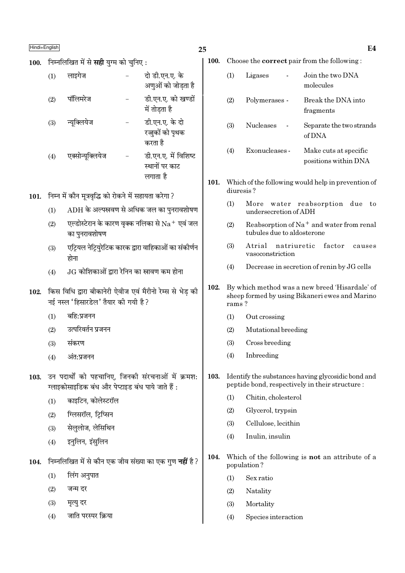100. निम्नलिखित में से सही युग्म को चुनिए:

| (1) | लाइगेज           | दो डी.एन.ए. के<br>अणुओं को जोड़ता है               |
|-----|------------------|----------------------------------------------------|
| (2) | पॉलिमरेज         | डी.एन.ए. को खण्डों<br>में तोडता है                 |
| (3) | न्यूक्लियेज      | डी.एन.ए. के दो<br>रज्जुकों को पृथक<br>करता है      |
| (4) | एक्सोन्यूक्लियेज | डी.एन.ए. में विशिष्ट<br>स्थानों पर काट<br>लगाता है |

- 101. निम्न में कौन मूत्रवृद्धि को रोकने में सहायता करेगा ?
	- $ADH$  के अल्पस्रवण से अधिक जल का पुनरावशोषण  $(1)$
	- एल्डोस्टेरान के कारण वृक्क नलिका से  $\rm Na^+$  एवं जल  $(2)$ का पुनरावशोषण
	- एट्रियल नेट्रियरेटिक कारक द्वारा वाहिकाओं का संकीर्णन  $(3)$ होना
	- $JG$  कोशिकाओं द्वारा रेनिन का स्रावण कम होना  $(4)$
- 102. किस विधि द्वारा बीकानेरी ऐवीज एवं मैरीनो रेम्स से भेड की नई नस्ल 'हिसारडेल' तैयार की गयी है ?
	- बहि:प्रजनन  $(1)$
	- उत्परिवर्तन प्रजनन  $(2)$
	- संकरण  $(3)$
	- $(4)$ अंत:प्रजनन
- 103. उन पदार्थों को पहचानिए, जिनकी संरचनाओं में क्रमश: ग्लाइकोसाइडिक बंध और पेप्टाइड बंध पाये जाते हैं :
	- काइटिन. कोलेस्टरॉल  $(1)$
	- ग्लिसरॉल, टिप्सिन  $(2)$
	- सेलुलोज, लेसिथिन  $(3)$
	- इनुलिन, इंसुलिन  $(4)$
- 104. निम्नलिखित में से कौन एक जीव संख्या का एक गण नहीं है ?
	- लिंग अनुपात  $(1)$
	- जन्म दर  $(2)$
	- $(3)$ मृत्यु दर
	- जाति परस्पर क्रिया  $(4)$

100. Choose the **correct** pair from the following:

| (1) | Ligases          | Join the two DNA<br>molecules                 |
|-----|------------------|-----------------------------------------------|
| (2) | Polymerases -    | Break the DNA into<br>fragments               |
| (3) | <b>Nucleases</b> | Separate the two strands<br>of DNA            |
| (4) | Exonucleases -   | Make cuts at specific<br>positions within DNA |

- 101. Which of the following would help in prevention of diuresis?
	- $(1)$ More water reabsorption due to undersecretion of ADH
	- $(2)$ Reabsorption of  $Na<sup>+</sup>$  and water from renal tubules due to aldosterone
	- Atrial natriuretic factor  $(3)$ causes vasoconstriction
	- Decrease in secretion of renin by JG cells  $(4)$
- 102. By which method was a new breed 'Hisardale' of sheep formed by using Bikaneri ewes and Marino rams?
	- $(1)$ Out crossing
	- $(2)$ Mutational breeding
	- $(3)$ Cross breeding
	- $(4)$ Inbreeding
- 103. Identify the substances having glycosidic bond and peptide bond, respectively in their structure:
	- Chitin, cholesterol  $(1)$
	- $(2)$ Glycerol, trypsin
	- Cellulose, lecithin  $(3)$
	- Inulin, insulin  $(4)$
- 104. Which of the following is **not** an attribute of a population?
	- $(1)$ Sex ratio
	- $(2)$ Natality
	- $(3)$ Mortality
	- $(4)$ Species interaction

 $E4$ 

25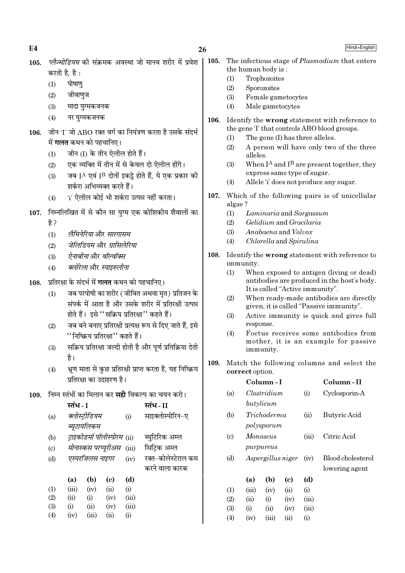$E4$ 

- प्लैज्मोडियम की संक्रमक अवस्था जो मानव शरीर में प्रवेश 105. करती है. है:
	- $(1)$ पोषाण
	- जीवाणज  $(2)$
	- $(3)$ मादा यग्मकजनक
	- $(4)$ नर युग्मकजनक
- जीन 'I' जो ABO रक्त वर्ग का नियंत्रण करता है उसके संदर्भ  $106.$ में **गलत** कथन को पहचानिए।
	- जीन (I) के तीन ऐलील होते हैं।  $(1)$
	- एक व्यक्ति में तीन में से केवल दो ऐलील होंगे।  $(2)$
	- जब [A एवं ] $^{\rm B}$  दोनों इकट्टे होते हैं. ये एक प्रकार की  $(3)$ शर्करा अभिव्यक्त करते हैं।
	- 'i' ऐलील कोई भी शर्करा उत्पन्न नहीं करता।  $(4)$
- 107. निम्नलिखित में से कौन सा यग्म एक कोशिकीय शैवालों का है ?
	- लैमिनेरिया और सारगासम  $(1)$
	- जेलिडियम और ग्रासिलेरिया  $(2)$
	- ऐनाबीनाओर वॉल्वॉक्स  $(3)$
	- क्लोरेला और स्पाइरुलीना  $(4)$
- 108. प्रतिरक्षा के संदर्भ में गलत कथन को पहचानिए।
	- जब परपोषी का शरीर ( जीवित अथवा मत) प्रतिजन के  $(1)$ संपर्क में आता है और उसके शरीर में प्रतिरक्षी उत्पन्न होते हैं। इसे "सक्रिय प्रतिरक्षा" कहते हैं।
	- जब बने बनाए प्रतिरक्षी प्रत्यक्ष रूप से दिए जाते हैं. इसे  $(2)$ ''निष्क्रिय प्रतिरक्षा'' कहते हैं।
	- सक्रिय प्रतिरक्षा जल्दी होती है और पर्ण प्रतिक्रिया देती  $(3)$ है।
	- भ्रूण माता से कुछ प्रतिरक्षी प्राप्त करता है, यह निष्क्रिय  $(4)$ प्रतिरक्षा का उदाहरण है।
- 109. निम्न स्तंभों का मिलान कर सही विकल्प का चयन करो।

|                            | स्तंभ - I |                                  |      |       | स्तंभ - II          |
|----------------------------|-----------|----------------------------------|------|-------|---------------------|
| (a)                        |           | क्लोस्ट्रीडियम                   |      | (i)   | साइक्लोस्पोरिन-ए    |
|                            |           | ब्यूटायलिकम                      |      |       |                     |
| (b)                        |           | ट्राइकोडर्मा पॉलीस्पोरम (ii)     |      |       | ब्युटिरिक अम्ल      |
| $\left( \mathrm{c}\right)$ |           | <i>मोनास्कस परप्यूरीअस</i> (iii) |      |       | सिट्रिक अम्ल        |
| (d)                        |           | एस्परजिलस नाइगर                  |      | (iv)  | रक्त-कोलेस्टेराल कम |
|                            |           |                                  |      |       | करने वाला कारक      |
|                            | (a)       | (b)                              | (c)  | (d)   |                     |
| (1)                        | (iii)     | (iv)                             | (ii) | (i)   |                     |
| (2)                        | (ii)      | (i)                              | (iv) | (iii) |                     |
| (3)                        | (i)       | (ii)                             | (iv) | (iii) |                     |
| (4)                        | (iv)      | (iii)                            | (ii) | (i)   |                     |
|                            |           |                                  |      |       |                     |

- 105. The infectious stage of *Plasmodium* that enters the human body is:
	- $(1)$ Trophozoites
	- $(2)$ Sporozoites
	- Female gametocytes  $(3)$
	- Male gametocytes  $(4)$
- 106. Identify the wrong statement with reference to the gene T that controls ABO blood groups.
	- The gene (I) has three alleles.  $(1)$
	- $(2)$ A person will have only two of the three alleles
	- When  $I^A$  and  $I^B$  are present together, they  $(3)$ express same type of sugar.
	- $(4)$ Allele 'i' does not produce any sugar.
- 107. Which of the following pairs is of unicellular algae?
	- $(1)$ Laminaria and Sargassum
	- $(2)$ Gelidium and Gracilaria
	- $(3)$ Anabaena and Volvox
	- $(4)$ Chlorella and Spirulina
- 108. Identify the wrong statement with reference to immunity.
	- $(1)$ When exposed to antigen (living or dead) antibodies are produced in the host's body. It is called "Active immunity".
	- $(2)$ When ready-made antibodies are directly given, it is called "Passive immunity".
	- $(3)$ Active immunity is quick and gives full response.
	- $(4)$ Foetus receives some antibodies from mother, it is an example for passive immunity.
- 109. Match the following columns and select the correct option.

|                             |       | Column - I        |      |       | Column - II       |
|-----------------------------|-------|-------------------|------|-------|-------------------|
| (a)                         |       | Clostridium       |      | (i)   | Cyclosporin-A     |
|                             |       | butylicum         |      |       |                   |
| (b)                         |       | Trichoderma       |      | (ii)  | Butyric Acid      |
|                             |       | polysporum        |      |       |                   |
| $\left( \mathrm{c} \right)$ |       | Monascus          |      | (iii) | Citric Acid       |
|                             |       | purpureus         |      |       |                   |
| (d)                         |       | Aspergillus niger |      | (iv)  | Blood cholesterol |
|                             |       |                   |      |       | lowering agent    |
|                             | (a)   | (b)               | (c)  | (d)   |                   |
| (1)                         | (iii) | (iv)              | (ii) | (i)   |                   |
| (2)                         | (ii)  | (i)               | (iv) | (iii) |                   |
| (3)                         | (i)   | (ii)              | (iv) | (iii) |                   |
| $\Delta$                    | (iv)  | (iii)             | (ii) | (i)   |                   |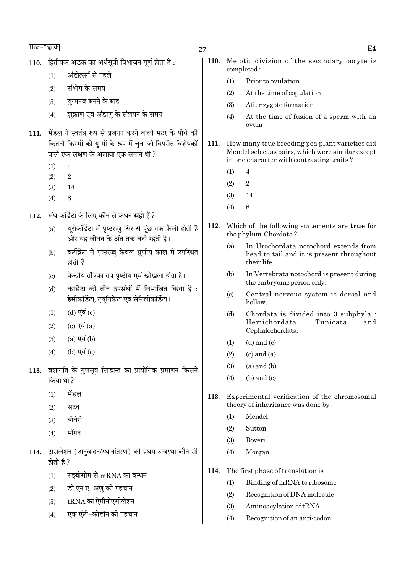- 110. द्वितीयक अंडक का अर्धसत्री विभाजन पर्ण होता है:
	- अंडोत्सर्ग से पहले  $(1)$
	- संभोग के समय  $(2)$
	- यग्मनज बनने के बाद  $(3)$
	- शुक्राणु एवं अंडाणु के संलयन के समय  $(4)$
- 111. मेंडल ने स्वतंत्र रूप से प्रजनन करने वाली मटर के पौधे की कितनी किस्मों को युग्मों के रूप में चुना जो विपरीत विशेषकों वाले एक लक्षण के अलावा एक समान थी ?
	- $\overline{4}$  $(1)$
	- $(2)$  $\overline{2}$
	- $(3)$ 14
	- $(4)$  $\mathbf{g}$
- संघ कॉर्डेटा के लिए कौन से कथन **सही** हैं ?  $112.$ 
	- युरोकॉर्डेटा में पृष्ठरज्जू सिर से पूंछ तक फैली होती है  $(a)$ और यह जीवन के अंत तक बनी रहती है।
	- वर्टीब्रेटा में पष्ठरज्ज केवल भ्रणीय काल में उपस्थित  $(h)$ होती है।
	- केन्द्रीय तंत्रिका तंत्र पृष्ठीय एवं खोखला होता है।  $(c)$
	- कॉर्डेटा को तीन उपसंघों में विभाजित किया है :  $(b)$ हेमीकॉर्डेटा, ट्यूनिकेटा एवं सेफैलोकॉर्डेटा।
	- (d) एवं  $(c)$  $(1)$
	- (c) एवं  $(a)$  $(2)$
	- $(a)$  एवं  $(b)$  $(3)$
	- (b) एवं (c)  $(4)$
- 113. वंशागति के गुणसूत्र सिद्धान्त का प्रायोगिक प्रमाणन किसने किया था ?
	- मेंडल  $(1)$
	- सटन  $(2)$
	- $(3)$ बोवेरी
	- मॉर्गन  $(4)$
- 114. ट्रांसलेशन (अनुवादन/स्थानांतरण) की प्रथम अवस्था कौन सी होती है ?
	- राइबोसोम से mRNA का बन्धन  $(1)$
	- डी.एन.ए. अण की पहचान  $(2)$
	- ${\rm tRNA}$  का ऐमीनोएसीलेशन  $(3)$
	- एक एंटी-कोडॉन की पहचान  $(4)$
- 27
	- $110.$ Meiotic division of the secondary oocyte is completed:
		- Prior to ovulation  $(1)$
		- $(2)$ At the time of copulation
		- After zygote formation  $(3)$
		- $(4)$ At the time of fusion of a sperm with an ovum
	- 111. How many true breeding pea plant varieties did Mendel select as pairs, which were similar except in one character with contrasting traits?
		- $\overline{4}$  $(1)$
		- $\overline{2}$  $(2)$
		- $(3)$ 14
		- $(4)$  $\mathbf{Q}$
	- 112. Which of the following statements are true for the phylum-Chordata?
		- In Urochordata notochord extends from  $(a)$ head to tail and it is present throughout their life.
		- In Vertebrata notochord is present during  $(b)$ the embryonic period only.
		- $(c)$ Central nervous system is dorsal and hollow.
		- $(d)$ Chordata is divided into 3 subphyla : Tunicata Hemichordata, and Cephalochordata.
		- $(d)$  and  $(c)$  $(1)$
		- $(2)$  $(c)$  and  $(a)$
		- $(a)$  and  $(b)$  $(3)$
		- $(4)$  $(b)$  and  $(c)$
	- 113. Experimental verification of the chromosomal theory of inheritance was done by:
		- Mendel  $(1)$
		- Sutton  $(2)$
		- Boveri  $(3)$
		- Morgan  $(4)$
	- 114. The first phase of translation is:
		- Binding of mRNA to ribosome  $(1)$
		- $(2)$ Recognition of DNA molecule
		- $(3)$ Aminoacylation of tRNA
		- $(4)$ Recognition of an anti-codon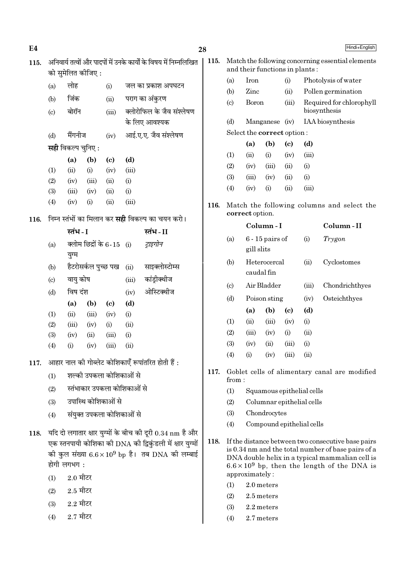| E4   |     |                           |                    |                             |       |                                                                   | 28   |                           |
|------|-----|---------------------------|--------------------|-----------------------------|-------|-------------------------------------------------------------------|------|---------------------------|
| 115. |     |                           |                    |                             |       | अनिवार्य तत्वों और पादपों में उनके कार्यों के विषय में निम्नलिखित | 115. | N                         |
|      |     |                           | को सुमेलित कीजिए : |                             |       |                                                                   |      | a                         |
|      | (a) | लोह                       |                    | (i)                         |       | जल का प्रकाश अपघटन                                                |      | 3)                        |
|      | (b) | जिंक                      |                    | (ii)                        |       | पराग का अंकुरण                                                    |      | $\mathfrak{a}$            |
|      | (c) | बोरॉन                     |                    | (iii)                       |       | क्लोरोफिल के जैव संश्लेषण                                         |      | (c                        |
|      |     |                           |                    |                             |       | के लिए आवश्यक                                                     |      | $\overline{\mathfrak{c}}$ |
|      | (d) | मैंगनीज                   |                    | (iv)                        |       | आई.ए.ए. जैव संश्लेषण                                              |      | S                         |
|      |     | <b>सही</b> विकल्प चुनिए : |                    |                             |       |                                                                   |      |                           |
|      |     | (a)                       | (b)                | (c)                         | (d)   |                                                                   |      | $\overline{(\cdot)}$      |
|      | (1) | (ii)                      | (i)                | (iv)                        | (iii) |                                                                   |      | (                         |
|      | (2) | (iv)                      | (iii)              | (ii)                        | (i)   |                                                                   |      | (                         |
|      | (3) | (iii)                     | (iv)               | (ii)                        | (i)   |                                                                   |      | (                         |
|      | (4) | (iv)                      | (i)                | (ii)                        | (iii) |                                                                   | 116. | N                         |
| 116. |     |                           |                    |                             |       | निम्न स्तंभों का मिलान कर <b>सही</b> विकल्प का चयन करो।           |      | $\bf c$                   |
|      |     | स्तंभ - I                 |                    |                             |       | स्तंभ-II                                                          |      |                           |
|      | (a) |                           |                    | क्लोम छिद्रों के 6-15       | (i)   | ट्राइगोन                                                          |      | <b>(ε</b>                 |
|      |     | युग्म                     |                    |                             |       |                                                                   |      |                           |
|      | (b) |                           |                    | हैटरोसर्कल पुच्छ पख         | (ii)  | साइक्लोस्टोम्स                                                    |      | $\mathfrak{a}$            |
|      | (c) | वायु कोष                  |                    |                             | (iii) | कांड्रीक्थीज                                                      |      |                           |
|      | (d) | विष दंश                   |                    |                             | (iv)  | ओस्टिक्थीज                                                        |      | (c                        |
|      |     | (a)                       | (b)                | $\left( \mathrm{e}\right)$  | (d)   |                                                                   |      | $\overline{\mathfrak{c}}$ |
|      | (1) | (ii)                      | (iii)              | (iv)                        | (i)   |                                                                   |      |                           |
|      | (2) | (iii)                     | (iv)               | (i)                         | (ii)  |                                                                   |      | $\overline{C}$            |
|      | (3) | (iv)                      | (ii)               | (iii)                       | (i)   |                                                                   |      | $\binom{6}{4}$            |
|      | (4) | (i)                       | (iv)               | (iii)                       | (ii)  |                                                                   |      | (                         |
| 117. |     |                           |                    |                             |       | आहार नाल की गोब्लेट कोशिकाएँ रूपांतरित होती हैं :                 |      | (                         |
|      | (1) |                           |                    | शल्की उपकला कोशिकाओं से     |       |                                                                   | 117. | C                         |
|      | (2) |                           |                    | स्तंभाकार उपकला कोशिकाओं से |       |                                                                   |      | $\mathbf f$               |
|      | (3) |                           |                    | उपास्थि कोशिकाओं से         |       |                                                                   |      | (<br>(ś                   |
|      | (4) |                           |                    | संयुक्त उपकला कोशिकाओं से   |       |                                                                   |      | (ś                        |
|      |     |                           |                    |                             |       |                                                                   |      | (                         |
| 118. |     |                           |                    |                             |       | यदि दो लगातार क्षार युग्मों के बीच की दूरी 0.34 nm है और          |      |                           |
|      |     |                           |                    |                             |       | एक स्तनपायी कोशिका की DNA की द्विकुंडली में क्षार युग्मों         | 118. | $\mathbf{I}$<br>i         |
|      |     |                           |                    |                             |       | को कुल संख्या $6.6 \times 10^9$ bp है। तब DNA को लम्बाई           |      | Γ                         |
|      |     | होगी लगभग:                |                    |                             |       |                                                                   |      | 6                         |
|      | (1) | $2.0$ मीटर                |                    |                             |       |                                                                   |      | a                         |
|      | (2) | $2.5$ मीटर                |                    |                             |       |                                                                   |      | $\overline{(\cdot)}$      |

- $2.2$  मीटर  $(3)$
- $2.7$  मीटर  $(4)$

|                             | and their functions in plants:    |                |          | Match the following concerning essential elements |  |  |
|-----------------------------|-----------------------------------|----------------|----------|---------------------------------------------------|--|--|
| (a)                         | <b>Iron</b>                       |                | $\rm(i)$ | Photolysis of water                               |  |  |
| (b)                         | Zinc                              |                | (ii)     | Pollen germination                                |  |  |
| $\left( \mathrm{c} \right)$ | Boron                             |                | (iii)    | Required for chlorophyll<br>biosynthesis          |  |  |
| (d)                         |                                   | Manganese (iv) |          | <b>IAA</b> biosynthesis                           |  |  |
|                             | Select the <b>correct</b> option: |                |          |                                                   |  |  |
|                             | (a)                               | (b)            | (c)      | (d)                                               |  |  |
| (1)                         | (ii)                              | (i)            | (iv)     | (iii)                                             |  |  |
| (2)                         | (iv)                              | (iii)          | (ii)     | (i)                                               |  |  |
| (3)                         | (iii)                             | (iv)           | (ii)     | (i)                                               |  |  |
| (4)                         | (iv)                              | $\rm (i)$      | (ii)     | (iii)                                             |  |  |
|                             |                                   |                |          |                                                   |  |  |

116. Match the following columns and select the correct option.

| $6 - 15$ pairs of<br>(a)<br>(i)<br>Trygon<br>gill slits<br>(b)<br>Heterocercal<br>Cyclostomes<br>(ii)<br>caudal fin<br>Air Bladder<br>$\left( \mathrm{c} \right)$<br>(iii)<br>(d)<br>Osteichthyes<br>Poison sting<br>(iv)<br>$\left( \mathrm{c} \right)$<br>(d)<br>(a)<br>(b)<br>(iv)<br>(i)<br>(1)<br>(ii)<br>(iii)<br>(ii)<br>(2)<br>(iii)<br>(iv)<br>(i)<br>(3)<br>(iv)<br>(iii)<br>(ii)<br>(i) |     |     | Column - I |       |      | Column - II    |
|----------------------------------------------------------------------------------------------------------------------------------------------------------------------------------------------------------------------------------------------------------------------------------------------------------------------------------------------------------------------------------------------------|-----|-----|------------|-------|------|----------------|
|                                                                                                                                                                                                                                                                                                                                                                                                    |     |     |            |       |      |                |
|                                                                                                                                                                                                                                                                                                                                                                                                    |     |     |            |       |      |                |
|                                                                                                                                                                                                                                                                                                                                                                                                    |     |     |            |       |      | Chondrichthyes |
|                                                                                                                                                                                                                                                                                                                                                                                                    |     |     |            |       |      |                |
|                                                                                                                                                                                                                                                                                                                                                                                                    |     |     |            |       |      |                |
|                                                                                                                                                                                                                                                                                                                                                                                                    |     |     |            |       |      |                |
|                                                                                                                                                                                                                                                                                                                                                                                                    |     |     |            |       |      |                |
|                                                                                                                                                                                                                                                                                                                                                                                                    |     |     |            |       |      |                |
|                                                                                                                                                                                                                                                                                                                                                                                                    | (4) | (i) | (iv)       | (iii) | (ii) |                |

- 117. Goblet cells of alimentary canal are modified from:
	- Squamous epithelial cells  $(1)$
	- $(2)$ Columnar epithelial cells
	- $(3)$ Chondrocytes
	- $(4)$ Compound epithelial cells
- 118. If the distance between two consecutive base pairs is 0.34 nm and the total number of base pairs of a DNA double helix in a typical mammalian cell is  $6.6 \times 10^9$  bp, then the length of the DNA is approximately:
	- $(1)$ 2.0 meters
	- $(2)$ 2.5 meters
	- $(3)$ 2.2 meters
	- $(4)$ 2.7 meters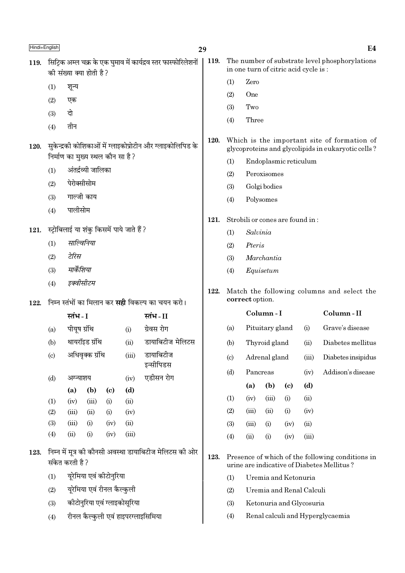| Hindi+English |                                                                                            |                       |                                  |                            |                                            | 29                                                      |      |                                                               |                                                                                        |                       |                            |                                 | E <sub>4</sub>                                                                                    |
|---------------|--------------------------------------------------------------------------------------------|-----------------------|----------------------------------|----------------------------|--------------------------------------------|---------------------------------------------------------|------|---------------------------------------------------------------|----------------------------------------------------------------------------------------|-----------------------|----------------------------|---------------------------------|---------------------------------------------------------------------------------------------------|
| 119.          | सिट्रिक अम्ल चक्र के एक घुमाव में कार्यद्रव स्तर फास्फोरिलेशनों<br>की संख्या क्या होती है? |                       |                                  |                            |                                            |                                                         |      |                                                               | The number of substrate level phosphorylations<br>in one turn of citric acid cycle is: |                       |                            |                                 |                                                                                                   |
|               | (1)                                                                                        | शून्य                 |                                  |                            |                                            |                                                         |      | (1)                                                           | Zero                                                                                   |                       |                            |                                 |                                                                                                   |
|               | (2)                                                                                        | एक                    |                                  |                            |                                            |                                                         |      | (2)                                                           | One                                                                                    |                       |                            |                                 |                                                                                                   |
|               | (3)                                                                                        | दो                    |                                  |                            |                                            |                                                         |      | (3)                                                           | Two                                                                                    |                       |                            |                                 |                                                                                                   |
|               |                                                                                            | तीन                   |                                  |                            |                                            |                                                         |      | (4)                                                           | Three                                                                                  |                       |                            |                                 |                                                                                                   |
| 120.          | (4)<br>सुकेन्द्रकी कोशिकाओं में ग्लाइकोप्रोटीन और ग्लाइकोलिपिड के                          |                       |                                  |                            |                                            |                                                         |      |                                                               |                                                                                        |                       |                            |                                 | Which is the important site of formation of<br>glycoproteins and glycolipids in eukaryotic cells? |
|               |                                                                                            |                       | निर्माण का मुख्य स्थल कौन सा है? |                            |                                            |                                                         |      | (1)                                                           |                                                                                        | Endoplasmic reticulum |                            |                                 |                                                                                                   |
|               | (1)                                                                                        |                       | अंतर्द्रव्यी जालिका              |                            |                                            |                                                         |      | (2)                                                           |                                                                                        | Peroxisomes           |                            |                                 |                                                                                                   |
|               | (2)                                                                                        | पेरोक्सीसोम           |                                  |                            |                                            |                                                         |      | (3)                                                           |                                                                                        | Golgi bodies          |                            |                                 |                                                                                                   |
|               | (3)                                                                                        |                       | गाल्जी काय                       |                            |                                            |                                                         |      | (4)                                                           |                                                                                        | Polysomes             |                            |                                 |                                                                                                   |
|               | (4)                                                                                        | पालीसोम               |                                  |                            |                                            |                                                         | 121. |                                                               |                                                                                        |                       |                            | Strobili or cones are found in: |                                                                                                   |
| 121.          |                                                                                            |                       |                                  |                            | स्ट्रोबिलाई या शंकु किसमें पाये जाते हैं ? |                                                         |      | (1)                                                           | Salvinia                                                                               |                       |                            |                                 |                                                                                                   |
|               | (1)                                                                                        |                       | साल्विनिया                       |                            |                                            |                                                         |      | (2)                                                           | Pteris                                                                                 |                       |                            |                                 |                                                                                                   |
|               | (2)                                                                                        | टेरिस                 |                                  |                            |                                            |                                                         |      | (3)                                                           | Marchantia                                                                             |                       |                            |                                 |                                                                                                   |
|               | (3)                                                                                        | मार्केशिया            |                                  |                            |                                            |                                                         |      | (4)<br>Equisetum                                              |                                                                                        |                       |                            |                                 |                                                                                                   |
|               | इक्वीसीटम<br>(4)                                                                           |                       |                                  |                            |                                            |                                                         |      |                                                               |                                                                                        |                       |                            |                                 |                                                                                                   |
| 122.          |                                                                                            |                       |                                  |                            |                                            | निम्न स्तंभों का मिलान कर <b>सही</b> विकल्प का चयन करो। | 122. | Match the following columns and select the<br>correct option. |                                                                                        |                       |                            |                                 |                                                                                                   |
|               |                                                                                            | स्तंभ - I<br>स्तंभ-II |                                  |                            |                                            |                                                         |      |                                                               |                                                                                        | Column-I              |                            |                                 | Column-II                                                                                         |
|               | (a)                                                                                        | पीयूष ग्रंथि          |                                  |                            | (i)                                        | ग्रेवस रोग                                              |      | (a)                                                           | Pituitary gland<br>(i)                                                                 |                       |                            | Grave's disease                 |                                                                                                   |
|               | (b)                                                                                        |                       | थायरॉइड ग्रंथि                   |                            | (ii)                                       | डायाबिटीज मेलिटस                                        |      | (b)                                                           |                                                                                        | Thyroid gland         |                            | (ii)                            | Diabetes mellitus                                                                                 |
|               | (c)                                                                                        |                       | अधिवृक्क ग्रंथि                  |                            | (iii)                                      | डायाबिटीज                                               |      | $\left( \mathrm{c} \right)$                                   |                                                                                        | Adrenal gland         |                            | (iii)                           | Diabetes insipidus                                                                                |
|               |                                                                                            |                       |                                  |                            |                                            | इन्सीपिडस<br>एडीसन रोग                                  |      | (d)                                                           | Pancreas<br>(iv)                                                                       |                       | Addison's disease          |                                 |                                                                                                   |
|               | (d)                                                                                        | अग्न्याशय<br>(a)      | (b)                              | $\left( \mathrm{c}\right)$ | (iv)<br>(d)                                |                                                         |      |                                                               | (a)                                                                                    | (b)                   | $\left( \mathrm{c}\right)$ | (d)                             |                                                                                                   |
|               | (1)                                                                                        | (iv)                  | (iii)                            | (i)                        | (ii)                                       |                                                         |      | (1)                                                           | (iv)                                                                                   | (iii)                 | (i)                        | (ii)                            |                                                                                                   |
|               | (2)                                                                                        | (iii)                 | (ii)                             | (i)                        | (iv)                                       |                                                         |      | (2)                                                           | (iii)                                                                                  | (ii)                  | (i)                        | (iv)                            |                                                                                                   |
|               | (3)                                                                                        | (iii)                 | (i)                              | (iv)                       | (ii)                                       |                                                         |      | (3)                                                           | (iii)                                                                                  | (i)                   | (iv)                       | (ii)                            |                                                                                                   |
|               | (4)                                                                                        | (ii)                  | (i)                              | (iv)                       | (iii)                                      |                                                         |      | (4)                                                           | (ii)                                                                                   | (i)                   | (iv)                       | (iii)                           |                                                                                                   |
| 123.          | निम्न में मूत्र को कौनसी अवस्था डायाबिटीज मेलिटस की ओर<br>संकेत करती है ?                  |                       |                                  |                            |                                            |                                                         | 123. |                                                               |                                                                                        |                       |                            |                                 | Presence of which of the following conditions in<br>urine are indicative of Diabetes Mellitus?    |
|               | यूरेमिया एवं कीटोनुरिया<br>(1)                                                             |                       |                                  |                            |                                            |                                                         |      | Uremia and Ketonuria<br>(1)                                   |                                                                                        |                       |                            |                                 |                                                                                                   |
|               | (2)                                                                                        |                       | यूरेमिया एवं रीनल कैल्कुली       |                            |                                            |                                                         |      | Uremia and Renal Calculi<br>(2)                               |                                                                                        |                       |                            |                                 |                                                                                                   |
|               | कीटोनुरिया एवं ग्लाइकोसूरिया<br>(3)                                                        |                       |                                  |                            |                                            |                                                         |      | Ketonuria and Glycosuria<br>(3)                               |                                                                                        |                       |                            |                                 |                                                                                                   |
|               | रीनल कैल्कुली एवं हाइपरग्लाइसिमिया<br>(4)                                                  |                       |                                  |                            |                                            |                                                         |      | Renal calculi and Hyperglycaemia<br>(4)                       |                                                                                        |                       |                            |                                 |                                                                                                   |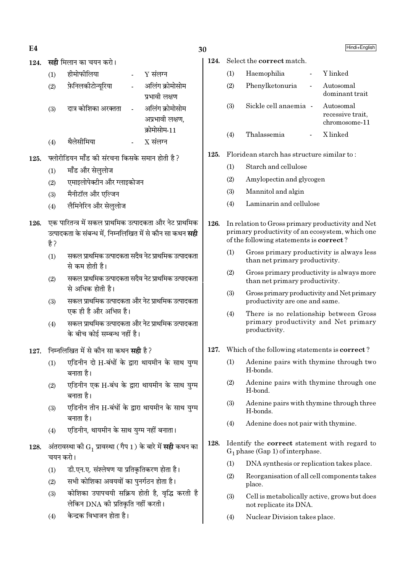- $E4$
- 124. सही मिलान का चयन करो।

| (1) | हीमोफीलिया           | Y संलग्न        |
|-----|----------------------|-----------------|
| (2) | फ़ेनिलकीटोन्यूरिया   | अलिंग क्रोमोसोम |
|     |                      | प्रभावी लक्षण   |
| (3) | दात्र कोशिका अरक्तता | अलिंग क्रोमोसोम |
|     |                      | अप्रभावी लक्षण. |
|     |                      | क्रोमोसोम-11    |
| (4) | थैलेसीमिया           | $X$ संलग्न      |

- फ्लोरीडियन मॉॅंड की संरचना किसके समान होती है ? 125.
	- मॉॅंड और सेललोज  $(1)$
	- एमाइलोपेक्टीन और ग्लाइकोजन  $(2)$
	- मैनीटॉल और एल्जिन  $(3)$
	- लैमिनेरिन और सेललोज  $(4)$

# 126. एक पारितन्त्र में सकल प्राथमिक उत्पादकता और नेट प्राथमिक उत्पादकता के संबन्ध में, निम्नलिखित में से कौन सा कथन **सही** है ?

- सकल प्राथमिक उत्पादकता सदैव नेट प्राथमिक उत्पादकता  $(1)$ से कम होती है।
- सकल प्राथमिक उत्पादकता सदैव नेट प्राथमिक उत्पादकता  $(2)$ से अधिक होती है।
- सकल प्राथमिक उत्पादकता और नेट प्राथमिक उत्पादकता  $(3)$ एक ही है और अभिन्न है।
- सकल प्राथमिक उत्पादकता और नेट प्राथमिक उत्पादकता  $(4)$ के बीच कोई सम्बन्ध नहीं है।
- निम्नलिखित में से कौन सा कथन **सही** है? 127.
	- एडिनीन दो H-बंधों के द्वारा थायमीन के साथ युग्म  $(1)$ बनाता है।
	- एडिनीन एक H-बंध के द्वारा थायमीन के साथ यग्म  $(2)$ बनाता है।
	- एडिनीन तीन H-बंधों के द्वारा थायमीन के साथ युग्म  $(3)$ बनाता है।
	- एडिनीन, थायमीन के साथ युग्म नहीं बनाता।  $(4)$
- 128. अंतरावस्था की  $G_1$  प्रावस्था (गैप 1) के बारे में सही कथन का चयन करो।
	- डी.एन.ए. संश्लेषण या प्रतिकृतिकरण होता है।  $(1)$
	- सभी कोशिका अवयवों का पनर्गठन होता है।  $(2)$
	- कोशिका उपापचयी सक्रिय होती है, वृद्धि करती है  $(3)$ लेकिन DNA की प्रतिकृति नहीं करती।
	- केन्द्रक विभाजन होता है।  $(4)$

## 30

124.

|     | Select the <b>correct</b> match. |            |                             |
|-----|----------------------------------|------------|-----------------------------|
| (1) | Haemophilia                      | $\sim 100$ | Y linked                    |
| (2) | Phenylketonuria                  |            | Autosomal<br>dominant trait |

- $(3)$ Sickle cell anaemia -Autosomal recessive trait. chromosome-11
- X linked  $(4)$ Thalassemia

#### $125.$ Floridean starch has structure similar to:

- Starch and cellulose  $(1)$
- $(2)$ Amylopectin and glycogen
- $(3)$ Mannitol and algin
- $(4)$ Laminarin and cellulose
- 126. In relation to Gross primary productivity and Net primary productivity of an ecosystem, which one of the following statements is **correct**?
	- $(1)$ Gross primary productivity is always less than net primary productivity.
	- $(2)$ Gross primary productivity is always more than net primary productivity.
	- $(3)$ Gross primary productivity and Net primary productivity are one and same.
	- $(4)$ There is no relationship between Gross primary productivity and Net primary productivity.
- 127. Which of the following statements is **correct**?
	- Adenine pairs with thymine through two  $(1)$ H-bonds.
	- $(2)$ Adenine pairs with thymine through one H-bond.
	- $(3)$ Adenine pairs with thymine through three H-bonds.
	- Adenine does not pair with thymine.  $(4)$
- 128. Identify the correct statement with regard to  $G_1$  phase (Gap 1) of interphase.
	- $(1)$ DNA synthesis or replication takes place.
	- $(2)$ Reorganisation of all cell components takes place.
	- $(3)$ Cell is metabolically active, grows but does not replicate its DNA.
	- $(4)$ Nuclear Division takes place.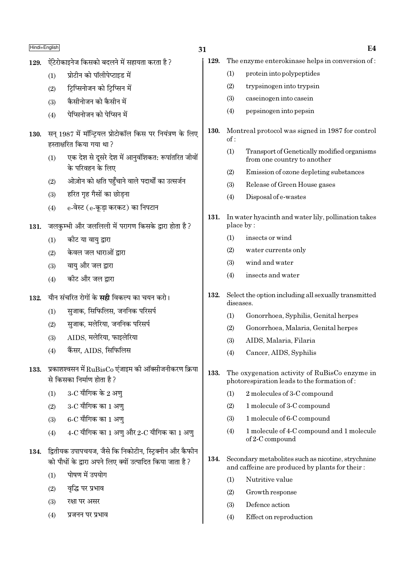- ऐंटेरोकाइनेज किसको बदलने में सहायता करता है ? 129.
	- प्रोटीन को पॉलीपेप्टाइड में  $(1)$
	- टिप्सिनोजन को टिप्सिन में  $(2)$
	- कैसीनोजन को कैसीन में  $(3)$
	- <u>पेप्सिनोजन को पेप्सिन में</u>  $(4)$
- 130. सन 1987 में मॉन्टियल प्रोटोकॉल किस पर नियंत्रण के लिए हस्ताक्षरित किया गया था?
	- एक देश से दूसरे देश में आनुवंशिकत: रूपांतरित जीवों  $(1)$ के परिवहन के लिए
	- ओज़ोन को क्षति पहुँचाने वाले पदार्थों का उत्सर्जन  $(2)$
	- हरित गृह गैसों का छोडना  $(3)$
	- e-वेस्ट (e-कुडा करकट) का निपटान  $(4)$
- जलकम्भी और जललिली में परागण किसके द्वारा होता है? 131.
	- $(1)$ कोट या वायु द्वारा
	- केवल जल धाराओं द्वारा  $(2)$
	- वाय और जल द्वारा  $(3)$
	- कीट और जल द्रारा  $(4)$
- यौन संचरित रोगों के **सद्दी** विकल्प का चयन करो। 132.
	- सजाक. सिफिलिस. जननिक परिसर्प  $(1)$
	- सजाक. मलेरिया. जननिक परिसर्प  $(2)$
	- AIDS. मलेरिया. फाइलेरिया  $(3)$
	- कैंसर, AIDS, सिफिलिस  $(4)$
- $133.$  प्रकाशश्वसन में  $RuBisCo$  एंजाइम की ऑक्सीजनीकरण क्रिया से किसका निर्माण होता है?
	- $3$ -C यौगिक के 2 अणु  $(1)$
	- 3-C यौगिक का 1 अण  $(2)$
	- $6$ - $C$  यौगिक का  $1$  अण्  $(3)$
	- $4\text{-}C$  यौगिक का  $1$  अणु और  $2\text{-}C$  यौगिक का  $1$  अणु  $(4)$
- 134. द्वितीयक उपापचयज, जैसे कि निकोटीन, स्टिक्नीन और कैफीन को पौधों के द्वारा अपने लिए क्यों उत्पादित किया जाता है ?
	- पोषण में उपयोग  $(1)$
	- वद्धि पर प्रभाव  $(2)$
	- $(3)$ रक्षा पर असर
	- $(4)$ प्रजनन पर प्रभाव
- 31
	- 129. The enzyme enterokinase helps in conversion of:
		- $(1)$ protein into polypeptides
		- $(2)$ trypsinogen into trypsin
		- $(3)$ caseinogen into casein
		- $(4)$ pepsinogen into pepsin
	- Montreal protocol was signed in 1987 for control 130.  $of:$ 
		- Transport of Genetically modified organisms  $(1)$ from one country to another
		- $(2)$ Emission of ozone depleting substances
		- $(3)$ Release of Green House gases
		- Disposal of e-wastes  $(4)$
	- 131. In water hyacinth and water lily, pollination takes place by:
		- $(1)$ insects or wind
		- $(2)$ water currents only
		- $(3)$ wind and water
		- $(4)$ insects and water
	- 132. Select the option including all sexually transmitted diseases.
		- $(1)$ Gonorrhoea, Syphilis, Genital herpes
		- $(2)$ Gonorrhoea, Malaria, Genital herpes
		- AIDS, Malaria, Filaria  $(3)$
		- Cancer, AIDS, Syphilis  $(4)$
	- 133. The oxygenation activity of RuBisCo enzyme in photorespiration leads to the formation of:
		- $(1)$ 2 molecules of 3-C compound
		- $(2)$ 1 molecule of 3-C compound
		- 1 molecule of 6-C compound  $(3)$
		- $(4)$ 1 molecule of 4-C compound and 1 molecule of 2-C compound
	- 134. Secondary metabolites such as nicotine, strychnine and caffeine are produced by plants for their:
		- $(1)$ Nutritive value
		- $(2)$ Growth response
		- Defence action  $(3)$
		- $(4)$ Effect on reproduction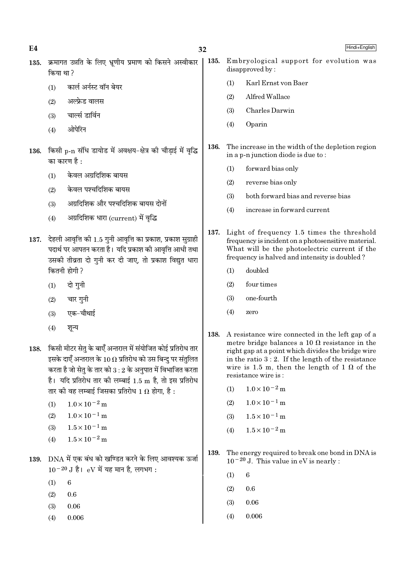32 135. क्रमागत उन्नति के लिए भ्रणीय प्रमाण को किसने अस्वीकार 135. disapproved by: किया था ?  $(1)$ कार्ल अर्नस्ट वॉन बेयर  $(2)$ अल्फ्रेड वालस  $(3)$ चार्ल्स डार्विन  $(4)$ Oparin ओपेरिन 136. 136. किसी p-n संधि डायोड में अवक्षय-क्षेत्र की चौड़ाई में वृद्धि का कारण है  $\cdot$ 

- केवल अग्रदिशिक बायस  $(1)$
- केवल पश्चदिशिक बायस  $(2)$
- अग्रदिशिक और पश्चदिशिक बायस दोनों  $(3)$
- अग्रदिशिक धारा (current) में वृद्धि  $(4)$
- 137. देहली आवृत्ति की 1.5 गुनी आवृत्ति का प्रकाश, प्रकाश सुग्राही पदार्थ पर आपतन करता है। यदि प्रकाश की आवत्ति आधी तथा उसकी तीव्रता दो गुनी कर दी जाए, तो प्रकाश विद्युत धारा कितनी होगी ?
	- दो गुनी  $(1)$
	- चार गुनी  $(2)$
	- एक-चौथाई  $(3)$
	- $(4)$ शन्य
- 138. किसी मीटर सेतु के बाएँ अन्तराल में संयोजित कोई प्रतिरोध तार इसके दाएँ अन्तराल के 10  $\Omega$  प्रतिरोध को उस बिन्दु पर संतुलित करता है जो सेत के तार को  $3:2$  के अनपात में विभाजित करता है। यदि प्रतिरोध तार की लम्बाई 1.5 m है, तो इस प्रतिरोध तार की वह लम्बाई जिसका प्रतिरोध  $1 \, \Omega$  होगा. है :
	- (1)  $1.0 \times 10^{-2}$  m
	- $1.0 \times 10^{-1}$  m  $(2)$
	- $1.5 \times 10^{-1}$  m  $(3)$
	- $1.5 \times 10^{-2}$  m  $(4)$
- 139. DNA में एक बंध को खण्डित करने के लिए आवश्यक ऊर्जा  $10^{-20}$  J है। eV में यह मान है, लगभग:
	- $(1)$  $6\phantom{.}6$
	- $(2)$  $0.6$
	- $(3)$ 0.06
	- $(4)$ 0.006
- Hindi+English
- Embryological support for evolution was Karl Ernst von Baer Alfred Wallace Charles Darwin
- The increase in the width of the depletion region in a p-n junction diode is due to:
	- forward bias only  $(1)$
	- reverse bias only  $(2)$
	- $(3)$ both forward bias and reverse bias
	- increase in forward current  $(4)$
- 137. Light of frequency 1.5 times the threshold frequency is incident on a photosensitive material. What will be the photoelectric current if the frequency is halved and intensity is doubled?
	- $(1)$ doubled
	- $(2)$ four times
	- $(3)$ one-fourth
	- $(4)$  $70<sub>2</sub>$
- 138. A resistance wire connected in the left gap of a metre bridge balances a 10  $\Omega$  resistance in the right gap at a point which divides the bridge wire in the ratio  $3:2$ . If the length of the resistance wire is 1.5 m, then the length of 1  $\Omega$  of the resistance wire is:
	- $1.0 \times 10^{-2}$  m  $(1)$
	- $1.0 \times 10^{-1}$  m  $(2)$
	- $1.5 \times 10^{-1}$  m  $(3)$
	- $1.5 \times 10^{-2}$  m  $(4)$
- 139. The energy required to break one bond in DNA is  $10^{-20}$  J. This value in eV is nearly :
	- $(1)$ 6
	- $(2)$  $0.6$
	- $(3)$ 0.06
	- 0.006  $(4)$

 $E4$ 

 $(1)$ 

 $(2)$ 

 $(3)$ 

 $(4)$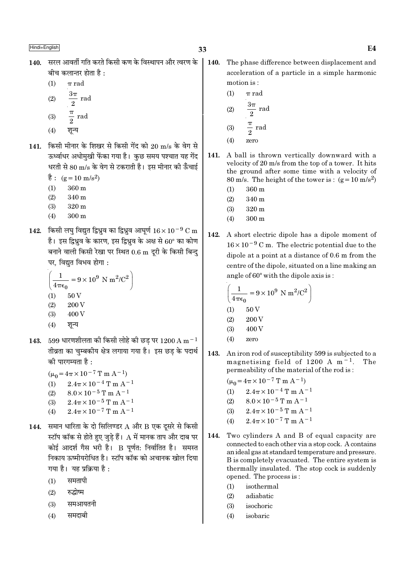- 140. सरल आवर्ती गति करते किसी कण के विस्थापन और त्वरण के बीच कलान्तर होता है $\cdot$ 
	- $(1)$  $\pi$  rad
	- $\frac{3\pi}{2}$  rad  $(2)$
	- $rac{\pi}{2}$  rad  $(3)$
	-
	- शून्य  $(4)$
- 141. किसी मीनार के शिखर से किसी गेंद को 20 m/s के वेग से ऊर्ध्वाधर अधोमुखी फेंका गया है। कुछ समय पश्चात यह गेंद धरती से 80 m/s के वेग से टकराती है। इस मीनार की ऊँचाई
	- है:  $(g=10 \text{ m/s}^2)$
	- $360 \text{ m}$  $(1)$
	- $(2)$ 340 m
	- $(3)$  $320<sub>m</sub>$
	- $(4)$  $300 \text{ m}$
- 142. किसी लघ विद्यत द्विध्रव का द्विध्रव आघर्ण  $16 \times 10^{-9}$  C m है। इस द्विध्रुव के कारण, इस द्विध्रुव के अक्ष से  $60^{\circ}$  का कोण बनाने वाली किसी रेखा पर स्थित 0.6 m दूरी के किसी बिन्द पर, विद्युत विभव होगा:

$$
\left(\frac{1}{4\pi\epsilon_0} = 9 \times 10^9 \text{ N m}^2/\text{C}^2\right)
$$
  
(1) 50 V

- $(2)$ 200 V
- 400 V  $(3)$
- $(4)$ शून्य
- $599$  धारणशीलता की किसी लोहे की छड पर  $1200\,\mathrm{A\,m^{-1}}$ 143. तीव्रता का चुम्बकीय क्षेत्र लगाया गया है। इस छड के पदार्थ की पारगम्यता है :
	- $(\mu_0 = 4\pi \times 10^{-7} \text{ T m A}^{-1})$
	- (1)  $2.4\pi \times 10^{-4}$  T m A<sup>-1</sup>
	- $8.0\times10^{-5}$  T m  $\mathrm{A}^{-1}$  $(2)$
	- $2.4\pi \times 10^{-5}$  T m A<sup>-1</sup>  $(3)$
	- $2.4\pi \times 10^{-7}$  T m A<sup>-1</sup>  $(4)$
- 144. समान धारिता के दो सिलिण्डर  $A$  और  $B$  एक दुसरे से किसी स्टॉप कॉक से होते हुए जुडे हैं।  ${\rm A}$  में मानक ताप और दाब पर कोई आदर्श गैस भरी है। B पूर्णत: निर्वातित है। समस्त निकाय ऊष्मीयरोधित है। स्टॉप कॉक को अचानक खोल दिया गया है। यह प्रक्रिया है:
	- समतापी  $(1)$
	- रुद्धोष्म  $(2)$
	- समआयतनी  $(3)$
	- समदाबी  $(4)$

140. The phase difference between displacement and acceleration of a particle in a simple harmonic motion is:

(1) 
$$
\pi
$$
 rad  
\n(2)  $\frac{3\pi}{2}$  rad  
\n(3)  $\frac{\pi}{2}$  rad

- $(4)$ zero
- A ball is thrown vertically downward with a  $141.$ velocity of 20 m/s from the top of a tower. It hits the ground after some time with a velocity of 80 m/s. The height of the tower is:  $(g=10 \text{ m/s}^2)$ 
	- 360 m  $(1)$
	- $(2)$ 340 m
	- $(3)$ 320 m
	- $(4)$  $300 \text{ m}$
- 142. A short electric dipole has a dipole moment of  $16 \times 10^{-9}$  C m. The electric potential due to the dipole at a point at a distance of 0.6 m from the centre of the dipole, situated on a line making an angle of 60° with the dipole axis is:

$$
\left(\frac{1}{4\pi\epsilon_0} = 9 \times 10^9 \text{ N m}^2/\text{C}^2\right)
$$
  
(1) 50 V  
(2) 200 V  
(3) 400 V

- $(4)$ zero
- 143. An iron rod of susceptibility 599 is subjected to a magnetising field of 1200 A  $m^{-1}$ . The permeability of the material of the rod is:
	- $(\mu_0 = 4\pi \times 10^{-7} \text{ T m A}^{-1})$
	- $(1)$  $2.4\pi \times 10^{-4}$  T m A<sup>-1</sup>
	- $8.0 \times 10^{-5}$  T m A<sup>-1</sup>  $(2)$
	- $2.4\pi\!\times\!10^{-5}\,\mathrm{T}$  m A  $^{-1}$  $(3)$
	- $2.4\pi \times 10^{-7}$  T m A<sup>-1</sup>  $(4)$
- 144. Two cylinders A and B of equal capacity are connected to each other via a stop cock. A contains an ideal gas at standard temperature and pressure. B is completely evacuated. The entire system is thermally insulated. The stop cock is suddenly opened. The process is:
	- $(1)$ isothermal
	- $(2)$ adiabatic
	- $(3)$ isochoric
	- $(4)$ isobaric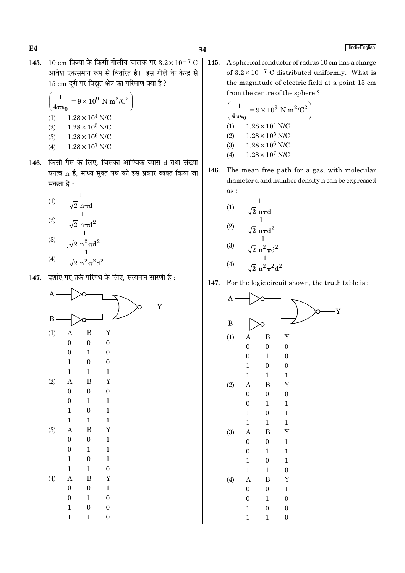$E4$ 

145. 10 cm त्रिज्या के किसी गोलीय चालक पर  $3.2 \times 10^{-7}$  C आवेश एकसमान रूप से वितरित है। इस गोले के केन्द्र से 15 cm दूरी पर विद्युत क्षेत्र का परिमाण क्या है ?

$$
\left(\frac{1}{4\pi\epsilon_0} = 9 \times 10^9 \text{ N m}^2/\text{C}^2\right)
$$
  
(1) 1.28 × 10<sup>4</sup> N/C  
(2) 1.28 × 10<sup>5</sup> N/C  
(3) 1.28 × 10<sup>6</sup> N/C

- $1.28 \times 10^7$  N/C  $(4)$
- 146. किसी गैस के लिए, जिसका आण्विक व्यास d तथा संख्या घनत्व n है, माध्य मुक्त पथ को इस प्रकार व्यक्त किया जा सकता है :

(1) 
$$
\frac{1}{\sqrt{2} \text{ n} \pi d}
$$
  
\n(2)  $\frac{1}{\sqrt{2} \text{ n} \pi d^2}$   
\n(3)  $\frac{1}{\sqrt{2} \text{ n}^2 \pi d^2}$   
\n(4)  $\frac{1}{\sqrt{2} \text{ n}^2 \pi^2 d^2}$ 

147. दर्शाए गए तर्क परिपथ के लिए, सत्यमान सारणी है:

![](_page_33_Figure_9.jpeg)

A spherical conductor of radius 10 cm has a charge  $\vert$  145. of  $3.2 \times 10^{-7}$  C distributed uniformly. What is the magnitude of electric field at a point 15 cm from the centre of the sphere?

$$
\left(\frac{1}{4\pi\epsilon_0} = 9 \times 10^9 \text{ N m}^2/\text{C}^2\right)
$$
  
(1) 1.28 × 10<sup>4</sup> N/C  
(2) 1.28 × 10<sup>5</sup> N/C  
(3) 1.28 × 10<sup>6</sup> N/C  
(4) 1.28 × 10<sup>7</sup> N/C

146. The mean free path for a gas, with molecular diameter d and number density n can be expressed as :

(1) 
$$
\frac{1}{\sqrt{2} \text{ n} \pi d}
$$
  
\n(2) 
$$
\frac{1}{\sqrt{2} \text{ n} \pi d^2}
$$
  
\n(3) 
$$
\frac{1}{\sqrt{2} \text{ n}^2 \pi d^2}
$$
  
\n(4) 
$$
\frac{1}{\sqrt{2} \text{ n}^2 \pi^2 d^2}
$$

147. For the logic circuit shown, the truth table is:

![](_page_33_Figure_15.jpeg)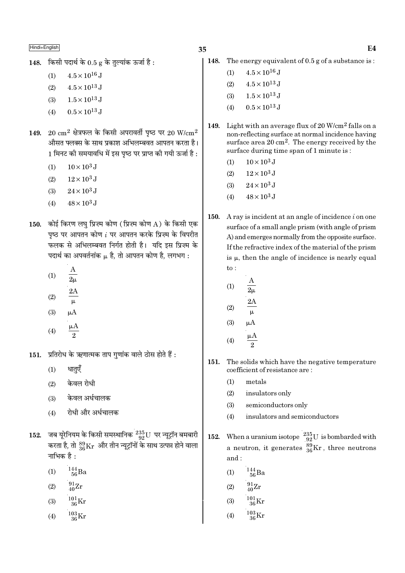35

- 148. किसी पदार्थ के  $0.5$  g के तल्यांक ऊर्जा है:
	- $4.5 \times 10^{16}$  J  $(1)$
	- $(2)$  $4.5 \times 10^{13}$  J
	- $1.5 \times 10^{13}$  J  $(3)$
	- $0.5 \times 10^{13}$  J  $(4)$
- $20 \text{ cm}^2$  क्षेत्रफल के किसी अपरावर्ती पृष्ठ पर  $20 \text{ W/cm}^2$ 149. औसत फ्लक्स के साथ प्रकाश अभिलम्बवत आपतन करता है। 1 मिनट की समयावधि में इस पृष्ठ पर प्राप्त की गयी ऊर्जा है :
	- $10 \times 10^3$  J  $(1)$
	- $(2)$  $12\times10^3\,\mathrm{J}$
	- $24 \times 10^3$  J  $(3)$
	- $48 \times 10^3$  J  $(4)$
- 150. कोई किरण लघु प्रिज़्म कोण (प्रिज़्म कोण A) के किसी एक पृष्ठ पर आपतन कोण  $i$  पर आपतन करके प्रिज़्म के विपरीत फलक से अभिलम्बवत निर्गत होती है। यदि इस प्रिज्म के पदार्थ का अपवर्तनांक μ है, तो आपतन कोण है, लगभग:
	- $(1)$  $\overline{2\mu}$
	- $(2)$
	- $\mu A$  $(3)$
	- $(4)$
- प्रतिरोध के ऋणात्मक ताप गुणांक वाले ठोस होते हैं :  $151.$ 
	- धातुएँ  $(1)$
	- केवल रोधी  $(2)$
	- केवल अर्धचालक  $(3)$
	- रोधी और अर्धचालक  $(4)$
- जब यूरेनियम के किसी समस्थानिक  $^{235}_{92}$ U पर न्यूट्रॉन बमबारी<br>करता है, तो  $^{89}_{36}\rm{Kr}$  और तीन न्यूट्रॉनों के साथ उत्पन्न होने वाला 152. नाभिक है :
	- $^{144}_{\ 56}Ba$  $(1)$
	- $^{91}_{40}Zr$  $(2)$
	- $^{101}_{36}$ Kr  $(3)$
	- $^{103}_{36}$ Kr  $(4)$
- 148. The energy equivalent of  $0.5$  g of a substance is:
	- $4.5 \times 10^{16}$  J  $(1)$
	- $(2)$  $4.5 \times 10^{13}$  J
	- $1.5\times10^{13}\,\mathrm{J}$  $(3)$
	- $0.5 \times 10^{13}$  J  $(4)$
- Light with an average flux of 20  $W/cm^2$  falls on a 149. non-reflecting surface at normal incidence having surface area  $20 \text{ cm}^2$ . The energy received by the surface during time span of 1 minute is:
	- $10 \times 10^3$  J  $(1)$
	- $12 \times 10^3$  J  $(2)$
	- $24 \times 10^3$  J  $(3)$
	- $48 \times 10^3$  J  $(4)$
- $150.$ A ray is incident at an angle of incidence  $i$  on one surface of a small angle prism (with angle of prism) A) and emerges normally from the opposite surface. If the refractive index of the material of the prism is  $\mu$ , then the angle of incidence is nearly equal  $to$ :

(1) 
$$
\frac{A}{2\mu}
$$
  
(2)  $\frac{2A}{\mu}$   
(3)  $\mu A$ 

- $(4)$  $\overline{2}$
- 151. The solids which have the negative temperature coefficient of resistance are:
	- $(1)$ metals
	- $(2)$ insulators only
	- $(3)$ semiconductors only
	- insulators and semiconductors  $(4)$
- When a uranium isotope  $\frac{235}{92}U$  is bombarded with<br>a neutron, it generates  $\frac{89}{36}Kr$ , three neutrons 152. and:
	- $^{144}_{\ 56}$ Ba  $(1)$
	- $^{91}_{40}Zr$  $(2)$

$$
(3) \qquad \frac{101}{36} \text{K}
$$

 $^{103}_{\phantom{1}36}\mathrm{Kr}$  $(4)$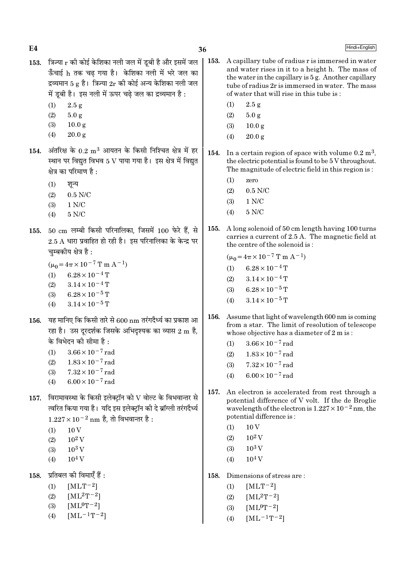| त्रिज्या r की कोई केशिका नली जल में डूबी है और इसमें जल<br>A capillary tube of radius r is immersed in water<br>153.<br>and water rises in it to a height h. The mass of<br>ऊँँचाई h तक चढ़ गया है। केशिका नली में भरे जल का<br>the water in the capillary is 5 g. Another capillary<br>द्रव्यमान 5 g है। त्रिज्या $2r$ की कोई अन्य केशिका नली जल<br>tube of radius 2r is immersed in water. The mass<br>में डूबी है। इस नली में ऊपर चढ़े जल का द्रव्यमान है :<br>of water that will rise in this tube is:<br>(1)<br>2.5 g<br>(1)<br>2.5 g<br>5.0 g<br>5.0 g<br>(2)<br>(2)<br>(3)<br>10.0 <sub>g</sub><br>(3)<br>10.0 <sub>g</sub><br>(4)<br>20.0 g<br>20.0 g<br>(4)<br>अंतरिक्ष के $0.2 \; \mathrm{m}^3$ आयतन के किसी निश्चित क्षेत्र में हर<br>154.<br>In a certain region of space with volume $0.2 \text{ m}^3$ ,<br>स्थान पर विद्युत विभव 5 V पाया गया है। इस क्षेत्र में विद्युत<br>the electric potential is found to be 5 V throughout.<br>The magnitude of electric field in this region is:<br>क्षेत्र का परिमाण है :<br>(1)<br>zero<br>(1)<br>शून्य<br>$0.5$ N/C<br>(2)<br>$0.5$ N/C<br>(2)<br>1 N/C<br>(3)<br>1 N/C<br>(3)<br>$5$ N/C $\,$<br>(4)<br>$5$ N/C $\,$<br>(4)<br>A long solenoid of 50 cm length having 100 turns<br>155.<br>50 cm लम्बी किसी परिनालिका, जिसमें 100 फेरे हैं, से<br>carries a current of 2.5 A. The magnetic field at<br>$2.5$ A धारा प्रवाहित हो रही है। इस परिनालिका के केन्द्र पर<br>the centre of the solenoid is:<br>चुम्बकीय क्षेत्र है :<br>$(\mu_0 = 4\pi \times 10^{-7} \text{ T m A}^{-1})$<br>$(\mu_0 = 4\pi \times 10^{-7} \text{ T m A}^{-1})$<br>$6.28 \times 10^{-4}$ T<br>(1)<br>$6.28 \times 10^{-4}$ T<br>(1)<br>$3.14 \times 10^{-4}$ T<br>(2)<br>$3.14 \times 10^{-4}$ T<br>(2)<br>$6.28 \times 10^{-5}$ T<br>(3)<br>$6.28 \times 10^{-5}$ T<br>(3)<br>$3.14\times10^{-5}\,\mathrm{T}$<br>(4)<br>$3.14 \times 10^{-5}$ T<br>(4)<br>Assume that light of wavelength 600 nm is coming<br>156.<br>यह मानिए कि किसी तारे से 600 nm तरंगदैर्ध्य का प्रकाश आ<br>from a star. The limit of resolution of telescope<br>रहा है। उस दूरदर्शक जिसके अभिदृश्यक का व्यास 2 m है,<br>whose objective has a diameter of 2 m is:<br>के विभेदन की सीमा है :<br>$3.66 \times 10^{-7}$ rad<br>(1)<br>$3.66 \times 10^{-7}$ rad<br>(1)<br>$1.83 \times 10^{-7}$ rad<br>(2)<br>$1.83 \times 10^{-7}$ rad<br>(2)<br>$7.32 \times 10^{-7}$ rad<br>(3)<br>$7.32 \times 10^{-7}$ rad<br>(3)<br>$6.00 \times 10^{-7}$ rad<br>(4)<br>$6.00 \times 10^{-7}$ rad<br>(4)<br>An electron is accelerated from rest through a<br>157.<br>विरामावस्था के किसी इलेक्ट्रॉन को ${\rm V}$ वोल्ट के विभवान्तर से<br>potential difference of V volt. If the de Broglie<br>त्वरित किया गया है। यदि इस इलेक्ट्रॉन की दे ब्रॉग्ली तरंगदैर्ध्य<br>wavelength of the electron is $1.227 \times 10^{-2}$ nm, the<br>potential difference is:<br>$1.227 \times 10^{-2}$ nm है, तो विभवान्तर है :<br>10 <sub>V</sub><br>(1)<br>10V<br>(1)<br>$10^2$ V<br>(2)<br>$10^2$ V<br>(2)<br>$10^3$ V<br>$10^3$ V<br>(3)<br>(3) | E4   | 36 | Hindi+English |
|----------------------------------------------------------------------------------------------------------------------------------------------------------------------------------------------------------------------------------------------------------------------------------------------------------------------------------------------------------------------------------------------------------------------------------------------------------------------------------------------------------------------------------------------------------------------------------------------------------------------------------------------------------------------------------------------------------------------------------------------------------------------------------------------------------------------------------------------------------------------------------------------------------------------------------------------------------------------------------------------------------------------------------------------------------------------------------------------------------------------------------------------------------------------------------------------------------------------------------------------------------------------------------------------------------------------------------------------------------------------------------------------------------------------------------------------------------------------------------------------------------------------------------------------------------------------------------------------------------------------------------------------------------------------------------------------------------------------------------------------------------------------------------------------------------------------------------------------------------------------------------------------------------------------------------------------------------------------------------------------------------------------------------------------------------------------------------------------------------------------------------------------------------------------------------------------------------------------------------------------------------------------------------------------------------------------------------------------------------------------------------------------------------------------------------------------------------------------------------------------------------------------------------------------------------------------------------------------------------------------------------------------------------------------------------------------------------------------------------------------------------------------------------------------------------------------------------------------------------------------------------------------------------------------------------------------------------------------------------------------------------------------------------|------|----|---------------|
|                                                                                                                                                                                                                                                                                                                                                                                                                                                                                                                                                                                                                                                                                                                                                                                                                                                                                                                                                                                                                                                                                                                                                                                                                                                                                                                                                                                                                                                                                                                                                                                                                                                                                                                                                                                                                                                                                                                                                                                                                                                                                                                                                                                                                                                                                                                                                                                                                                                                                                                                                                                                                                                                                                                                                                                                                                                                                                                                                                                                                                  | 153. |    |               |
|                                                                                                                                                                                                                                                                                                                                                                                                                                                                                                                                                                                                                                                                                                                                                                                                                                                                                                                                                                                                                                                                                                                                                                                                                                                                                                                                                                                                                                                                                                                                                                                                                                                                                                                                                                                                                                                                                                                                                                                                                                                                                                                                                                                                                                                                                                                                                                                                                                                                                                                                                                                                                                                                                                                                                                                                                                                                                                                                                                                                                                  |      |    |               |
|                                                                                                                                                                                                                                                                                                                                                                                                                                                                                                                                                                                                                                                                                                                                                                                                                                                                                                                                                                                                                                                                                                                                                                                                                                                                                                                                                                                                                                                                                                                                                                                                                                                                                                                                                                                                                                                                                                                                                                                                                                                                                                                                                                                                                                                                                                                                                                                                                                                                                                                                                                                                                                                                                                                                                                                                                                                                                                                                                                                                                                  |      |    |               |
|                                                                                                                                                                                                                                                                                                                                                                                                                                                                                                                                                                                                                                                                                                                                                                                                                                                                                                                                                                                                                                                                                                                                                                                                                                                                                                                                                                                                                                                                                                                                                                                                                                                                                                                                                                                                                                                                                                                                                                                                                                                                                                                                                                                                                                                                                                                                                                                                                                                                                                                                                                                                                                                                                                                                                                                                                                                                                                                                                                                                                                  |      |    |               |
|                                                                                                                                                                                                                                                                                                                                                                                                                                                                                                                                                                                                                                                                                                                                                                                                                                                                                                                                                                                                                                                                                                                                                                                                                                                                                                                                                                                                                                                                                                                                                                                                                                                                                                                                                                                                                                                                                                                                                                                                                                                                                                                                                                                                                                                                                                                                                                                                                                                                                                                                                                                                                                                                                                                                                                                                                                                                                                                                                                                                                                  |      |    |               |
|                                                                                                                                                                                                                                                                                                                                                                                                                                                                                                                                                                                                                                                                                                                                                                                                                                                                                                                                                                                                                                                                                                                                                                                                                                                                                                                                                                                                                                                                                                                                                                                                                                                                                                                                                                                                                                                                                                                                                                                                                                                                                                                                                                                                                                                                                                                                                                                                                                                                                                                                                                                                                                                                                                                                                                                                                                                                                                                                                                                                                                  | 154. |    |               |
|                                                                                                                                                                                                                                                                                                                                                                                                                                                                                                                                                                                                                                                                                                                                                                                                                                                                                                                                                                                                                                                                                                                                                                                                                                                                                                                                                                                                                                                                                                                                                                                                                                                                                                                                                                                                                                                                                                                                                                                                                                                                                                                                                                                                                                                                                                                                                                                                                                                                                                                                                                                                                                                                                                                                                                                                                                                                                                                                                                                                                                  |      |    |               |
|                                                                                                                                                                                                                                                                                                                                                                                                                                                                                                                                                                                                                                                                                                                                                                                                                                                                                                                                                                                                                                                                                                                                                                                                                                                                                                                                                                                                                                                                                                                                                                                                                                                                                                                                                                                                                                                                                                                                                                                                                                                                                                                                                                                                                                                                                                                                                                                                                                                                                                                                                                                                                                                                                                                                                                                                                                                                                                                                                                                                                                  |      |    |               |
|                                                                                                                                                                                                                                                                                                                                                                                                                                                                                                                                                                                                                                                                                                                                                                                                                                                                                                                                                                                                                                                                                                                                                                                                                                                                                                                                                                                                                                                                                                                                                                                                                                                                                                                                                                                                                                                                                                                                                                                                                                                                                                                                                                                                                                                                                                                                                                                                                                                                                                                                                                                                                                                                                                                                                                                                                                                                                                                                                                                                                                  |      |    |               |
|                                                                                                                                                                                                                                                                                                                                                                                                                                                                                                                                                                                                                                                                                                                                                                                                                                                                                                                                                                                                                                                                                                                                                                                                                                                                                                                                                                                                                                                                                                                                                                                                                                                                                                                                                                                                                                                                                                                                                                                                                                                                                                                                                                                                                                                                                                                                                                                                                                                                                                                                                                                                                                                                                                                                                                                                                                                                                                                                                                                                                                  |      |    |               |
|                                                                                                                                                                                                                                                                                                                                                                                                                                                                                                                                                                                                                                                                                                                                                                                                                                                                                                                                                                                                                                                                                                                                                                                                                                                                                                                                                                                                                                                                                                                                                                                                                                                                                                                                                                                                                                                                                                                                                                                                                                                                                                                                                                                                                                                                                                                                                                                                                                                                                                                                                                                                                                                                                                                                                                                                                                                                                                                                                                                                                                  | 155. |    |               |
|                                                                                                                                                                                                                                                                                                                                                                                                                                                                                                                                                                                                                                                                                                                                                                                                                                                                                                                                                                                                                                                                                                                                                                                                                                                                                                                                                                                                                                                                                                                                                                                                                                                                                                                                                                                                                                                                                                                                                                                                                                                                                                                                                                                                                                                                                                                                                                                                                                                                                                                                                                                                                                                                                                                                                                                                                                                                                                                                                                                                                                  |      |    |               |
|                                                                                                                                                                                                                                                                                                                                                                                                                                                                                                                                                                                                                                                                                                                                                                                                                                                                                                                                                                                                                                                                                                                                                                                                                                                                                                                                                                                                                                                                                                                                                                                                                                                                                                                                                                                                                                                                                                                                                                                                                                                                                                                                                                                                                                                                                                                                                                                                                                                                                                                                                                                                                                                                                                                                                                                                                                                                                                                                                                                                                                  |      |    |               |
|                                                                                                                                                                                                                                                                                                                                                                                                                                                                                                                                                                                                                                                                                                                                                                                                                                                                                                                                                                                                                                                                                                                                                                                                                                                                                                                                                                                                                                                                                                                                                                                                                                                                                                                                                                                                                                                                                                                                                                                                                                                                                                                                                                                                                                                                                                                                                                                                                                                                                                                                                                                                                                                                                                                                                                                                                                                                                                                                                                                                                                  |      |    |               |
|                                                                                                                                                                                                                                                                                                                                                                                                                                                                                                                                                                                                                                                                                                                                                                                                                                                                                                                                                                                                                                                                                                                                                                                                                                                                                                                                                                                                                                                                                                                                                                                                                                                                                                                                                                                                                                                                                                                                                                                                                                                                                                                                                                                                                                                                                                                                                                                                                                                                                                                                                                                                                                                                                                                                                                                                                                                                                                                                                                                                                                  |      |    |               |
|                                                                                                                                                                                                                                                                                                                                                                                                                                                                                                                                                                                                                                                                                                                                                                                                                                                                                                                                                                                                                                                                                                                                                                                                                                                                                                                                                                                                                                                                                                                                                                                                                                                                                                                                                                                                                                                                                                                                                                                                                                                                                                                                                                                                                                                                                                                                                                                                                                                                                                                                                                                                                                                                                                                                                                                                                                                                                                                                                                                                                                  |      |    |               |
|                                                                                                                                                                                                                                                                                                                                                                                                                                                                                                                                                                                                                                                                                                                                                                                                                                                                                                                                                                                                                                                                                                                                                                                                                                                                                                                                                                                                                                                                                                                                                                                                                                                                                                                                                                                                                                                                                                                                                                                                                                                                                                                                                                                                                                                                                                                                                                                                                                                                                                                                                                                                                                                                                                                                                                                                                                                                                                                                                                                                                                  | 156. |    |               |
|                                                                                                                                                                                                                                                                                                                                                                                                                                                                                                                                                                                                                                                                                                                                                                                                                                                                                                                                                                                                                                                                                                                                                                                                                                                                                                                                                                                                                                                                                                                                                                                                                                                                                                                                                                                                                                                                                                                                                                                                                                                                                                                                                                                                                                                                                                                                                                                                                                                                                                                                                                                                                                                                                                                                                                                                                                                                                                                                                                                                                                  |      |    |               |
|                                                                                                                                                                                                                                                                                                                                                                                                                                                                                                                                                                                                                                                                                                                                                                                                                                                                                                                                                                                                                                                                                                                                                                                                                                                                                                                                                                                                                                                                                                                                                                                                                                                                                                                                                                                                                                                                                                                                                                                                                                                                                                                                                                                                                                                                                                                                                                                                                                                                                                                                                                                                                                                                                                                                                                                                                                                                                                                                                                                                                                  |      |    |               |
|                                                                                                                                                                                                                                                                                                                                                                                                                                                                                                                                                                                                                                                                                                                                                                                                                                                                                                                                                                                                                                                                                                                                                                                                                                                                                                                                                                                                                                                                                                                                                                                                                                                                                                                                                                                                                                                                                                                                                                                                                                                                                                                                                                                                                                                                                                                                                                                                                                                                                                                                                                                                                                                                                                                                                                                                                                                                                                                                                                                                                                  |      |    |               |
|                                                                                                                                                                                                                                                                                                                                                                                                                                                                                                                                                                                                                                                                                                                                                                                                                                                                                                                                                                                                                                                                                                                                                                                                                                                                                                                                                                                                                                                                                                                                                                                                                                                                                                                                                                                                                                                                                                                                                                                                                                                                                                                                                                                                                                                                                                                                                                                                                                                                                                                                                                                                                                                                                                                                                                                                                                                                                                                                                                                                                                  |      |    |               |
|                                                                                                                                                                                                                                                                                                                                                                                                                                                                                                                                                                                                                                                                                                                                                                                                                                                                                                                                                                                                                                                                                                                                                                                                                                                                                                                                                                                                                                                                                                                                                                                                                                                                                                                                                                                                                                                                                                                                                                                                                                                                                                                                                                                                                                                                                                                                                                                                                                                                                                                                                                                                                                                                                                                                                                                                                                                                                                                                                                                                                                  | 157. |    |               |
|                                                                                                                                                                                                                                                                                                                                                                                                                                                                                                                                                                                                                                                                                                                                                                                                                                                                                                                                                                                                                                                                                                                                                                                                                                                                                                                                                                                                                                                                                                                                                                                                                                                                                                                                                                                                                                                                                                                                                                                                                                                                                                                                                                                                                                                                                                                                                                                                                                                                                                                                                                                                                                                                                                                                                                                                                                                                                                                                                                                                                                  |      |    |               |

(4)  $10^4$  V

 $(4)$ 

158. Dimensions of stress are :<br>
(1)  $[MLT^{-2}]$ <br>
(2)  $[ML^{2}T^{-2}]$ <br>
(3)  $[ML^{0}T^{-2}]$ 

 $[{\rm ML^{-1}T^{-2}}]$ 

- (3)  $10^3 \text{ V}$  $10^4\,\rm{V}$  $(4)$
- 158. प्रतिबल की विमाएँ हैं :
	-
	- (1)  $[MLT^{-2}]$
	- (2)  $[ML^2T^{-2}]$
	- (3)  $[ML^0T^{-2}]$
	- $[ML^{-1}T^{-2}]$  $(4)$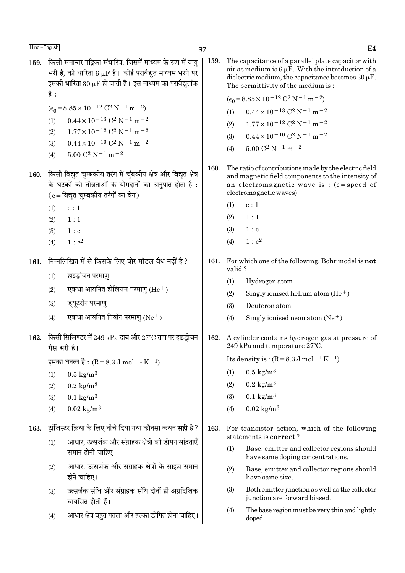- 159. किसी समान्तर पट्टिका संधारित्र, जिसमें माध्यम के रूप में वाय भरी है. की धारिता 6 u.F है। कोई परावैद्यत माध्यम भरने पर इसकी धारिता 30  $\mu$ F हो जाती है। इस माध्यम का परावैद्युतांक है $\cdot$ 
	- $(\epsilon_0 = 8.85 \times 10^{-12} \text{ C}^2 \text{ N}^{-1} \text{ m}^{-2})$
	- $0.44 \times 10^{-13}$  C<sup>2</sup> N<sup>-1</sup> m<sup>-2</sup>  $(1)$
	- $1.77 \times 10^{-12}$  C<sup>2</sup> N<sup>-1</sup> m<sup>-2</sup>  $(2)$
	- $0.44 \times 10^{-10}$  C<sup>2</sup> N<sup>-1</sup> m<sup>-2</sup>  $(3)$
	- $5.00 C^2 N^{-1} m^{-2}$  $(4)$
- 160. किसी विद्युत चुम्बकीय तरंग में चुंबकीय क्षेत्र और विद्युत क्षेत्र के घटकों की तीव्रताओं के योगदानों का अनुपात होता है:  $(c = \bar{c}$ विद्युत चम्बकीय तरंगों का वेग)
	- $c:1$  $(1)$
	- $(2)$  $1:1$
	- $(3)$  $1 : c$
	- $1 : c<sup>2</sup>$  $(4)$
- 161. निम्नलिखित में से किसके लिए बोर मॉडल वैध नहीं है?
	- हाइडोजन परमाण  $(1)$
	- एकधा आयनित हीलियम परमाण  $(He<sup>+</sup>)$  $(2)$
	- डयटरॉन परमाण  $(3)$
	- एकधा आयनित नियॉन परमाण (Ne +)  $(4)$
- 162. किसी सिलिण्डर में 249 kPa दाब और 27°C ताप पर हाइड्रोजन गैस भरी है।

इसका घनत्व है : (R = 8.3 J mol<sup>-1</sup> K<sup>-1</sup>)

- $(1)$  $0.5 \text{ kg/m}^3$
- $0.2 \text{ kg/m}^3$  $(2)$
- $0.1 \text{ kg/m}^3$  $(3)$
- $0.02 \text{ kg/m}^3$  $(4)$

टांजिस्टर क्रिया के लिए नीचे दिया गया कौनसा कथन **सही** है ? 163.

- आधार, उत्सर्जक और संग्राहक क्षेत्रों की डोपन सांद्रताएँ  $(1)$ समान होनी चाहिए।
- आधार, उत्सर्जक और संग्राहक क्षेत्रों के साइज़ समान  $(2)$ होने चाहिए।
- उत्सर्जक संधि और संग्राहक संधि दोनों ही अग्रदिशिक  $(3)$ बायसित होती हैं।
- आधार क्षेत्र बहुत पतला और हल्का डोपित होना चाहिए।  $(4)$

159. The capacitance of a parallel plate capacitor with air as medium is  $6 \mu$ F. With the introduction of a dielectric medium, the capacitance becomes  $30 \mu$ F. The permittivity of the medium is:

$$
(\epsilon_0 = 8.85 \times 10^{-12} \, \text{C}^2 \, \text{N}^{-1} \, \text{m}^{-2})
$$

- $0.44 \times 10^{-13}$  C<sup>2</sup> N<sup>-1</sup> m<sup>-2</sup>  $(1)$
- $1.77 \times 10^{-12}$  C<sup>2</sup> N<sup>-1</sup> m<sup>-2</sup>  $(2)$
- $0.44 \times 10^{-10}$  C<sup>2</sup> N<sup>-1</sup> m<sup>-2</sup>  $(3)$
- $5.00 C^2 N^{-1} m^{-2}$  $(4)$
- 160. The ratio of contributions made by the electric field and magnetic field components to the intensity of an electromagnetic wave is :  $(c = speed of$ electromagnetic waves)
	- $(1)$  $c:1$
	- $(2)$  $1:1$
	- $(3)$  $1 : c$
	- $1 : c<sup>2</sup>$  $(4)$
- 161. For which one of the following, Bohr model is not valid?
	- $(1)$ Hydrogen atom
	- $(2)$ Singly ionised helium atom  $(He<sup>+</sup>)$
	- $(3)$ Deuteron atom
	- $(4)$ Singly ionised neon atom  $(Ne^+)$
- 162. A cylinder contains hydrogen gas at pressure of 249 kPa and temperature 27°C.

Its density is:  $(R = 8.3 \text{ J mol}^{-1} \text{ K}^{-1})$ 

- $0.5 \text{ kg/m}^3$  $(1)$
- $0.2 \text{ kg/m}^3$  $(2)$
- $0.1 \text{ kg/m}^3$  $(3)$
- $0.02 \text{ kg/m}^3$  $(4)$
- 163. For transistor action, which of the following statements is correct?
	- $(1)$ Base, emitter and collector regions should have same doping concentrations.
	- $(2)$ Base, emitter and collector regions should have same size.
	- $(3)$ Both emitter junction as well as the collector junction are forward biased.
	- $(4)$ The base region must be very thin and lightly doped.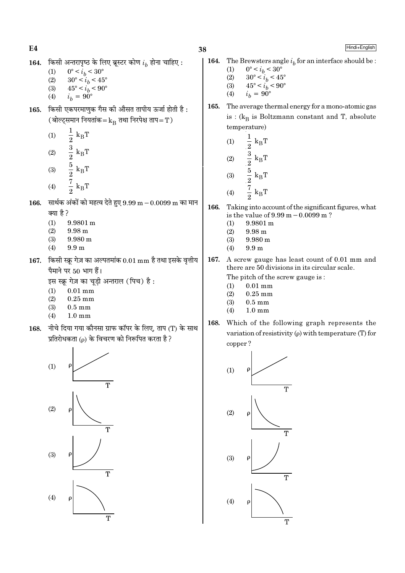- किसी अन्तरापृष्ठ के लिए ब्रूस्टर कोण  $i_h$  होना चाहिए : 164.
	- $(1)$  $0^{\circ} < i_b < 30^{\circ}$
	- $30^{\circ} < i_b < 45^{\circ}$  $(2)$
	- $45^{\circ} < i_h < 90^{\circ}$  $(3)$
	- $i_h = 90^\circ$  $(4)$
- किसी एकपरमाणुक गैस की औसत तापीय ऊर्जा होती है: 165. (बोल्ट्समान नियतांक= $k_B$  तथा निरपेक्ष ताप=T)
	- $\frac{1}{2} k_B T$ <br> $\frac{3}{2} k_B T$ <br> $\frac{5}{2} k_B T$ <br> $\frac{7}{2} k_B T$  $(1)$  $(2)$  $(3)$
	- $(4)$
- सार्थक अंकों को महत्व देते हुए  $9.99 \text{ m} 0.0099 \text{ m}$  का मान 166. क्या है?
	- $(1)$  $9.9801 m$
	- $(2)$  $9.98<sub>m</sub>$
	- $(3)$ 9.980 m
	- $(4)$  $9.9<sub>m</sub>$
- 167. किसी स्क्रू गेज़ का अल्पतमांक  $0.01 \text{ mm}$  है तथा इसके वृत्तीय पैमाने पर 50 भाग हैं।

इस स्क्रू गेज़ का चूड़ी अन्तराल (पिच) है:

- $0.01$  mm  $(1)$
- $0.25$  mm  $(2)$
- $(3)$  $0.5 \text{ mm}$
- $(4)$  $1.0 \text{ mm}$
- नीचे दिया गया कौनसा ग्राफ कॉपर के लिए, ताप (T) के साथ 168. प्रतिरोधकता (p) के विचरण को निरूपित करता है ?

![](_page_37_Figure_22.jpeg)

Hindi+English

- 164. The Brewsters angle  $i<sub>b</sub>$  for an interface should be :
	- $(1)$  $0^{\circ} < i_b < 30^{\circ}$
	- $\begin{array}{c} 30^{\circ} < i_b < 45^{\circ} \\ 45^{\circ} < i_b < 90^{\circ} \end{array}$  $(2)$
	- $(3)$  $(4)$  $i_h = 90^\circ$
- 165. The average thermal energy for a mono-atomic gas is :  $(k_B$  is Boltzmann constant and T, absolute temperature)

(1) 
$$
\frac{1}{2} k_{B}T
$$
  
\n(2)  $\frac{3}{2} k_{B}T$   
\n(3)  $\frac{5}{2} k_{B}T$ 

$$
(4) \qquad \frac{7}{2} \text{ k}_{\text{B}} \text{T}
$$

- 166. Taking into account of the significant figures, what is the value of  $9.99 \text{ m} - 0.0099 \text{ m}$ ?
	- $(1)$ 9.9801 m
	- $(2)$ 9.98 m
	- $(3)$  $9.980 \text{ m}$
	- $(4)$  $9.9<sub>m</sub>$
- 167. A screw gauge has least count of 0.01 mm and there are 50 divisions in its circular scale.

The pitch of the screw gauge is:

- $0.01$  mm  $(1)$
- $(2)$  $0.25$  mm
- $0.5 \text{ mm}$  $(3)$
- $1.0 \text{ mm}$  $(4)$
- 168. Which of the following graph represents the variation of resistivity  $(\rho)$  with temperature (T) for copper?

![](_page_37_Figure_43.jpeg)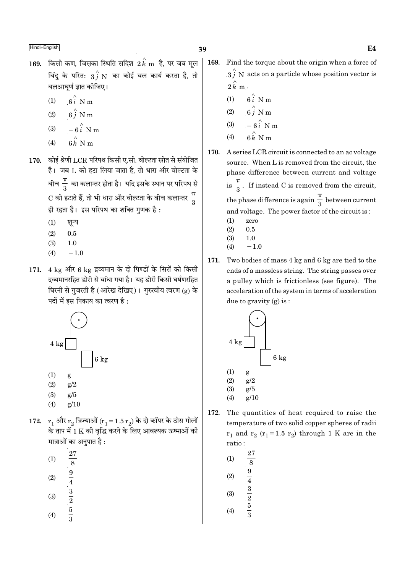- $169.$  किसी कण, जिसका स्थिति सदिश  $2\,{\rm k}$  m है, पर जब मूल बिंदु के परित:  $\overrightarrow{3f}$  N का कोई बल कार्य करता है, तो बलआघूर्ण ज्ञात कीजिए।
	- $6i$  N m  $(1)$
	- $6\hat{i}$  N m  $(2)$
	- $-6\hat{i}$  N m  $(3)$
	- $6 \hat{k}$  N n  $(4)$
- 170. कोई श्रेणी LCR परिपथ किसी ए.सी. वोल्टता स्रोत से संयोजित है। जब L को हटा लिया जाता है, तो धारा और वोल्टता के बीच $\frac{\pi}{3}$  का कलान्तर होता है। यदि इसके स्थान पर परिपथ से  $\mathrm{C}$  को हटाते हैं, तो भी धारा और वोल्टता के बीच कलान्तर  $\frac{\pi}{2}$ ही रहता है। इस परिपथ का शक्ति गुणक है:
	- $(1)$ शून्य
	- $0.5$  $(2)$
	- $(3)$  $1.0$
	- $-1.0$  $(4)$
- 171. 4 kg और 6 kg द्रव्यमान के दो पिण्डों के सिरों को किसी द्रव्यमानरहित डोरी से बांधा गया है। यह डोरी किसी घर्षणरहित घिरनी से गुजरती है (आरेख देखिए)। गुरुत्वीय त्वरण (g) के पदों में इस निकाय का त्वरण है :

![](_page_38_Figure_13.jpeg)

- $(2)$  $g/2$
- $g/5$  $(3)$
- $(4)$  $g/10$
- 172.  $r_1$  और  $r_2$  त्रिज्याओं ( $r_1 = 1.5 r_2$ ) के दो कॉपर के ठोस गोलों के ताप में 1 K की वृद्धि करने के लिए आवश्यक ऊष्माओं की मात्राओं का अनुपात है :
	- 27  $(1)$  $\frac{8}{8}$ <br> $\frac{9}{4}$ <br> $\frac{3}{2}$ <br> $\frac{5}{2}$ <br> $\frac{5}{3}$
	- $(2)$
	-
	- $(3)$
	-
	- $(4)$
- 169. Find the torque about the origin when a force of  $3\hat{i}$  N acts on a particle whose position vector is  $2\hat{k}$  m.
	- $(1)$  6  $\hat{i}$  N m
	- $6\stackrel{\wedge}{j}$  N m  $(2)$
	- $-6i$  N m  $(3)$
	- $6 \stackrel{\wedge}{k}$  N m  $(4)$
- A series LCR circuit is connected to an ac voltage 170. source. When L is removed from the circuit, the phase difference between current and voltage is  $\frac{\pi}{3}$ . If instead C is removed from the circuit, the phase difference is again  $\frac{\pi}{3}$  between current and voltage. The power factor of the circuit is:
	- $(1)$ zero
	- $(2)$  $0.5$
	- $(3)$  $1.0$  $-1.0$  $(4)$
	-
- 171. Two bodies of mass 4 kg and 6 kg are tied to the ends of a massless string. The string passes over a pulley which is frictionless (see figure). The acceleration of the system in terms of acceleration due to gravity  $(g)$  is:

![](_page_38_Figure_35.jpeg)

172. The quantities of heat required to raise the temperature of two solid copper spheres of radii  $r_1$  and  $r_2$  ( $r_1$ =1.5  $r_2$ ) through 1 K are in the ratio:

(1) 
$$
\frac{27}{8}
$$
  
\n(2)  $\frac{9}{4}$   
\n(3)  $\frac{3}{2}$   
\n(4)  $\frac{5}{3}$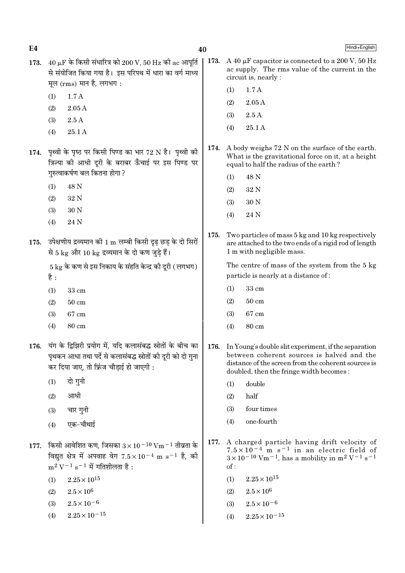$E<sub>4</sub>$ 

Hindi+English

- 173.  $40 \mu$ F के किसी संधारित्र को 200 V, 50 Hz की ac आपूर्ति से संयोजित किया गया है। इस परिपथ में धारा का वर्ग माध्य मूल (rms) मान है, लगभग:
	- $1.7A$  $(1)$
	- $2.05\,\mathrm{A}$  $(2)$
	- $2.5A$  $(3)$
	- $(4)$ 25.1 A
- 174. पृथ्वी के पृष्ठ पर किसी पिण्ड का भार 72 N है। पृथ्वी की क्रिन्या की आधी दरी के बराबर ऊँचाई पर इस पिण्ड पर गरुत्वाकर्षण बल कितना होगा ?
	- $(1)$ 48 N
	- 32 N  $(2)$
	- 30 N  $(3)$
	- $(4)$ 24 N
- 175. उपेक्षणीय द्रव्यमान की 1 m लम्बी किसी दृढ छड के दो सिरों से 5 kg और 10 kg द्रव्यमान के दो कण जुड़े हैं।

 $5\,\mathrm{kg}$  के कण से इस निकाय के संहति केन्द्र की दरी ( लगभग) है :

- $(1)$ 33 cm
- $50 \text{ cm}$  $(2)$
- 67 cm  $(3)$
- $(4)$ 80 cm
- 176. यंग के द्विझिरी प्रयोग में, यदि कलासंबद्ध स्रोतों के बीच का पृथकन आधा तथा पर्दे से कलासंबद्ध स्रोतों की दुरी को दो गुना कर दिया जाए, तो फ्रिंज चौडाई हो जाएगी :
	- दो गुनी  $(1)$
	- आधी  $(2)$
	- चार गुनी  $(3)$
	- एक-चौथाई  $(4)$
- 177. किसी आवेशित कण, जिसका  $3 \times 10^{-10}$  Vm $^{-1}$  तीव्रता के विद्युत क्षेत्र में अपवाह वेग  $7.5 \times 10^{-4}$  m s<sup>-1</sup> है, की  $m^2 V^{-1} s^{-1}$  में गतिशीलता है:
	- $(1)$  $2.25 \times 10^{15}$
	- $2.5 \times 10^6$  $(2)$
	- $2.5 \times 10^{-6}$  $(3)$
	- $2.25 \times 10^{-15}$  $(4)$
- $|173.$ A 40 µF capacitor is connected to a 200 V, 50 Hz ac supply. The rms value of the current in the circuit is, nearly :
	- $1.7A$  $(1)$
	- $(2)$  $2.05A$
	- $(3)$  $2.5A$
	- $(4)$  $25.1A$
- 174. A body weighs 72 N on the surface of the earth. What is the gravitational force on it, at a height equal to half the radius of the earth?
	- 48 N  $(1)$
	- 32 N  $(2)$
	- $(3)$ 30 N
	- $(4)$ 24 N
- 175. Two particles of mass 5 kg and 10 kg respectively are attached to the two ends of a rigid rod of length 1 m with negligible mass.

The centre of mass of the system from the 5 kg particle is nearly at a distance of:

- $(1)$ 33 cm
- $(2)$  $50 \text{ cm}$
- 67 cm  $(3)$
- $(4)$ 80 cm
- 176. In Young's double slit experiment, if the separation between coherent sources is halved and the distance of the screen from the coherent sources is doubled, then the fringe width becomes:
	- double  $(1)$
	- $(2)$ half
	- $(3)$ four times
	- one-fourth  $(4)$
- 177. A charged particle having drift velocity of  $7.5 \times 10^{-4}$  m s<sup>-1</sup> in an electric field of<br> $3 \times 10^{-10}$  Vm<sup>-1</sup>, has a mobility in m<sup>2</sup> V<sup>-1</sup> s<sup>-1</sup>  $of:$ 
	- $2.25 \times 10^{15}$  $(1)$
	- $2.5\times10^6$  $(2)$
	- $2.5 \times 10^{-6}$  $(3)$
	- $2.25 \times 10^{-15}$  $(4)$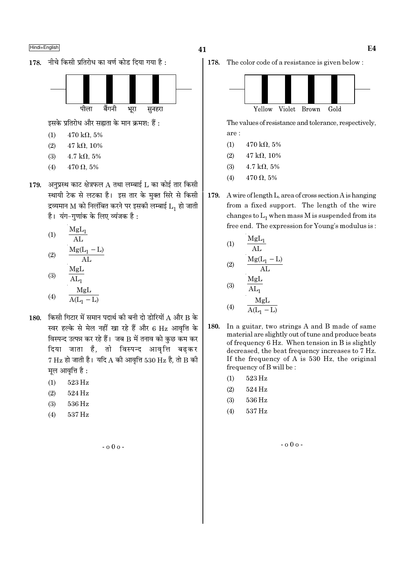![](_page_40_Figure_1.jpeg)

![](_page_40_Figure_2.jpeg)

इसके प्रतिरोध और सह्यता के मान क्रमश: हैं:

- $470 \text{ k}\Omega, 5\%$  $(1)$
- $(2)$  $47 k\Omega, 10\%$
- $(3)$  $4.7 \text{ k}\Omega, 5\%$
- $470\,\Omega,\,5\%$  $(4)$
- 179. अनुप्रस्थ काट क्षेत्रफल  $A$  तथा लम्बाई  $L$  का कोई तार किसी स्थायी टेक से लटका है। इस तार के मुक्त सिरे से किसी द्रव्यमान M को निलंबित करने पर इसकी लम्बाई  $L_1$  हो जाती है। यंग-गुणांक के लिए व्यंजक है:

(1) 
$$
\frac{MgL_1}{AL}
$$
  
(2) 
$$
\frac{Mg(L_1 - L)}{AL}
$$
  
MgL

$$
\begin{array}{cc}\n\text{(3)} & \overline{\text{AL}_1} \\
\text{MgL}\n\end{array}
$$

$$
(4) \qquad \frac{1}{A(L_1 - L)}
$$

- 180. किसी गिटार में समान पदार्थ की बनी दो डोरियों  $A$  और  $B$  के स्वर हल्के से मेल नहीं खा रहे हैं और 6 Hz आवृत्ति के विस्पन्द उत्पन्न कर रहे हैं। जब B में तनाव को कुछ कम कर दिया जाता है, तो विस्पन्द आवृत्ति बढकर  $7$  Hz हो जाती है। यदि A की आवृत्ति 530 Hz है, तो B की मुल आवृत्ति है:
	- $(1)$ 523 Hz
	- $(2)$ 524 Hz
	- 536 Hz  $(3)$
	- $(4)$ 537 Hz

 $-000 -$ 

178. The color code of a resistance is given below:

![](_page_40_Figure_19.jpeg)

The values of resistance and tolerance, respectively, are:

- $(1)$  $470 \text{ k}\Omega, 5\%$
- $(2)$  $47 k\Omega, 10\%$
- $(3)$  $4.7 \text{ k}\Omega, 5\%$
- $(4)$  $470 \Omega, 5\%$
- 179. A wire of length L, area of cross section A is hanging from a fixed support. The length of the wire changes to  $L_1$  when mass M is suspended from its free end. The expression for Young's modulus is:

(1)  
\n
$$
\frac{MgL_{1}}{AL}
$$
\n(2)  
\n
$$
\frac{Mg(L_{1} - L)}{AL}
$$
\n(3)  
\n
$$
\frac{MgL}{AL_{1}}
$$

$$
(4) \qquad \frac{\text{MgL}}{\text{A(L}_1 - \text{L})}
$$

- 180. In a guitar, two strings A and B made of same material are slightly out of tune and produce beats of frequency 6 Hz. When tension in B is slightly decreased, the beat frequency increases to 7 Hz. If the frequency of A is 530 Hz, the original frequency of B will be :
	- $(1)$ 523 Hz
	- 524 Hz  $(2)$
	- 536 Hz  $(3)$
	- 537 Hz  $(4)$

 $-000 -$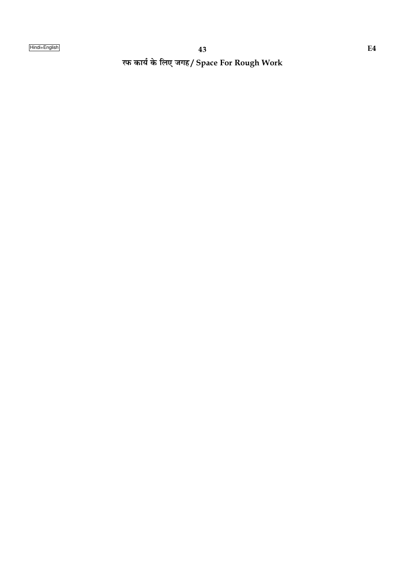रफ कार्य के लिए जगह/ Space For Rough Work